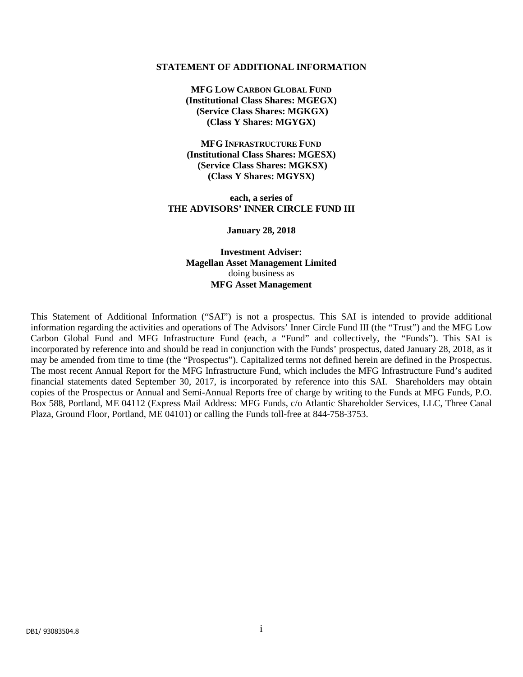#### **STATEMENT OF ADDITIONAL INFORMATION**

**MFG LOW CARBON GLOBAL FUND (Institutional Class Shares: MGEGX) (Service Class Shares: MGKGX) (Class Y Shares: MGYGX)** 

**MFG INFRASTRUCTURE FUND (Institutional Class Shares: MGESX) (Service Class Shares: MGKSX) (Class Y Shares: MGYSX)** 

**each, a series of THE ADVISORS' INNER CIRCLE FUND III** 

**January 28, 2018**

**Investment Adviser: Magellan Asset Management Limited**  doing business as **MFG Asset Management** 

This Statement of Additional Information ("SAI") is not a prospectus. This SAI is intended to provide additional information regarding the activities and operations of The Advisors' Inner Circle Fund III (the "Trust") and the MFG Low Carbon Global Fund and MFG Infrastructure Fund (each, a "Fund" and collectively, the "Funds"). This SAI is incorporated by reference into and should be read in conjunction with the Funds' prospectus, dated January 28, 2018, as it may be amended from time to time (the "Prospectus"). Capitalized terms not defined herein are defined in the Prospectus. The most recent Annual Report for the MFG Infrastructure Fund, which includes the MFG Infrastructure Fund's audited financial statements dated September 30, 2017, is incorporated by reference into this SAI. Shareholders may obtain copies of the Prospectus or Annual and Semi-Annual Reports free of charge by writing to the Funds at MFG Funds, P.O. Box 588, Portland, ME 04112 (Express Mail Address: MFG Funds, c/o Atlantic Shareholder Services, LLC, Three Canal Plaza, Ground Floor, Portland, ME 04101) or calling the Funds toll-free at 844-758-3753.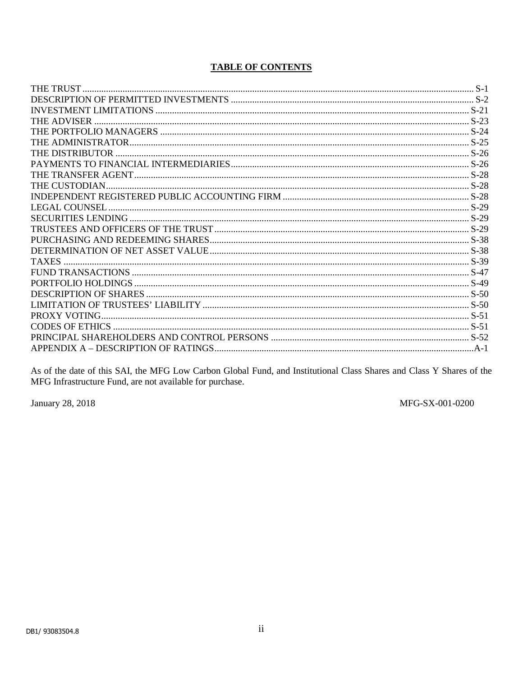# **TABLE OF CONTENTS**

| <b>TAXES</b> |  |
|--------------|--|
|              |  |
|              |  |
|              |  |
|              |  |
|              |  |
|              |  |
|              |  |
|              |  |

As of the date of this SAI, the MFG Low Carbon Global Fund, and Institutional Class Shares and Class Y Shares of the MFG Infrastructure Fund, are not available for purchase.

January 28, 2018

MFG-SX-001-0200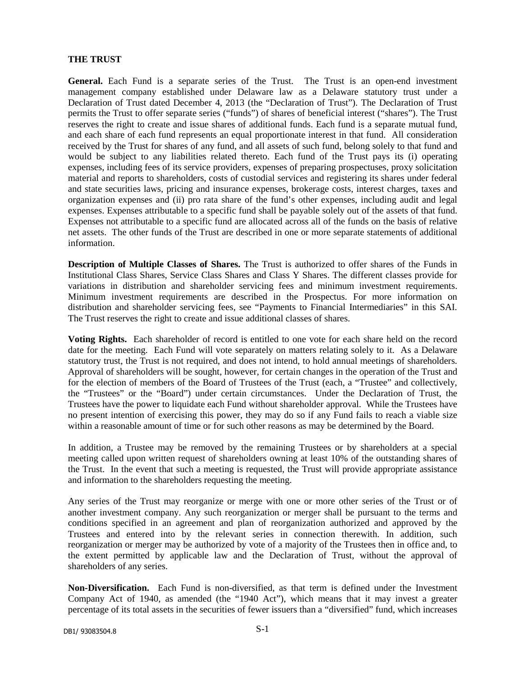#### **THE TRUST**

**General.** Each Fund is a separate series of the Trust. The Trust is an open-end investment management company established under Delaware law as a Delaware statutory trust under a Declaration of Trust dated December 4, 2013 (the "Declaration of Trust"). The Declaration of Trust permits the Trust to offer separate series ("funds") of shares of beneficial interest ("shares"). The Trust reserves the right to create and issue shares of additional funds. Each fund is a separate mutual fund, and each share of each fund represents an equal proportionate interest in that fund. All consideration received by the Trust for shares of any fund, and all assets of such fund, belong solely to that fund and would be subject to any liabilities related thereto. Each fund of the Trust pays its (i) operating expenses, including fees of its service providers, expenses of preparing prospectuses, proxy solicitation material and reports to shareholders, costs of custodial services and registering its shares under federal and state securities laws, pricing and insurance expenses, brokerage costs, interest charges, taxes and organization expenses and (ii) pro rata share of the fund's other expenses, including audit and legal expenses. Expenses attributable to a specific fund shall be payable solely out of the assets of that fund. Expenses not attributable to a specific fund are allocated across all of the funds on the basis of relative net assets. The other funds of the Trust are described in one or more separate statements of additional information.

**Description of Multiple Classes of Shares.** The Trust is authorized to offer shares of the Funds in Institutional Class Shares, Service Class Shares and Class Y Shares. The different classes provide for variations in distribution and shareholder servicing fees and minimum investment requirements. Minimum investment requirements are described in the Prospectus. For more information on distribution and shareholder servicing fees, see "Payments to Financial Intermediaries" in this SAI. The Trust reserves the right to create and issue additional classes of shares.

**Voting Rights.** Each shareholder of record is entitled to one vote for each share held on the record date for the meeting. Each Fund will vote separately on matters relating solely to it. As a Delaware statutory trust, the Trust is not required, and does not intend, to hold annual meetings of shareholders. Approval of shareholders will be sought, however, for certain changes in the operation of the Trust and for the election of members of the Board of Trustees of the Trust (each, a "Trustee" and collectively, the "Trustees" or the "Board") under certain circumstances. Under the Declaration of Trust, the Trustees have the power to liquidate each Fund without shareholder approval. While the Trustees have no present intention of exercising this power, they may do so if any Fund fails to reach a viable size within a reasonable amount of time or for such other reasons as may be determined by the Board.

In addition, a Trustee may be removed by the remaining Trustees or by shareholders at a special meeting called upon written request of shareholders owning at least 10% of the outstanding shares of the Trust. In the event that such a meeting is requested, the Trust will provide appropriate assistance and information to the shareholders requesting the meeting.

Any series of the Trust may reorganize or merge with one or more other series of the Trust or of another investment company. Any such reorganization or merger shall be pursuant to the terms and conditions specified in an agreement and plan of reorganization authorized and approved by the Trustees and entered into by the relevant series in connection therewith. In addition, such reorganization or merger may be authorized by vote of a majority of the Trustees then in office and, to the extent permitted by applicable law and the Declaration of Trust, without the approval of shareholders of any series.

**Non-Diversification.** Each Fund is non-diversified, as that term is defined under the Investment Company Act of 1940, as amended (the "1940 Act"), which means that it may invest a greater percentage of its total assets in the securities of fewer issuers than a "diversified" fund, which increases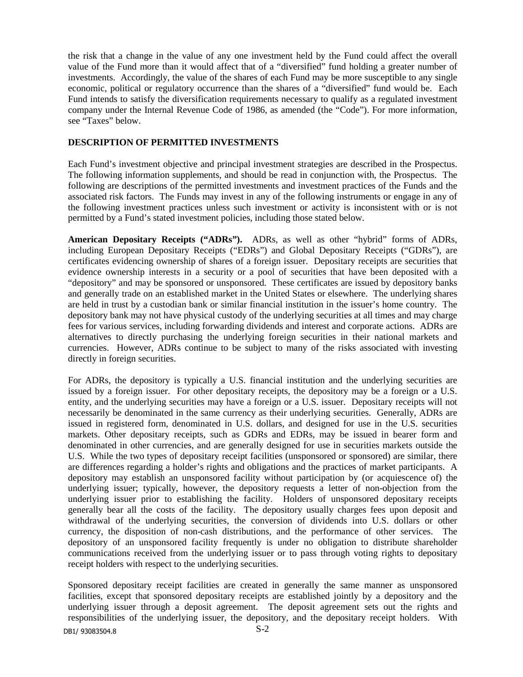the risk that a change in the value of any one investment held by the Fund could affect the overall value of the Fund more than it would affect that of a "diversified" fund holding a greater number of investments. Accordingly, the value of the shares of each Fund may be more susceptible to any single economic, political or regulatory occurrence than the shares of a "diversified" fund would be. Each Fund intends to satisfy the diversification requirements necessary to qualify as a regulated investment company under the Internal Revenue Code of 1986, as amended (the "Code"). For more information, see "Taxes" below.

### **DESCRIPTION OF PERMITTED INVESTMENTS**

Each Fund's investment objective and principal investment strategies are described in the Prospectus. The following information supplements, and should be read in conjunction with, the Prospectus. The following are descriptions of the permitted investments and investment practices of the Funds and the associated risk factors. The Funds may invest in any of the following instruments or engage in any of the following investment practices unless such investment or activity is inconsistent with or is not permitted by a Fund's stated investment policies, including those stated below.

**American Depositary Receipts ("ADRs").** ADRs, as well as other "hybrid" forms of ADRs, including European Depositary Receipts ("EDRs") and Global Depositary Receipts ("GDRs"), are certificates evidencing ownership of shares of a foreign issuer. Depositary receipts are securities that evidence ownership interests in a security or a pool of securities that have been deposited with a "depository" and may be sponsored or unsponsored. These certificates are issued by depository banks and generally trade on an established market in the United States or elsewhere. The underlying shares are held in trust by a custodian bank or similar financial institution in the issuer's home country. The depository bank may not have physical custody of the underlying securities at all times and may charge fees for various services, including forwarding dividends and interest and corporate actions. ADRs are alternatives to directly purchasing the underlying foreign securities in their national markets and currencies. However, ADRs continue to be subject to many of the risks associated with investing directly in foreign securities.

For ADRs, the depository is typically a U.S. financial institution and the underlying securities are issued by a foreign issuer. For other depositary receipts, the depository may be a foreign or a U.S. entity, and the underlying securities may have a foreign or a U.S. issuer. Depositary receipts will not necessarily be denominated in the same currency as their underlying securities. Generally, ADRs are issued in registered form, denominated in U.S. dollars, and designed for use in the U.S. securities markets. Other depositary receipts, such as GDRs and EDRs, may be issued in bearer form and denominated in other currencies, and are generally designed for use in securities markets outside the U.S. While the two types of depositary receipt facilities (unsponsored or sponsored) are similar, there are differences regarding a holder's rights and obligations and the practices of market participants. A depository may establish an unsponsored facility without participation by (or acquiescence of) the underlying issuer; typically, however, the depository requests a letter of non-objection from the underlying issuer prior to establishing the facility. Holders of unsponsored depositary receipts generally bear all the costs of the facility. The depository usually charges fees upon deposit and withdrawal of the underlying securities, the conversion of dividends into U.S. dollars or other currency, the disposition of non-cash distributions, and the performance of other services. The depository of an unsponsored facility frequently is under no obligation to distribute shareholder communications received from the underlying issuer or to pass through voting rights to depositary receipt holders with respect to the underlying securities.

Sponsored depositary receipt facilities are created in generally the same manner as unsponsored facilities, except that sponsored depositary receipts are established jointly by a depository and the underlying issuer through a deposit agreement. The deposit agreement sets out the rights and responsibilities of the underlying issuer, the depository, and the depositary receipt holders. With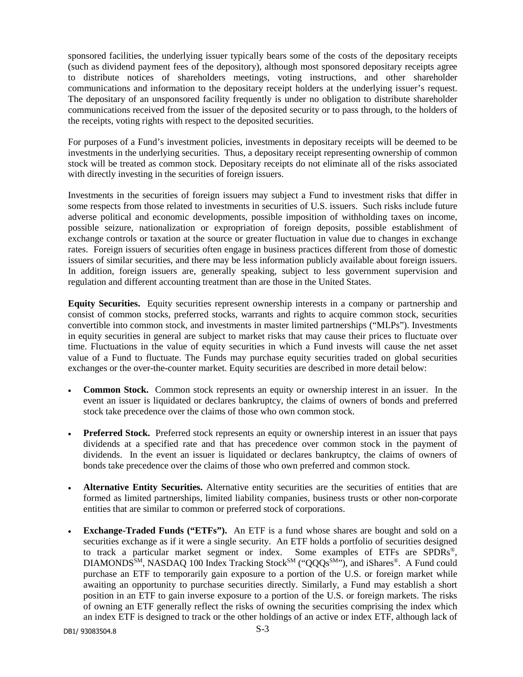sponsored facilities, the underlying issuer typically bears some of the costs of the depositary receipts (such as dividend payment fees of the depository), although most sponsored depositary receipts agree to distribute notices of shareholders meetings, voting instructions, and other shareholder communications and information to the depositary receipt holders at the underlying issuer's request. The depositary of an unsponsored facility frequently is under no obligation to distribute shareholder communications received from the issuer of the deposited security or to pass through, to the holders of the receipts, voting rights with respect to the deposited securities.

For purposes of a Fund's investment policies, investments in depositary receipts will be deemed to be investments in the underlying securities. Thus, a depositary receipt representing ownership of common stock will be treated as common stock. Depositary receipts do not eliminate all of the risks associated with directly investing in the securities of foreign issuers.

Investments in the securities of foreign issuers may subject a Fund to investment risks that differ in some respects from those related to investments in securities of U.S. issuers. Such risks include future adverse political and economic developments, possible imposition of withholding taxes on income, possible seizure, nationalization or expropriation of foreign deposits, possible establishment of exchange controls or taxation at the source or greater fluctuation in value due to changes in exchange rates. Foreign issuers of securities often engage in business practices different from those of domestic issuers of similar securities, and there may be less information publicly available about foreign issuers. In addition, foreign issuers are, generally speaking, subject to less government supervision and regulation and different accounting treatment than are those in the United States.

**Equity Securities.** Equity securities represent ownership interests in a company or partnership and consist of common stocks, preferred stocks, warrants and rights to acquire common stock, securities convertible into common stock, and investments in master limited partnerships ("MLPs"). Investments in equity securities in general are subject to market risks that may cause their prices to fluctuate over time. Fluctuations in the value of equity securities in which a Fund invests will cause the net asset value of a Fund to fluctuate. The Funds may purchase equity securities traded on global securities exchanges or the over-the-counter market. Equity securities are described in more detail below:

- **Common Stock.** Common stock represents an equity or ownership interest in an issuer. In the event an issuer is liquidated or declares bankruptcy, the claims of owners of bonds and preferred stock take precedence over the claims of those who own common stock.
- **Preferred Stock.** Preferred stock represents an equity or ownership interest in an issuer that pays dividends at a specified rate and that has precedence over common stock in the payment of dividends. In the event an issuer is liquidated or declares bankruptcy, the claims of owners of bonds take precedence over the claims of those who own preferred and common stock.
- **Alternative Entity Securities.** Alternative entity securities are the securities of entities that are formed as limited partnerships, limited liability companies, business trusts or other non-corporate entities that are similar to common or preferred stock of corporations.
- **Exchange-Traded Funds ("ETFs").** An ETF is a fund whose shares are bought and sold on a securities exchange as if it were a single security. An ETF holds a portfolio of securities designed to track a particular market segment or index. Some examples of ETFs are SPDRs®, DIAMONDS<sup>SM</sup>, NASDAQ 100 Index Tracking Stock<sup>SM</sup> ("QQQs<sup>SM</sup>"), and iShares<sup>®</sup>. A Fund could purchase an ETF to temporarily gain exposure to a portion of the U.S. or foreign market while awaiting an opportunity to purchase securities directly. Similarly, a Fund may establish a short position in an ETF to gain inverse exposure to a portion of the U.S. or foreign markets. The risks of owning an ETF generally reflect the risks of owning the securities comprising the index which an index ETF is designed to track or the other holdings of an active or index ETF, although lack of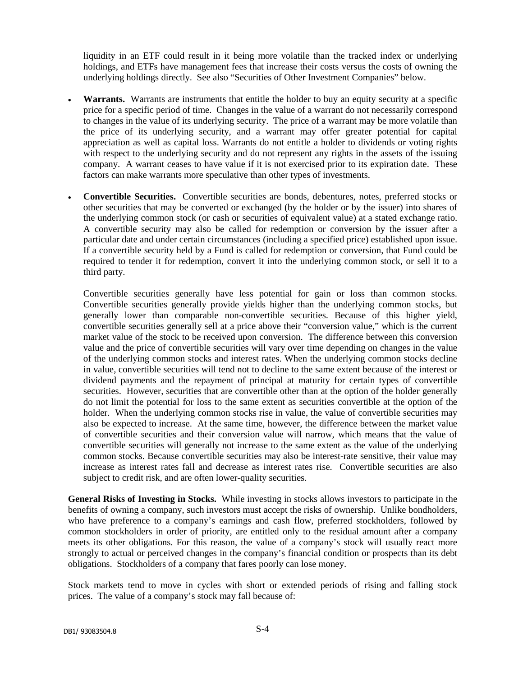liquidity in an ETF could result in it being more volatile than the tracked index or underlying holdings, and ETFs have management fees that increase their costs versus the costs of owning the underlying holdings directly. See also "Securities of Other Investment Companies" below.

- **Warrants.** Warrants are instruments that entitle the holder to buy an equity security at a specific price for a specific period of time. Changes in the value of a warrant do not necessarily correspond to changes in the value of its underlying security. The price of a warrant may be more volatile than the price of its underlying security, and a warrant may offer greater potential for capital appreciation as well as capital loss. Warrants do not entitle a holder to dividends or voting rights with respect to the underlying security and do not represent any rights in the assets of the issuing company. A warrant ceases to have value if it is not exercised prior to its expiration date. These factors can make warrants more speculative than other types of investments.
- **Convertible Securities.** Convertible securities are bonds, debentures, notes, preferred stocks or other securities that may be converted or exchanged (by the holder or by the issuer) into shares of the underlying common stock (or cash or securities of equivalent value) at a stated exchange ratio. A convertible security may also be called for redemption or conversion by the issuer after a particular date and under certain circumstances (including a specified price) established upon issue. If a convertible security held by a Fund is called for redemption or conversion, that Fund could be required to tender it for redemption, convert it into the underlying common stock, or sell it to a third party.

Convertible securities generally have less potential for gain or loss than common stocks. Convertible securities generally provide yields higher than the underlying common stocks, but generally lower than comparable non-convertible securities. Because of this higher yield, convertible securities generally sell at a price above their "conversion value," which is the current market value of the stock to be received upon conversion. The difference between this conversion value and the price of convertible securities will vary over time depending on changes in the value of the underlying common stocks and interest rates. When the underlying common stocks decline in value, convertible securities will tend not to decline to the same extent because of the interest or dividend payments and the repayment of principal at maturity for certain types of convertible securities. However, securities that are convertible other than at the option of the holder generally do not limit the potential for loss to the same extent as securities convertible at the option of the holder. When the underlying common stocks rise in value, the value of convertible securities may also be expected to increase. At the same time, however, the difference between the market value of convertible securities and their conversion value will narrow, which means that the value of convertible securities will generally not increase to the same extent as the value of the underlying common stocks. Because convertible securities may also be interest-rate sensitive, their value may increase as interest rates fall and decrease as interest rates rise. Convertible securities are also subject to credit risk, and are often lower-quality securities.

**General Risks of Investing in Stocks.** While investing in stocks allows investors to participate in the benefits of owning a company, such investors must accept the risks of ownership. Unlike bondholders, who have preference to a company's earnings and cash flow, preferred stockholders, followed by common stockholders in order of priority, are entitled only to the residual amount after a company meets its other obligations. For this reason, the value of a company's stock will usually react more strongly to actual or perceived changes in the company's financial condition or prospects than its debt obligations. Stockholders of a company that fares poorly can lose money.

Stock markets tend to move in cycles with short or extended periods of rising and falling stock prices. The value of a company's stock may fall because of: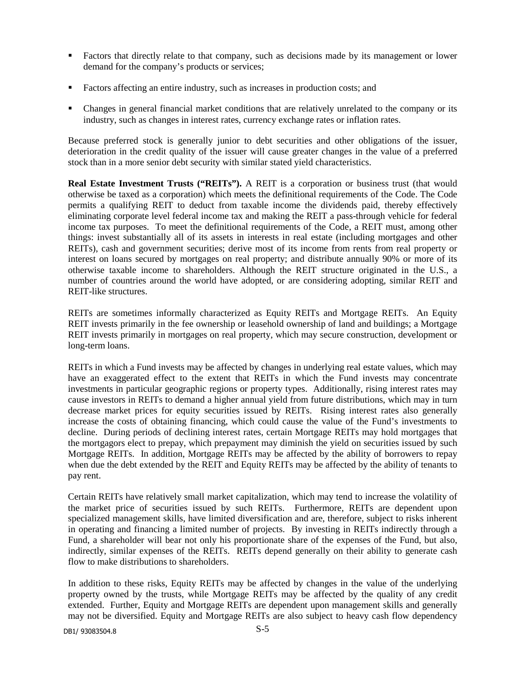- **Factors that directly relate to that company, such as decisions made by its management or lower** demand for the company's products or services;
- Factors affecting an entire industry, such as increases in production costs; and
- Changes in general financial market conditions that are relatively unrelated to the company or its industry, such as changes in interest rates, currency exchange rates or inflation rates.

Because preferred stock is generally junior to debt securities and other obligations of the issuer, deterioration in the credit quality of the issuer will cause greater changes in the value of a preferred stock than in a more senior debt security with similar stated yield characteristics.

**Real Estate Investment Trusts ("REITs").** A REIT is a corporation or business trust (that would otherwise be taxed as a corporation) which meets the definitional requirements of the Code. The Code permits a qualifying REIT to deduct from taxable income the dividends paid, thereby effectively eliminating corporate level federal income tax and making the REIT a pass-through vehicle for federal income tax purposes. To meet the definitional requirements of the Code, a REIT must, among other things: invest substantially all of its assets in interests in real estate (including mortgages and other REITs), cash and government securities; derive most of its income from rents from real property or interest on loans secured by mortgages on real property; and distribute annually 90% or more of its otherwise taxable income to shareholders. Although the REIT structure originated in the U.S., a number of countries around the world have adopted, or are considering adopting, similar REIT and REIT-like structures.

REITs are sometimes informally characterized as Equity REITs and Mortgage REITs. An Equity REIT invests primarily in the fee ownership or leasehold ownership of land and buildings; a Mortgage REIT invests primarily in mortgages on real property, which may secure construction, development or long-term loans.

REITs in which a Fund invests may be affected by changes in underlying real estate values, which may have an exaggerated effect to the extent that REITs in which the Fund invests may concentrate investments in particular geographic regions or property types. Additionally, rising interest rates may cause investors in REITs to demand a higher annual yield from future distributions, which may in turn decrease market prices for equity securities issued by REITs. Rising interest rates also generally increase the costs of obtaining financing, which could cause the value of the Fund's investments to decline. During periods of declining interest rates, certain Mortgage REITs may hold mortgages that the mortgagors elect to prepay, which prepayment may diminish the yield on securities issued by such Mortgage REITs. In addition, Mortgage REITs may be affected by the ability of borrowers to repay when due the debt extended by the REIT and Equity REITs may be affected by the ability of tenants to pay rent.

Certain REITs have relatively small market capitalization, which may tend to increase the volatility of the market price of securities issued by such REITs. Furthermore, REITs are dependent upon specialized management skills, have limited diversification and are, therefore, subject to risks inherent in operating and financing a limited number of projects. By investing in REITs indirectly through a Fund, a shareholder will bear not only his proportionate share of the expenses of the Fund, but also, indirectly, similar expenses of the REITs. REITs depend generally on their ability to generate cash flow to make distributions to shareholders.

In addition to these risks, Equity REITs may be affected by changes in the value of the underlying property owned by the trusts, while Mortgage REITs may be affected by the quality of any credit extended. Further, Equity and Mortgage REITs are dependent upon management skills and generally may not be diversified. Equity and Mortgage REITs are also subject to heavy cash flow dependency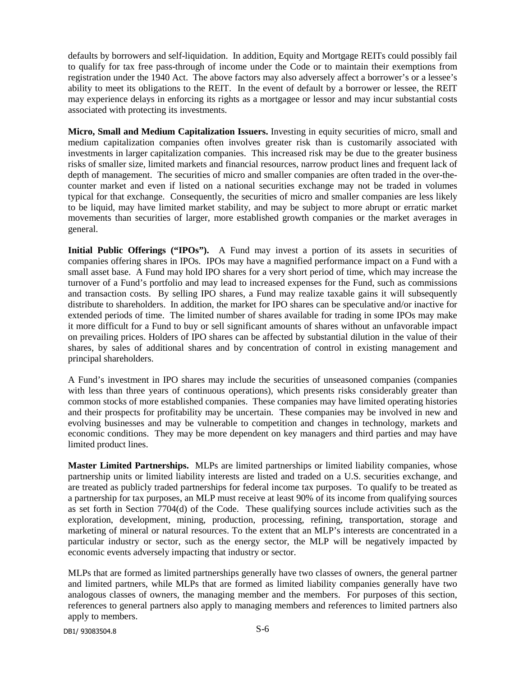defaults by borrowers and self-liquidation. In addition, Equity and Mortgage REITs could possibly fail to qualify for tax free pass-through of income under the Code or to maintain their exemptions from registration under the 1940 Act. The above factors may also adversely affect a borrower's or a lessee's ability to meet its obligations to the REIT. In the event of default by a borrower or lessee, the REIT may experience delays in enforcing its rights as a mortgagee or lessor and may incur substantial costs associated with protecting its investments.

**Micro, Small and Medium Capitalization Issuers.** Investing in equity securities of micro, small and medium capitalization companies often involves greater risk than is customarily associated with investments in larger capitalization companies. This increased risk may be due to the greater business risks of smaller size, limited markets and financial resources, narrow product lines and frequent lack of depth of management. The securities of micro and smaller companies are often traded in the over-thecounter market and even if listed on a national securities exchange may not be traded in volumes typical for that exchange. Consequently, the securities of micro and smaller companies are less likely to be liquid, may have limited market stability, and may be subject to more abrupt or erratic market movements than securities of larger, more established growth companies or the market averages in general.

**Initial Public Offerings ("IPOs").** A Fund may invest a portion of its assets in securities of companies offering shares in IPOs. IPOs may have a magnified performance impact on a Fund with a small asset base. A Fund may hold IPO shares for a very short period of time, which may increase the turnover of a Fund's portfolio and may lead to increased expenses for the Fund, such as commissions and transaction costs. By selling IPO shares, a Fund may realize taxable gains it will subsequently distribute to shareholders. In addition, the market for IPO shares can be speculative and/or inactive for extended periods of time. The limited number of shares available for trading in some IPOs may make it more difficult for a Fund to buy or sell significant amounts of shares without an unfavorable impact on prevailing prices. Holders of IPO shares can be affected by substantial dilution in the value of their shares, by sales of additional shares and by concentration of control in existing management and principal shareholders.

A Fund's investment in IPO shares may include the securities of unseasoned companies (companies with less than three years of continuous operations), which presents risks considerably greater than common stocks of more established companies. These companies may have limited operating histories and their prospects for profitability may be uncertain. These companies may be involved in new and evolving businesses and may be vulnerable to competition and changes in technology, markets and economic conditions. They may be more dependent on key managers and third parties and may have limited product lines.

**Master Limited Partnerships.** MLPs are limited partnerships or limited liability companies, whose partnership units or limited liability interests are listed and traded on a U.S. securities exchange, and are treated as publicly traded partnerships for federal income tax purposes. To qualify to be treated as a partnership for tax purposes, an MLP must receive at least 90% of its income from qualifying sources as set forth in Section 7704(d) of the Code. These qualifying sources include activities such as the exploration, development, mining, production, processing, refining, transportation, storage and marketing of mineral or natural resources. To the extent that an MLP's interests are concentrated in a particular industry or sector, such as the energy sector, the MLP will be negatively impacted by economic events adversely impacting that industry or sector.

MLPs that are formed as limited partnerships generally have two classes of owners, the general partner and limited partners, while MLPs that are formed as limited liability companies generally have two analogous classes of owners, the managing member and the members. For purposes of this section, references to general partners also apply to managing members and references to limited partners also apply to members.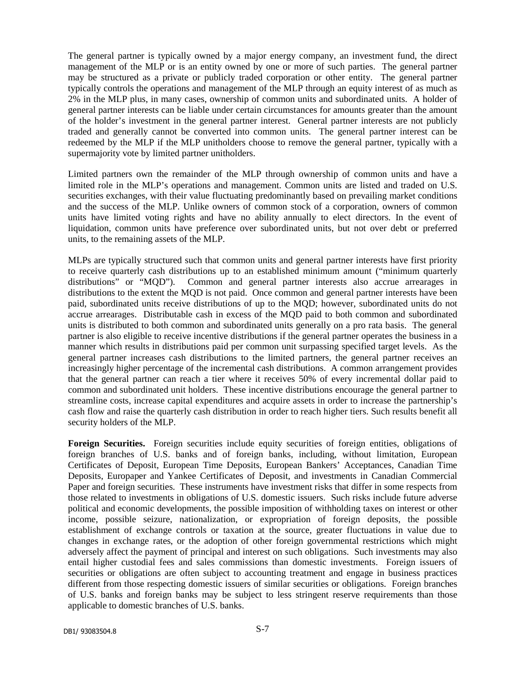The general partner is typically owned by a major energy company, an investment fund, the direct management of the MLP or is an entity owned by one or more of such parties. The general partner may be structured as a private or publicly traded corporation or other entity. The general partner typically controls the operations and management of the MLP through an equity interest of as much as 2% in the MLP plus, in many cases, ownership of common units and subordinated units. A holder of general partner interests can be liable under certain circumstances for amounts greater than the amount of the holder's investment in the general partner interest. General partner interests are not publicly traded and generally cannot be converted into common units. The general partner interest can be redeemed by the MLP if the MLP unitholders choose to remove the general partner, typically with a supermajority vote by limited partner unitholders.

Limited partners own the remainder of the MLP through ownership of common units and have a limited role in the MLP's operations and management. Common units are listed and traded on U.S. securities exchanges, with their value fluctuating predominantly based on prevailing market conditions and the success of the MLP. Unlike owners of common stock of a corporation, owners of common units have limited voting rights and have no ability annually to elect directors. In the event of liquidation, common units have preference over subordinated units, but not over debt or preferred units, to the remaining assets of the MLP.

MLPs are typically structured such that common units and general partner interests have first priority to receive quarterly cash distributions up to an established minimum amount ("minimum quarterly distributions" or "MQD"). Common and general partner interests also accrue arrearages in distributions to the extent the MQD is not paid. Once common and general partner interests have been paid, subordinated units receive distributions of up to the MQD; however, subordinated units do not accrue arrearages. Distributable cash in excess of the MQD paid to both common and subordinated units is distributed to both common and subordinated units generally on a pro rata basis. The general partner is also eligible to receive incentive distributions if the general partner operates the business in a manner which results in distributions paid per common unit surpassing specified target levels. As the general partner increases cash distributions to the limited partners, the general partner receives an increasingly higher percentage of the incremental cash distributions. A common arrangement provides that the general partner can reach a tier where it receives 50% of every incremental dollar paid to common and subordinated unit holders. These incentive distributions encourage the general partner to streamline costs, increase capital expenditures and acquire assets in order to increase the partnership's cash flow and raise the quarterly cash distribution in order to reach higher tiers. Such results benefit all security holders of the MLP.

**Foreign Securities.** Foreign securities include equity securities of foreign entities, obligations of foreign branches of U.S. banks and of foreign banks, including, without limitation, European Certificates of Deposit, European Time Deposits, European Bankers' Acceptances, Canadian Time Deposits, Europaper and Yankee Certificates of Deposit, and investments in Canadian Commercial Paper and foreign securities. These instruments have investment risks that differ in some respects from those related to investments in obligations of U.S. domestic issuers. Such risks include future adverse political and economic developments, the possible imposition of withholding taxes on interest or other income, possible seizure, nationalization, or expropriation of foreign deposits, the possible establishment of exchange controls or taxation at the source, greater fluctuations in value due to changes in exchange rates, or the adoption of other foreign governmental restrictions which might adversely affect the payment of principal and interest on such obligations. Such investments may also entail higher custodial fees and sales commissions than domestic investments. Foreign issuers of securities or obligations are often subject to accounting treatment and engage in business practices different from those respecting domestic issuers of similar securities or obligations. Foreign branches of U.S. banks and foreign banks may be subject to less stringent reserve requirements than those applicable to domestic branches of U.S. banks.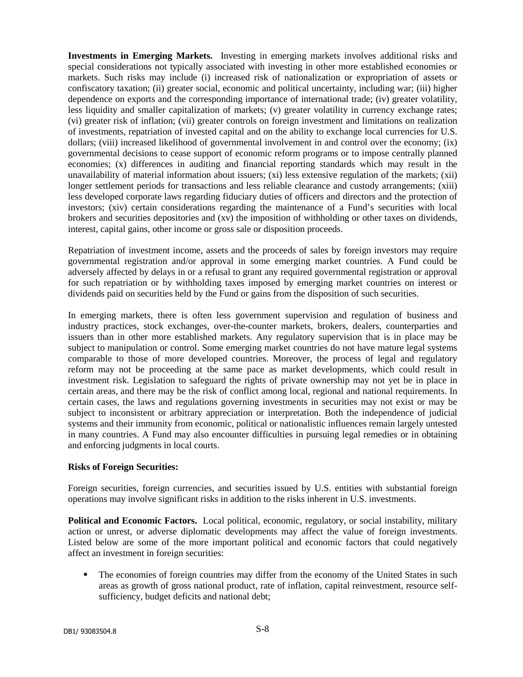**Investments in Emerging Markets.** Investing in emerging markets involves additional risks and special considerations not typically associated with investing in other more established economies or markets. Such risks may include (i) increased risk of nationalization or expropriation of assets or confiscatory taxation; (ii) greater social, economic and political uncertainty, including war; (iii) higher dependence on exports and the corresponding importance of international trade; (iv) greater volatility, less liquidity and smaller capitalization of markets; (v) greater volatility in currency exchange rates; (vi) greater risk of inflation; (vii) greater controls on foreign investment and limitations on realization of investments, repatriation of invested capital and on the ability to exchange local currencies for U.S. dollars; (viii) increased likelihood of governmental involvement in and control over the economy; (ix) governmental decisions to cease support of economic reform programs or to impose centrally planned economies; (x) differences in auditing and financial reporting standards which may result in the unavailability of material information about issuers; (xi) less extensive regulation of the markets; (xii) longer settlement periods for transactions and less reliable clearance and custody arrangements; (xiii) less developed corporate laws regarding fiduciary duties of officers and directors and the protection of investors; (xiv) certain considerations regarding the maintenance of a Fund's securities with local brokers and securities depositories and (xv) the imposition of withholding or other taxes on dividends, interest, capital gains, other income or gross sale or disposition proceeds.

Repatriation of investment income, assets and the proceeds of sales by foreign investors may require governmental registration and/or approval in some emerging market countries. A Fund could be adversely affected by delays in or a refusal to grant any required governmental registration or approval for such repatriation or by withholding taxes imposed by emerging market countries on interest or dividends paid on securities held by the Fund or gains from the disposition of such securities.

In emerging markets, there is often less government supervision and regulation of business and industry practices, stock exchanges, over-the-counter markets, brokers, dealers, counterparties and issuers than in other more established markets. Any regulatory supervision that is in place may be subject to manipulation or control. Some emerging market countries do not have mature legal systems comparable to those of more developed countries. Moreover, the process of legal and regulatory reform may not be proceeding at the same pace as market developments, which could result in investment risk. Legislation to safeguard the rights of private ownership may not yet be in place in certain areas, and there may be the risk of conflict among local, regional and national requirements. In certain cases, the laws and regulations governing investments in securities may not exist or may be subject to inconsistent or arbitrary appreciation or interpretation. Both the independence of judicial systems and their immunity from economic, political or nationalistic influences remain largely untested in many countries. A Fund may also encounter difficulties in pursuing legal remedies or in obtaining and enforcing judgments in local courts.

#### **Risks of Foreign Securities:**

Foreign securities, foreign currencies, and securities issued by U.S. entities with substantial foreign operations may involve significant risks in addition to the risks inherent in U.S. investments.

**Political and Economic Factors.** Local political, economic, regulatory, or social instability, military action or unrest, or adverse diplomatic developments may affect the value of foreign investments. Listed below are some of the more important political and economic factors that could negatively affect an investment in foreign securities:

 The economies of foreign countries may differ from the economy of the United States in such areas as growth of gross national product, rate of inflation, capital reinvestment, resource selfsufficiency, budget deficits and national debt;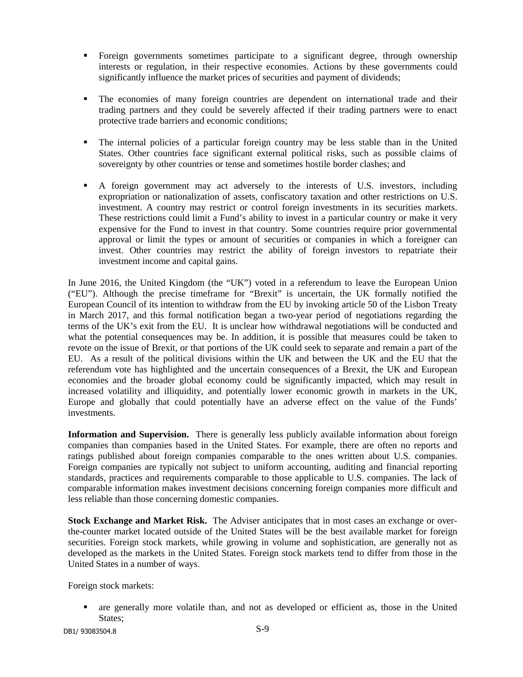- Foreign governments sometimes participate to a significant degree, through ownership interests or regulation, in their respective economies. Actions by these governments could significantly influence the market prices of securities and payment of dividends;
- The economies of many foreign countries are dependent on international trade and their trading partners and they could be severely affected if their trading partners were to enact protective trade barriers and economic conditions;
- The internal policies of a particular foreign country may be less stable than in the United States. Other countries face significant external political risks, such as possible claims of sovereignty by other countries or tense and sometimes hostile border clashes; and
- A foreign government may act adversely to the interests of U.S. investors, including expropriation or nationalization of assets, confiscatory taxation and other restrictions on U.S. investment. A country may restrict or control foreign investments in its securities markets. These restrictions could limit a Fund's ability to invest in a particular country or make it very expensive for the Fund to invest in that country. Some countries require prior governmental approval or limit the types or amount of securities or companies in which a foreigner can invest. Other countries may restrict the ability of foreign investors to repatriate their investment income and capital gains.

In June 2016, the United Kingdom (the "UK") voted in a referendum to leave the European Union ("EU"). Although the precise timeframe for "Brexit" is uncertain, the UK formally notified the European Council of its intention to withdraw from the EU by invoking article 50 of the Lisbon Treaty in March 2017, and this formal notification began a two-year period of negotiations regarding the terms of the UK's exit from the EU. It is unclear how withdrawal negotiations will be conducted and what the potential consequences may be. In addition, it is possible that measures could be taken to revote on the issue of Brexit, or that portions of the UK could seek to separate and remain a part of the EU. As a result of the political divisions within the UK and between the UK and the EU that the referendum vote has highlighted and the uncertain consequences of a Brexit, the UK and European economies and the broader global economy could be significantly impacted, which may result in increased volatility and illiquidity, and potentially lower economic growth in markets in the UK, Europe and globally that could potentially have an adverse effect on the value of the Funds' investments.

**Information and Supervision.** There is generally less publicly available information about foreign companies than companies based in the United States. For example, there are often no reports and ratings published about foreign companies comparable to the ones written about U.S. companies. Foreign companies are typically not subject to uniform accounting, auditing and financial reporting standards, practices and requirements comparable to those applicable to U.S. companies. The lack of comparable information makes investment decisions concerning foreign companies more difficult and less reliable than those concerning domestic companies.

**Stock Exchange and Market Risk.** The Adviser anticipates that in most cases an exchange or overthe-counter market located outside of the United States will be the best available market for foreign securities. Foreign stock markets, while growing in volume and sophistication, are generally not as developed as the markets in the United States. Foreign stock markets tend to differ from those in the United States in a number of ways.

Foreign stock markets:

 are generally more volatile than, and not as developed or efficient as, those in the United States;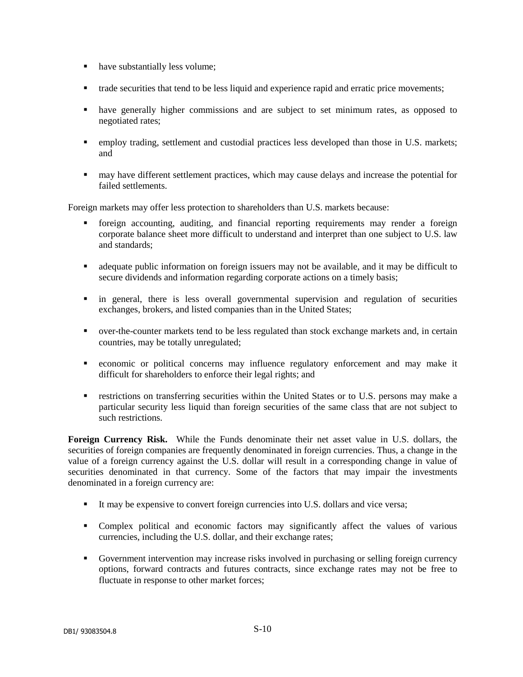- have substantially less volume;
- trade securities that tend to be less liquid and experience rapid and erratic price movements;
- have generally higher commissions and are subject to set minimum rates, as opposed to negotiated rates;
- **EXECUTE:** employ trading, settlement and custodial practices less developed than those in U.S. markets; and
- may have different settlement practices, which may cause delays and increase the potential for failed settlements.

Foreign markets may offer less protection to shareholders than U.S. markets because:

- foreign accounting, auditing, and financial reporting requirements may render a foreign corporate balance sheet more difficult to understand and interpret than one subject to U.S. law and standards;
- adequate public information on foreign issuers may not be available, and it may be difficult to secure dividends and information regarding corporate actions on a timely basis;
- in general, there is less overall governmental supervision and regulation of securities exchanges, brokers, and listed companies than in the United States;
- over-the-counter markets tend to be less regulated than stock exchange markets and, in certain countries, may be totally unregulated;
- economic or political concerns may influence regulatory enforcement and may make it difficult for shareholders to enforce their legal rights; and
- restrictions on transferring securities within the United States or to U.S. persons may make a particular security less liquid than foreign securities of the same class that are not subject to such restrictions.

**Foreign Currency Risk.** While the Funds denominate their net asset value in U.S. dollars, the securities of foreign companies are frequently denominated in foreign currencies. Thus, a change in the value of a foreign currency against the U.S. dollar will result in a corresponding change in value of securities denominated in that currency. Some of the factors that may impair the investments denominated in a foreign currency are:

- It may be expensive to convert foreign currencies into U.S. dollars and vice versa;
- Complex political and economic factors may significantly affect the values of various currencies, including the U.S. dollar, and their exchange rates;
- Government intervention may increase risks involved in purchasing or selling foreign currency options, forward contracts and futures contracts, since exchange rates may not be free to fluctuate in response to other market forces;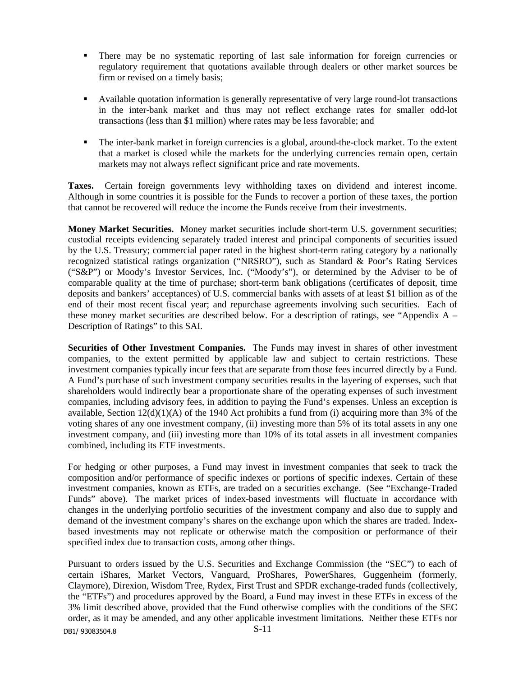- There may be no systematic reporting of last sale information for foreign currencies or regulatory requirement that quotations available through dealers or other market sources be firm or revised on a timely basis;
- Available quotation information is generally representative of very large round-lot transactions in the inter-bank market and thus may not reflect exchange rates for smaller odd-lot transactions (less than \$1 million) where rates may be less favorable; and
- The inter-bank market in foreign currencies is a global, around-the-clock market. To the extent that a market is closed while the markets for the underlying currencies remain open, certain markets may not always reflect significant price and rate movements.

**Taxes.** Certain foreign governments levy withholding taxes on dividend and interest income. Although in some countries it is possible for the Funds to recover a portion of these taxes, the portion that cannot be recovered will reduce the income the Funds receive from their investments.

**Money Market Securities.** Money market securities include short-term U.S. government securities; custodial receipts evidencing separately traded interest and principal components of securities issued by the U.S. Treasury; commercial paper rated in the highest short-term rating category by a nationally recognized statistical ratings organization ("NRSRO"), such as Standard & Poor's Rating Services ("S&P") or Moody's Investor Services, Inc. ("Moody's"), or determined by the Adviser to be of comparable quality at the time of purchase; short-term bank obligations (certificates of deposit, time deposits and bankers' acceptances) of U.S. commercial banks with assets of at least \$1 billion as of the end of their most recent fiscal year; and repurchase agreements involving such securities. Each of these money market securities are described below. For a description of ratings, see "Appendix A – Description of Ratings" to this SAI.

**Securities of Other Investment Companies.** The Funds may invest in shares of other investment companies, to the extent permitted by applicable law and subject to certain restrictions. These investment companies typically incur fees that are separate from those fees incurred directly by a Fund. A Fund's purchase of such investment company securities results in the layering of expenses, such that shareholders would indirectly bear a proportionate share of the operating expenses of such investment companies, including advisory fees, in addition to paying the Fund's expenses. Unless an exception is available, Section  $12(d)(1)(A)$  of the 1940 Act prohibits a fund from (i) acquiring more than 3% of the voting shares of any one investment company, (ii) investing more than 5% of its total assets in any one investment company, and (iii) investing more than 10% of its total assets in all investment companies combined, including its ETF investments.

For hedging or other purposes, a Fund may invest in investment companies that seek to track the composition and/or performance of specific indexes or portions of specific indexes. Certain of these investment companies, known as ETFs, are traded on a securities exchange. (See "Exchange-Traded Funds" above). The market prices of index-based investments will fluctuate in accordance with changes in the underlying portfolio securities of the investment company and also due to supply and demand of the investment company's shares on the exchange upon which the shares are traded. Indexbased investments may not replicate or otherwise match the composition or performance of their specified index due to transaction costs, among other things.

DB1/ 93083504.8 S-11 Pursuant to orders issued by the U.S. Securities and Exchange Commission (the "SEC") to each of certain iShares, Market Vectors, Vanguard, ProShares, PowerShares, Guggenheim (formerly, Claymore), Direxion, Wisdom Tree, Rydex, First Trust and SPDR exchange-traded funds (collectively, the "ETFs") and procedures approved by the Board, a Fund may invest in these ETFs in excess of the 3% limit described above, provided that the Fund otherwise complies with the conditions of the SEC order, as it may be amended, and any other applicable investment limitations. Neither these ETFs nor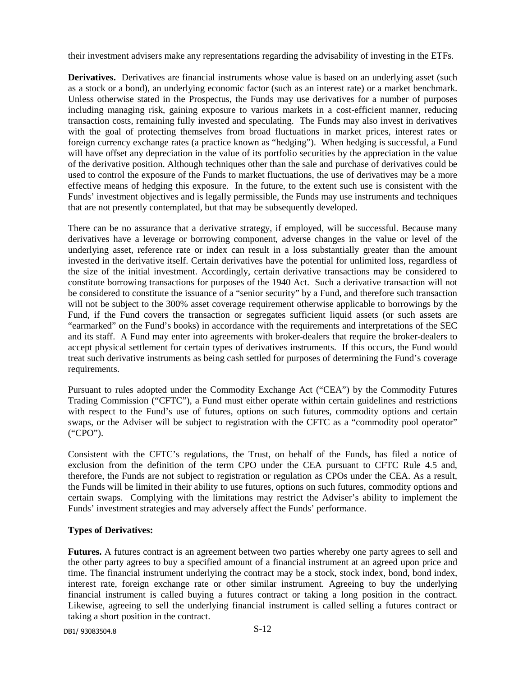their investment advisers make any representations regarding the advisability of investing in the ETFs.

**Derivatives.** Derivatives are financial instruments whose value is based on an underlying asset (such as a stock or a bond), an underlying economic factor (such as an interest rate) or a market benchmark. Unless otherwise stated in the Prospectus, the Funds may use derivatives for a number of purposes including managing risk, gaining exposure to various markets in a cost-efficient manner, reducing transaction costs, remaining fully invested and speculating. The Funds may also invest in derivatives with the goal of protecting themselves from broad fluctuations in market prices, interest rates or foreign currency exchange rates (a practice known as "hedging"). When hedging is successful, a Fund will have offset any depreciation in the value of its portfolio securities by the appreciation in the value of the derivative position. Although techniques other than the sale and purchase of derivatives could be used to control the exposure of the Funds to market fluctuations, the use of derivatives may be a more effective means of hedging this exposure. In the future, to the extent such use is consistent with the Funds' investment objectives and is legally permissible, the Funds may use instruments and techniques that are not presently contemplated, but that may be subsequently developed.

There can be no assurance that a derivative strategy, if employed, will be successful. Because many derivatives have a leverage or borrowing component, adverse changes in the value or level of the underlying asset, reference rate or index can result in a loss substantially greater than the amount invested in the derivative itself. Certain derivatives have the potential for unlimited loss, regardless of the size of the initial investment. Accordingly, certain derivative transactions may be considered to constitute borrowing transactions for purposes of the 1940 Act. Such a derivative transaction will not be considered to constitute the issuance of a "senior security" by a Fund, and therefore such transaction will not be subject to the 300% asset coverage requirement otherwise applicable to borrowings by the Fund, if the Fund covers the transaction or segregates sufficient liquid assets (or such assets are "earmarked" on the Fund's books) in accordance with the requirements and interpretations of the SEC and its staff. A Fund may enter into agreements with broker-dealers that require the broker-dealers to accept physical settlement for certain types of derivatives instruments. If this occurs, the Fund would treat such derivative instruments as being cash settled for purposes of determining the Fund's coverage requirements.

Pursuant to rules adopted under the Commodity Exchange Act ("CEA") by the Commodity Futures Trading Commission ("CFTC"), a Fund must either operate within certain guidelines and restrictions with respect to the Fund's use of futures, options on such futures, commodity options and certain swaps, or the Adviser will be subject to registration with the CFTC as a "commodity pool operator" ("CPO").

Consistent with the CFTC's regulations, the Trust, on behalf of the Funds, has filed a notice of exclusion from the definition of the term CPO under the CEA pursuant to CFTC Rule 4.5 and, therefore, the Funds are not subject to registration or regulation as CPOs under the CEA. As a result, the Funds will be limited in their ability to use futures, options on such futures, commodity options and certain swaps. Complying with the limitations may restrict the Adviser's ability to implement the Funds' investment strategies and may adversely affect the Funds' performance.

### **Types of Derivatives:**

**Futures.** A futures contract is an agreement between two parties whereby one party agrees to sell and the other party agrees to buy a specified amount of a financial instrument at an agreed upon price and time. The financial instrument underlying the contract may be a stock, stock index, bond, bond index, interest rate, foreign exchange rate or other similar instrument. Agreeing to buy the underlying financial instrument is called buying a futures contract or taking a long position in the contract. Likewise, agreeing to sell the underlying financial instrument is called selling a futures contract or taking a short position in the contract.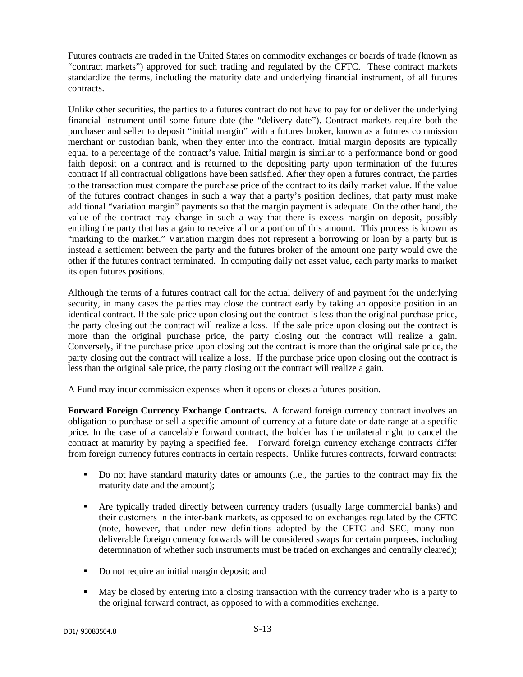Futures contracts are traded in the United States on commodity exchanges or boards of trade (known as "contract markets") approved for such trading and regulated by the CFTC. These contract markets standardize the terms, including the maturity date and underlying financial instrument, of all futures contracts.

Unlike other securities, the parties to a futures contract do not have to pay for or deliver the underlying financial instrument until some future date (the "delivery date"). Contract markets require both the purchaser and seller to deposit "initial margin" with a futures broker, known as a futures commission merchant or custodian bank, when they enter into the contract. Initial margin deposits are typically equal to a percentage of the contract's value. Initial margin is similar to a performance bond or good faith deposit on a contract and is returned to the depositing party upon termination of the futures contract if all contractual obligations have been satisfied. After they open a futures contract, the parties to the transaction must compare the purchase price of the contract to its daily market value. If the value of the futures contract changes in such a way that a party's position declines, that party must make additional "variation margin" payments so that the margin payment is adequate. On the other hand, the value of the contract may change in such a way that there is excess margin on deposit, possibly entitling the party that has a gain to receive all or a portion of this amount. This process is known as "marking to the market." Variation margin does not represent a borrowing or loan by a party but is instead a settlement between the party and the futures broker of the amount one party would owe the other if the futures contract terminated. In computing daily net asset value, each party marks to market its open futures positions.

Although the terms of a futures contract call for the actual delivery of and payment for the underlying security, in many cases the parties may close the contract early by taking an opposite position in an identical contract. If the sale price upon closing out the contract is less than the original purchase price, the party closing out the contract will realize a loss. If the sale price upon closing out the contract is more than the original purchase price, the party closing out the contract will realize a gain. Conversely, if the purchase price upon closing out the contract is more than the original sale price, the party closing out the contract will realize a loss. If the purchase price upon closing out the contract is less than the original sale price, the party closing out the contract will realize a gain.

A Fund may incur commission expenses when it opens or closes a futures position.

**Forward Foreign Currency Exchange Contracts.** A forward foreign currency contract involves an obligation to purchase or sell a specific amount of currency at a future date or date range at a specific price. In the case of a cancelable forward contract, the holder has the unilateral right to cancel the contract at maturity by paying a specified fee. Forward foreign currency exchange contracts differ from foreign currency futures contracts in certain respects. Unlike futures contracts, forward contracts:

- Do not have standard maturity dates or amounts (i.e., the parties to the contract may fix the maturity date and the amount);
- Are typically traded directly between currency traders (usually large commercial banks) and their customers in the inter-bank markets, as opposed to on exchanges regulated by the CFTC (note, however, that under new definitions adopted by the CFTC and SEC, many nondeliverable foreign currency forwards will be considered swaps for certain purposes, including determination of whether such instruments must be traded on exchanges and centrally cleared);
- Do not require an initial margin deposit; and
- May be closed by entering into a closing transaction with the currency trader who is a party to the original forward contract, as opposed to with a commodities exchange.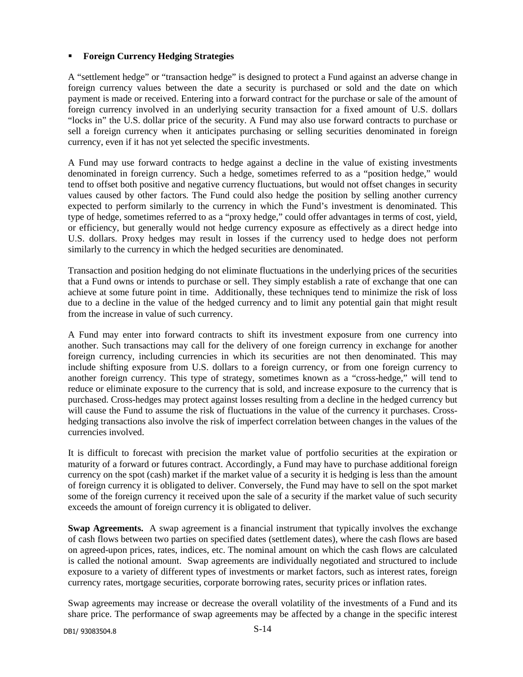### **Foreign Currency Hedging Strategies**

A "settlement hedge" or "transaction hedge" is designed to protect a Fund against an adverse change in foreign currency values between the date a security is purchased or sold and the date on which payment is made or received. Entering into a forward contract for the purchase or sale of the amount of foreign currency involved in an underlying security transaction for a fixed amount of U.S. dollars "locks in" the U.S. dollar price of the security. A Fund may also use forward contracts to purchase or sell a foreign currency when it anticipates purchasing or selling securities denominated in foreign currency, even if it has not yet selected the specific investments.

A Fund may use forward contracts to hedge against a decline in the value of existing investments denominated in foreign currency. Such a hedge, sometimes referred to as a "position hedge," would tend to offset both positive and negative currency fluctuations, but would not offset changes in security values caused by other factors. The Fund could also hedge the position by selling another currency expected to perform similarly to the currency in which the Fund's investment is denominated. This type of hedge, sometimes referred to as a "proxy hedge," could offer advantages in terms of cost, yield, or efficiency, but generally would not hedge currency exposure as effectively as a direct hedge into U.S. dollars. Proxy hedges may result in losses if the currency used to hedge does not perform similarly to the currency in which the hedged securities are denominated.

Transaction and position hedging do not eliminate fluctuations in the underlying prices of the securities that a Fund owns or intends to purchase or sell. They simply establish a rate of exchange that one can achieve at some future point in time. Additionally, these techniques tend to minimize the risk of loss due to a decline in the value of the hedged currency and to limit any potential gain that might result from the increase in value of such currency.

A Fund may enter into forward contracts to shift its investment exposure from one currency into another. Such transactions may call for the delivery of one foreign currency in exchange for another foreign currency, including currencies in which its securities are not then denominated. This may include shifting exposure from U.S. dollars to a foreign currency, or from one foreign currency to another foreign currency. This type of strategy, sometimes known as a "cross-hedge," will tend to reduce or eliminate exposure to the currency that is sold, and increase exposure to the currency that is purchased. Cross-hedges may protect against losses resulting from a decline in the hedged currency but will cause the Fund to assume the risk of fluctuations in the value of the currency it purchases. Crosshedging transactions also involve the risk of imperfect correlation between changes in the values of the currencies involved.

It is difficult to forecast with precision the market value of portfolio securities at the expiration or maturity of a forward or futures contract. Accordingly, a Fund may have to purchase additional foreign currency on the spot (cash) market if the market value of a security it is hedging is less than the amount of foreign currency it is obligated to deliver. Conversely, the Fund may have to sell on the spot market some of the foreign currency it received upon the sale of a security if the market value of such security exceeds the amount of foreign currency it is obligated to deliver.

**Swap Agreements.** A swap agreement is a financial instrument that typically involves the exchange of cash flows between two parties on specified dates (settlement dates), where the cash flows are based on agreed-upon prices, rates, indices, etc. The nominal amount on which the cash flows are calculated is called the notional amount. Swap agreements are individually negotiated and structured to include exposure to a variety of different types of investments or market factors, such as interest rates, foreign currency rates, mortgage securities, corporate borrowing rates, security prices or inflation rates.

Swap agreements may increase or decrease the overall volatility of the investments of a Fund and its share price. The performance of swap agreements may be affected by a change in the specific interest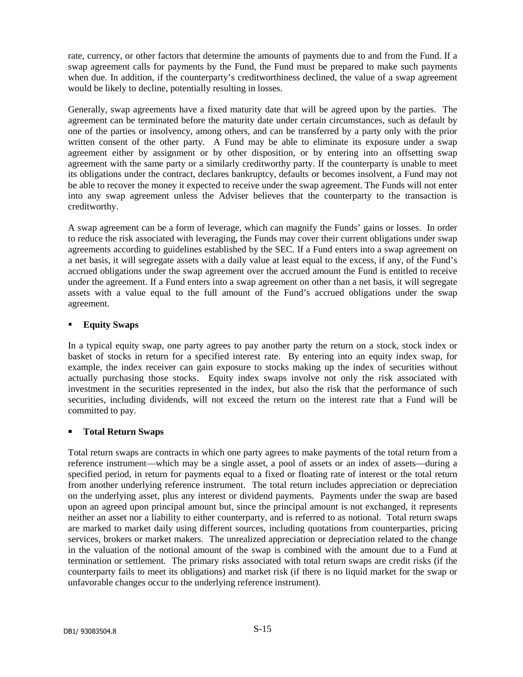rate, currency, or other factors that determine the amounts of payments due to and from the Fund. If a swap agreement calls for payments by the Fund, the Fund must be prepared to make such payments when due. In addition, if the counterparty's creditworthiness declined, the value of a swap agreement would be likely to decline, potentially resulting in losses.

Generally, swap agreements have a fixed maturity date that will be agreed upon by the parties. The agreement can be terminated before the maturity date under certain circumstances, such as default by one of the parties or insolvency, among others, and can be transferred by a party only with the prior written consent of the other party. A Fund may be able to eliminate its exposure under a swap agreement either by assignment or by other disposition, or by entering into an offsetting swap agreement with the same party or a similarly creditworthy party. If the counterparty is unable to meet its obligations under the contract, declares bankruptcy, defaults or becomes insolvent, a Fund may not be able to recover the money it expected to receive under the swap agreement. The Funds will not enter into any swap agreement unless the Adviser believes that the counterparty to the transaction is creditworthy.

A swap agreement can be a form of leverage, which can magnify the Funds' gains or losses. In order to reduce the risk associated with leveraging, the Funds may cover their current obligations under swap agreements according to guidelines established by the SEC. If a Fund enters into a swap agreement on a net basis, it will segregate assets with a daily value at least equal to the excess, if any, of the Fund's accrued obligations under the swap agreement over the accrued amount the Fund is entitled to receive under the agreement. If a Fund enters into a swap agreement on other than a net basis, it will segregate assets with a value equal to the full amount of the Fund's accrued obligations under the swap agreement.

### **Equity Swaps**

In a typical equity swap, one party agrees to pay another party the return on a stock, stock index or basket of stocks in return for a specified interest rate. By entering into an equity index swap, for example, the index receiver can gain exposure to stocks making up the index of securities without actually purchasing those stocks. Equity index swaps involve not only the risk associated with investment in the securities represented in the index, but also the risk that the performance of such securities, including dividends, will not exceed the return on the interest rate that a Fund will be committed to pay.

### **Total Return Swaps**

Total return swaps are contracts in which one party agrees to make payments of the total return from a reference instrument—which may be a single asset, a pool of assets or an index of assets—during a specified period, in return for payments equal to a fixed or floating rate of interest or the total return from another underlying reference instrument. The total return includes appreciation or depreciation on the underlying asset, plus any interest or dividend payments. Payments under the swap are based upon an agreed upon principal amount but, since the principal amount is not exchanged, it represents neither an asset nor a liability to either counterparty, and is referred to as notional. Total return swaps are marked to market daily using different sources, including quotations from counterparties, pricing services, brokers or market makers. The unrealized appreciation or depreciation related to the change in the valuation of the notional amount of the swap is combined with the amount due to a Fund at termination or settlement. The primary risks associated with total return swaps are credit risks (if the counterparty fails to meet its obligations) and market risk (if there is no liquid market for the swap or unfavorable changes occur to the underlying reference instrument).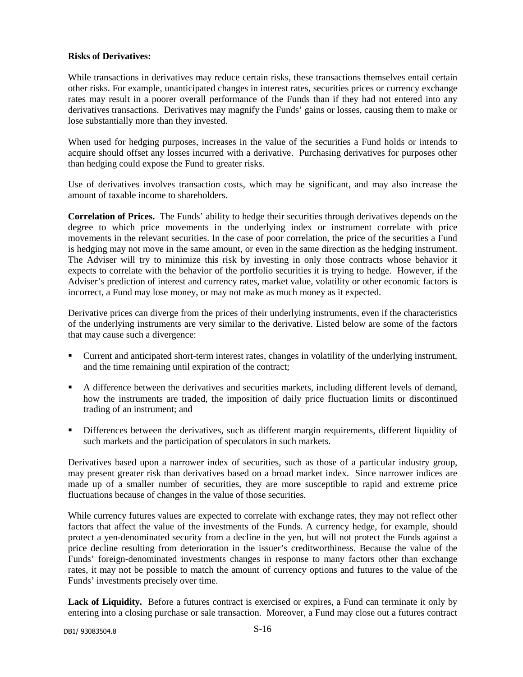### **Risks of Derivatives:**

While transactions in derivatives may reduce certain risks, these transactions themselves entail certain other risks. For example, unanticipated changes in interest rates, securities prices or currency exchange rates may result in a poorer overall performance of the Funds than if they had not entered into any derivatives transactions. Derivatives may magnify the Funds' gains or losses, causing them to make or lose substantially more than they invested.

When used for hedging purposes, increases in the value of the securities a Fund holds or intends to acquire should offset any losses incurred with a derivative. Purchasing derivatives for purposes other than hedging could expose the Fund to greater risks.

Use of derivatives involves transaction costs, which may be significant, and may also increase the amount of taxable income to shareholders.

**Correlation of Prices.** The Funds' ability to hedge their securities through derivatives depends on the degree to which price movements in the underlying index or instrument correlate with price movements in the relevant securities. In the case of poor correlation, the price of the securities a Fund is hedging may not move in the same amount, or even in the same direction as the hedging instrument. The Adviser will try to minimize this risk by investing in only those contracts whose behavior it expects to correlate with the behavior of the portfolio securities it is trying to hedge. However, if the Adviser's prediction of interest and currency rates, market value, volatility or other economic factors is incorrect, a Fund may lose money, or may not make as much money as it expected.

Derivative prices can diverge from the prices of their underlying instruments, even if the characteristics of the underlying instruments are very similar to the derivative. Listed below are some of the factors that may cause such a divergence:

- Current and anticipated short-term interest rates, changes in volatility of the underlying instrument, and the time remaining until expiration of the contract;
- A difference between the derivatives and securities markets, including different levels of demand, how the instruments are traded, the imposition of daily price fluctuation limits or discontinued trading of an instrument; and
- Differences between the derivatives, such as different margin requirements, different liquidity of such markets and the participation of speculators in such markets.

Derivatives based upon a narrower index of securities, such as those of a particular industry group, may present greater risk than derivatives based on a broad market index. Since narrower indices are made up of a smaller number of securities, they are more susceptible to rapid and extreme price fluctuations because of changes in the value of those securities.

While currency futures values are expected to correlate with exchange rates, they may not reflect other factors that affect the value of the investments of the Funds. A currency hedge, for example, should protect a yen-denominated security from a decline in the yen, but will not protect the Funds against a price decline resulting from deterioration in the issuer's creditworthiness. Because the value of the Funds' foreign-denominated investments changes in response to many factors other than exchange rates, it may not be possible to match the amount of currency options and futures to the value of the Funds' investments precisely over time.

**Lack of Liquidity.** Before a futures contract is exercised or expires, a Fund can terminate it only by entering into a closing purchase or sale transaction. Moreover, a Fund may close out a futures contract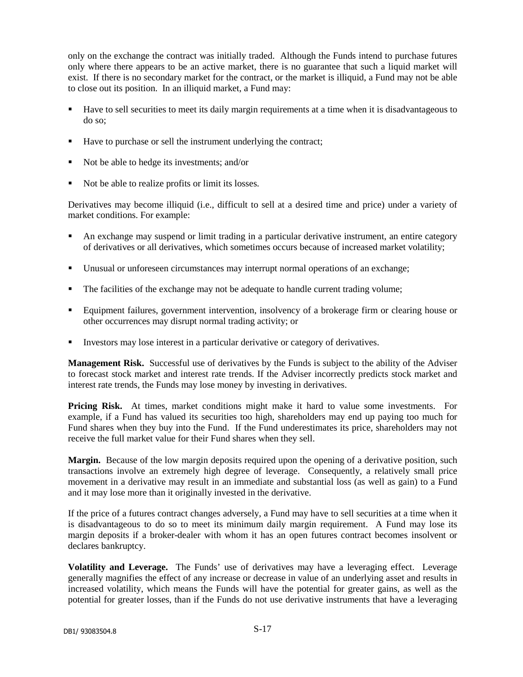only on the exchange the contract was initially traded. Although the Funds intend to purchase futures only where there appears to be an active market, there is no guarantee that such a liquid market will exist. If there is no secondary market for the contract, or the market is illiquid, a Fund may not be able to close out its position. In an illiquid market, a Fund may:

- Have to sell securities to meet its daily margin requirements at a time when it is disadvantageous to do so;
- Have to purchase or sell the instrument underlying the contract;
- Not be able to hedge its investments; and/or
- Not be able to realize profits or limit its losses.

Derivatives may become illiquid (i.e., difficult to sell at a desired time and price) under a variety of market conditions. For example:

- An exchange may suspend or limit trading in a particular derivative instrument, an entire category of derivatives or all derivatives, which sometimes occurs because of increased market volatility;
- Unusual or unforeseen circumstances may interrupt normal operations of an exchange;
- The facilities of the exchange may not be adequate to handle current trading volume;
- Equipment failures, government intervention, insolvency of a brokerage firm or clearing house or other occurrences may disrupt normal trading activity; or
- Investors may lose interest in a particular derivative or category of derivatives.

**Management Risk.** Successful use of derivatives by the Funds is subject to the ability of the Adviser to forecast stock market and interest rate trends. If the Adviser incorrectly predicts stock market and interest rate trends, the Funds may lose money by investing in derivatives.

**Pricing Risk.** At times, market conditions might make it hard to value some investments. For example, if a Fund has valued its securities too high, shareholders may end up paying too much for Fund shares when they buy into the Fund. If the Fund underestimates its price, shareholders may not receive the full market value for their Fund shares when they sell.

**Margin.** Because of the low margin deposits required upon the opening of a derivative position, such transactions involve an extremely high degree of leverage. Consequently, a relatively small price movement in a derivative may result in an immediate and substantial loss (as well as gain) to a Fund and it may lose more than it originally invested in the derivative.

If the price of a futures contract changes adversely, a Fund may have to sell securities at a time when it is disadvantageous to do so to meet its minimum daily margin requirement. A Fund may lose its margin deposits if a broker-dealer with whom it has an open futures contract becomes insolvent or declares bankruptcy.

**Volatility and Leverage.** The Funds' use of derivatives may have a leveraging effect. Leverage generally magnifies the effect of any increase or decrease in value of an underlying asset and results in increased volatility, which means the Funds will have the potential for greater gains, as well as the potential for greater losses, than if the Funds do not use derivative instruments that have a leveraging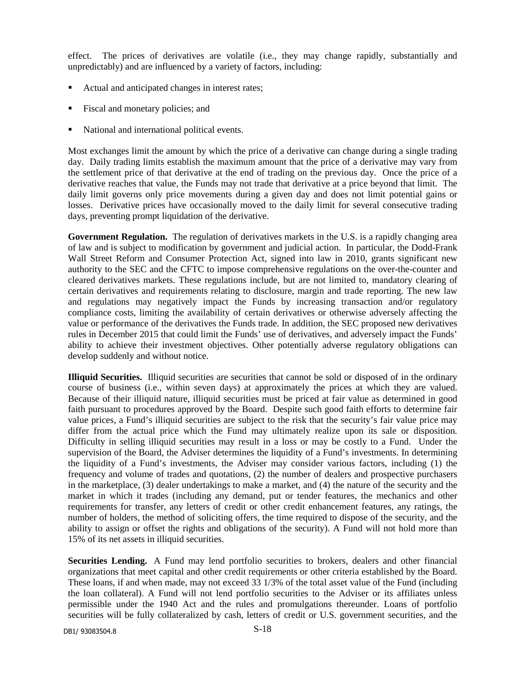effect. The prices of derivatives are volatile (i.e., they may change rapidly, substantially and unpredictably) and are influenced by a variety of factors, including:

- Actual and anticipated changes in interest rates;
- Fiscal and monetary policies; and
- National and international political events.

Most exchanges limit the amount by which the price of a derivative can change during a single trading day. Daily trading limits establish the maximum amount that the price of a derivative may vary from the settlement price of that derivative at the end of trading on the previous day. Once the price of a derivative reaches that value, the Funds may not trade that derivative at a price beyond that limit. The daily limit governs only price movements during a given day and does not limit potential gains or losses. Derivative prices have occasionally moved to the daily limit for several consecutive trading days, preventing prompt liquidation of the derivative.

**Government Regulation.** The regulation of derivatives markets in the U.S. is a rapidly changing area of law and is subject to modification by government and judicial action. In particular, the Dodd-Frank Wall Street Reform and Consumer Protection Act, signed into law in 2010, grants significant new authority to the SEC and the CFTC to impose comprehensive regulations on the over-the-counter and cleared derivatives markets. These regulations include, but are not limited to, mandatory clearing of certain derivatives and requirements relating to disclosure, margin and trade reporting. The new law and regulations may negatively impact the Funds by increasing transaction and/or regulatory compliance costs, limiting the availability of certain derivatives or otherwise adversely affecting the value or performance of the derivatives the Funds trade. In addition, the SEC proposed new derivatives rules in December 2015 that could limit the Funds' use of derivatives, and adversely impact the Funds' ability to achieve their investment objectives. Other potentially adverse regulatory obligations can develop suddenly and without notice.

**Illiquid Securities.** Illiquid securities are securities that cannot be sold or disposed of in the ordinary course of business (i.e., within seven days) at approximately the prices at which they are valued. Because of their illiquid nature, illiquid securities must be priced at fair value as determined in good faith pursuant to procedures approved by the Board. Despite such good faith efforts to determine fair value prices, a Fund's illiquid securities are subject to the risk that the security's fair value price may differ from the actual price which the Fund may ultimately realize upon its sale or disposition. Difficulty in selling illiquid securities may result in a loss or may be costly to a Fund. Under the supervision of the Board, the Adviser determines the liquidity of a Fund's investments. In determining the liquidity of a Fund's investments, the Adviser may consider various factors, including (1) the frequency and volume of trades and quotations, (2) the number of dealers and prospective purchasers in the marketplace, (3) dealer undertakings to make a market, and (4) the nature of the security and the market in which it trades (including any demand, put or tender features, the mechanics and other requirements for transfer, any letters of credit or other credit enhancement features, any ratings, the number of holders, the method of soliciting offers, the time required to dispose of the security, and the ability to assign or offset the rights and obligations of the security). A Fund will not hold more than 15% of its net assets in illiquid securities.

**Securities Lending.** A Fund may lend portfolio securities to brokers, dealers and other financial organizations that meet capital and other credit requirements or other criteria established by the Board. These loans, if and when made, may not exceed 33 1/3% of the total asset value of the Fund (including the loan collateral). A Fund will not lend portfolio securities to the Adviser or its affiliates unless permissible under the 1940 Act and the rules and promulgations thereunder. Loans of portfolio securities will be fully collateralized by cash, letters of credit or U.S. government securities, and the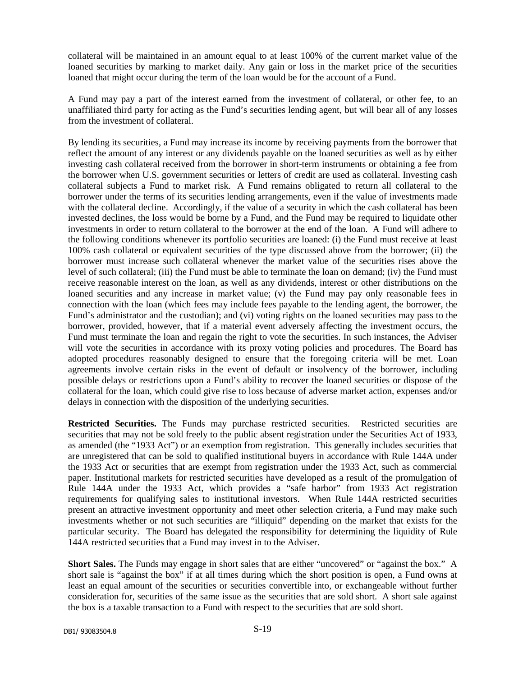collateral will be maintained in an amount equal to at least 100% of the current market value of the loaned securities by marking to market daily. Any gain or loss in the market price of the securities loaned that might occur during the term of the loan would be for the account of a Fund.

A Fund may pay a part of the interest earned from the investment of collateral, or other fee, to an unaffiliated third party for acting as the Fund's securities lending agent, but will bear all of any losses from the investment of collateral.

By lending its securities, a Fund may increase its income by receiving payments from the borrower that reflect the amount of any interest or any dividends payable on the loaned securities as well as by either investing cash collateral received from the borrower in short-term instruments or obtaining a fee from the borrower when U.S. government securities or letters of credit are used as collateral. Investing cash collateral subjects a Fund to market risk. A Fund remains obligated to return all collateral to the borrower under the terms of its securities lending arrangements, even if the value of investments made with the collateral decline. Accordingly, if the value of a security in which the cash collateral has been invested declines, the loss would be borne by a Fund, and the Fund may be required to liquidate other investments in order to return collateral to the borrower at the end of the loan. A Fund will adhere to the following conditions whenever its portfolio securities are loaned: (i) the Fund must receive at least 100% cash collateral or equivalent securities of the type discussed above from the borrower; (ii) the borrower must increase such collateral whenever the market value of the securities rises above the level of such collateral; (iii) the Fund must be able to terminate the loan on demand; (iv) the Fund must receive reasonable interest on the loan, as well as any dividends, interest or other distributions on the loaned securities and any increase in market value; (v) the Fund may pay only reasonable fees in connection with the loan (which fees may include fees payable to the lending agent, the borrower, the Fund's administrator and the custodian); and (vi) voting rights on the loaned securities may pass to the borrower, provided, however, that if a material event adversely affecting the investment occurs, the Fund must terminate the loan and regain the right to vote the securities. In such instances, the Adviser will vote the securities in accordance with its proxy voting policies and procedures. The Board has adopted procedures reasonably designed to ensure that the foregoing criteria will be met. Loan agreements involve certain risks in the event of default or insolvency of the borrower, including possible delays or restrictions upon a Fund's ability to recover the loaned securities or dispose of the collateral for the loan, which could give rise to loss because of adverse market action, expenses and/or delays in connection with the disposition of the underlying securities.

**Restricted Securities.** The Funds may purchase restricted securities. Restricted securities are securities that may not be sold freely to the public absent registration under the Securities Act of 1933, as amended (the "1933 Act") or an exemption from registration. This generally includes securities that are unregistered that can be sold to qualified institutional buyers in accordance with Rule 144A under the 1933 Act or securities that are exempt from registration under the 1933 Act, such as commercial paper. Institutional markets for restricted securities have developed as a result of the promulgation of Rule 144A under the 1933 Act, which provides a "safe harbor" from 1933 Act registration requirements for qualifying sales to institutional investors. When Rule 144A restricted securities present an attractive investment opportunity and meet other selection criteria, a Fund may make such investments whether or not such securities are "illiquid" depending on the market that exists for the particular security. The Board has delegated the responsibility for determining the liquidity of Rule 144A restricted securities that a Fund may invest in to the Adviser.

**Short Sales.** The Funds may engage in short sales that are either "uncovered" or "against the box." A short sale is "against the box" if at all times during which the short position is open, a Fund owns at least an equal amount of the securities or securities convertible into, or exchangeable without further consideration for, securities of the same issue as the securities that are sold short. A short sale against the box is a taxable transaction to a Fund with respect to the securities that are sold short.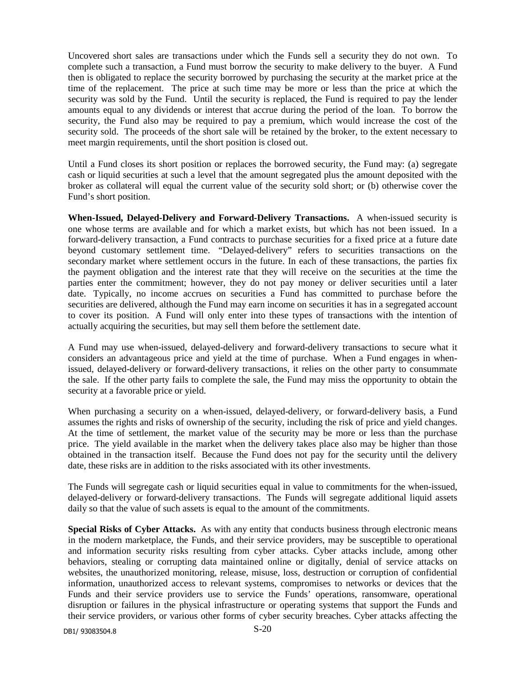Uncovered short sales are transactions under which the Funds sell a security they do not own. To complete such a transaction, a Fund must borrow the security to make delivery to the buyer. A Fund then is obligated to replace the security borrowed by purchasing the security at the market price at the time of the replacement. The price at such time may be more or less than the price at which the security was sold by the Fund. Until the security is replaced, the Fund is required to pay the lender amounts equal to any dividends or interest that accrue during the period of the loan. To borrow the security, the Fund also may be required to pay a premium, which would increase the cost of the security sold. The proceeds of the short sale will be retained by the broker, to the extent necessary to meet margin requirements, until the short position is closed out.

Until a Fund closes its short position or replaces the borrowed security, the Fund may: (a) segregate cash or liquid securities at such a level that the amount segregated plus the amount deposited with the broker as collateral will equal the current value of the security sold short; or (b) otherwise cover the Fund's short position.

**When-Issued, Delayed-Delivery and Forward-Delivery Transactions.** A when-issued security is one whose terms are available and for which a market exists, but which has not been issued. In a forward-delivery transaction, a Fund contracts to purchase securities for a fixed price at a future date beyond customary settlement time. "Delayed-delivery" refers to securities transactions on the secondary market where settlement occurs in the future. In each of these transactions, the parties fix the payment obligation and the interest rate that they will receive on the securities at the time the parties enter the commitment; however, they do not pay money or deliver securities until a later date. Typically, no income accrues on securities a Fund has committed to purchase before the securities are delivered, although the Fund may earn income on securities it has in a segregated account to cover its position. A Fund will only enter into these types of transactions with the intention of actually acquiring the securities, but may sell them before the settlement date.

A Fund may use when-issued, delayed-delivery and forward-delivery transactions to secure what it considers an advantageous price and yield at the time of purchase. When a Fund engages in whenissued, delayed-delivery or forward-delivery transactions, it relies on the other party to consummate the sale. If the other party fails to complete the sale, the Fund may miss the opportunity to obtain the security at a favorable price or yield.

When purchasing a security on a when-issued, delayed-delivery, or forward-delivery basis, a Fund assumes the rights and risks of ownership of the security, including the risk of price and yield changes. At the time of settlement, the market value of the security may be more or less than the purchase price. The yield available in the market when the delivery takes place also may be higher than those obtained in the transaction itself. Because the Fund does not pay for the security until the delivery date, these risks are in addition to the risks associated with its other investments.

The Funds will segregate cash or liquid securities equal in value to commitments for the when-issued, delayed-delivery or forward-delivery transactions. The Funds will segregate additional liquid assets daily so that the value of such assets is equal to the amount of the commitments.

**Special Risks of Cyber Attacks.** As with any entity that conducts business through electronic means in the modern marketplace, the Funds, and their service providers, may be susceptible to operational and information security risks resulting from cyber attacks. Cyber attacks include, among other behaviors, stealing or corrupting data maintained online or digitally, denial of service attacks on websites, the unauthorized monitoring, release, misuse, loss, destruction or corruption of confidential information, unauthorized access to relevant systems, compromises to networks or devices that the Funds and their service providers use to service the Funds' operations, ransomware, operational disruption or failures in the physical infrastructure or operating systems that support the Funds and their service providers, or various other forms of cyber security breaches. Cyber attacks affecting the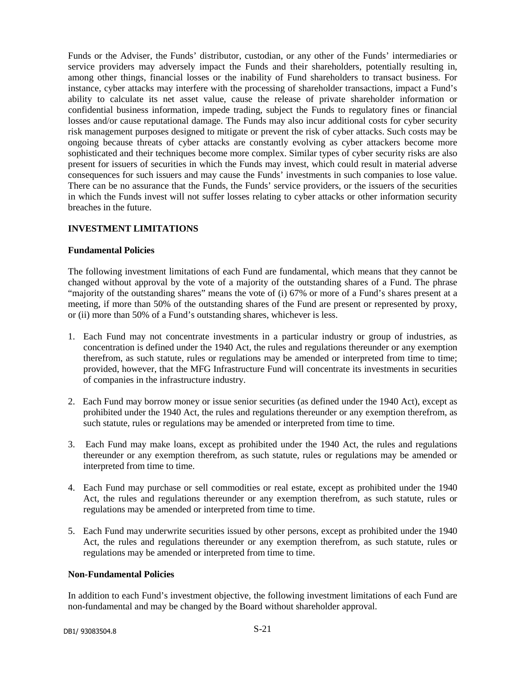Funds or the Adviser, the Funds' distributor, custodian, or any other of the Funds' intermediaries or service providers may adversely impact the Funds and their shareholders, potentially resulting in, among other things, financial losses or the inability of Fund shareholders to transact business. For instance, cyber attacks may interfere with the processing of shareholder transactions, impact a Fund's ability to calculate its net asset value, cause the release of private shareholder information or confidential business information, impede trading, subject the Funds to regulatory fines or financial losses and/or cause reputational damage. The Funds may also incur additional costs for cyber security risk management purposes designed to mitigate or prevent the risk of cyber attacks. Such costs may be ongoing because threats of cyber attacks are constantly evolving as cyber attackers become more sophisticated and their techniques become more complex. Similar types of cyber security risks are also present for issuers of securities in which the Funds may invest, which could result in material adverse consequences for such issuers and may cause the Funds' investments in such companies to lose value. There can be no assurance that the Funds, the Funds' service providers, or the issuers of the securities in which the Funds invest will not suffer losses relating to cyber attacks or other information security breaches in the future.

### **INVESTMENT LIMITATIONS**

#### **Fundamental Policies**

The following investment limitations of each Fund are fundamental, which means that they cannot be changed without approval by the vote of a majority of the outstanding shares of a Fund. The phrase "majority of the outstanding shares" means the vote of (i) 67% or more of a Fund's shares present at a meeting, if more than 50% of the outstanding shares of the Fund are present or represented by proxy, or (ii) more than 50% of a Fund's outstanding shares, whichever is less.

- 1. Each Fund may not concentrate investments in a particular industry or group of industries, as concentration is defined under the 1940 Act, the rules and regulations thereunder or any exemption therefrom, as such statute, rules or regulations may be amended or interpreted from time to time; provided, however, that the MFG Infrastructure Fund will concentrate its investments in securities of companies in the infrastructure industry.
- 2. Each Fund may borrow money or issue senior securities (as defined under the 1940 Act), except as prohibited under the 1940 Act, the rules and regulations thereunder or any exemption therefrom, as such statute, rules or regulations may be amended or interpreted from time to time.
- 3. Each Fund may make loans, except as prohibited under the 1940 Act, the rules and regulations thereunder or any exemption therefrom, as such statute, rules or regulations may be amended or interpreted from time to time.
- 4. Each Fund may purchase or sell commodities or real estate, except as prohibited under the 1940 Act, the rules and regulations thereunder or any exemption therefrom, as such statute, rules or regulations may be amended or interpreted from time to time.
- 5. Each Fund may underwrite securities issued by other persons, except as prohibited under the 1940 Act, the rules and regulations thereunder or any exemption therefrom, as such statute, rules or regulations may be amended or interpreted from time to time.

#### **Non-Fundamental Policies**

In addition to each Fund's investment objective, the following investment limitations of each Fund are non-fundamental and may be changed by the Board without shareholder approval.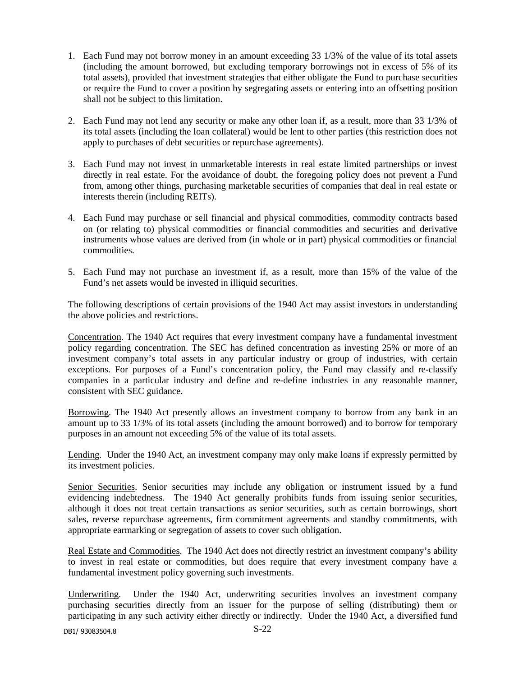- 1. Each Fund may not borrow money in an amount exceeding 33 1/3% of the value of its total assets (including the amount borrowed, but excluding temporary borrowings not in excess of 5% of its total assets), provided that investment strategies that either obligate the Fund to purchase securities or require the Fund to cover a position by segregating assets or entering into an offsetting position shall not be subject to this limitation.
- 2. Each Fund may not lend any security or make any other loan if, as a result, more than 33 1/3% of its total assets (including the loan collateral) would be lent to other parties (this restriction does not apply to purchases of debt securities or repurchase agreements).
- 3. Each Fund may not invest in unmarketable interests in real estate limited partnerships or invest directly in real estate. For the avoidance of doubt, the foregoing policy does not prevent a Fund from, among other things, purchasing marketable securities of companies that deal in real estate or interests therein (including REITs).
- 4. Each Fund may purchase or sell financial and physical commodities, commodity contracts based on (or relating to) physical commodities or financial commodities and securities and derivative instruments whose values are derived from (in whole or in part) physical commodities or financial commodities.
- 5. Each Fund may not purchase an investment if, as a result, more than 15% of the value of the Fund's net assets would be invested in illiquid securities.

The following descriptions of certain provisions of the 1940 Act may assist investors in understanding the above policies and restrictions.

Concentration. The 1940 Act requires that every investment company have a fundamental investment policy regarding concentration. The SEC has defined concentration as investing 25% or more of an investment company's total assets in any particular industry or group of industries, with certain exceptions. For purposes of a Fund's concentration policy, the Fund may classify and re-classify companies in a particular industry and define and re-define industries in any reasonable manner, consistent with SEC guidance.

Borrowing. The 1940 Act presently allows an investment company to borrow from any bank in an amount up to 33 1/3% of its total assets (including the amount borrowed) and to borrow for temporary purposes in an amount not exceeding 5% of the value of its total assets.

Lending. Under the 1940 Act, an investment company may only make loans if expressly permitted by its investment policies.

Senior Securities. Senior securities may include any obligation or instrument issued by a fund evidencing indebtedness. The 1940 Act generally prohibits funds from issuing senior securities, although it does not treat certain transactions as senior securities, such as certain borrowings, short sales, reverse repurchase agreements, firm commitment agreements and standby commitments, with appropriate earmarking or segregation of assets to cover such obligation.

Real Estate and Commodities. The 1940 Act does not directly restrict an investment company's ability to invest in real estate or commodities, but does require that every investment company have a fundamental investment policy governing such investments.

Underwriting. Under the 1940 Act, underwriting securities involves an investment company purchasing securities directly from an issuer for the purpose of selling (distributing) them or participating in any such activity either directly or indirectly. Under the 1940 Act, a diversified fund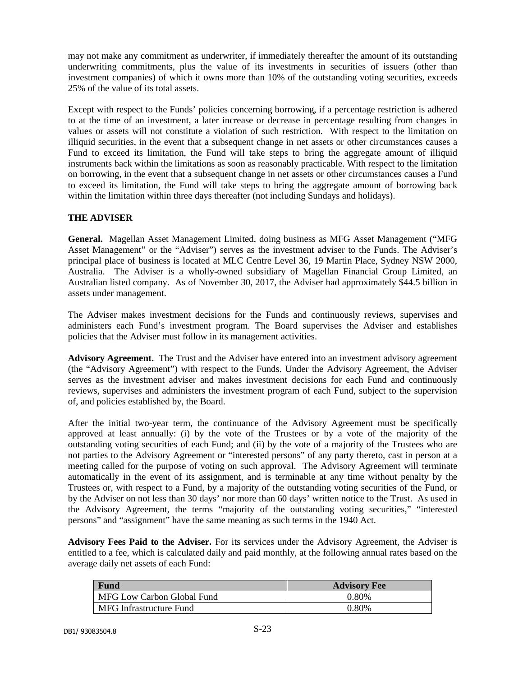may not make any commitment as underwriter, if immediately thereafter the amount of its outstanding underwriting commitments, plus the value of its investments in securities of issuers (other than investment companies) of which it owns more than 10% of the outstanding voting securities, exceeds 25% of the value of its total assets.

Except with respect to the Funds' policies concerning borrowing, if a percentage restriction is adhered to at the time of an investment, a later increase or decrease in percentage resulting from changes in values or assets will not constitute a violation of such restriction. With respect to the limitation on illiquid securities, in the event that a subsequent change in net assets or other circumstances causes a Fund to exceed its limitation, the Fund will take steps to bring the aggregate amount of illiquid instruments back within the limitations as soon as reasonably practicable. With respect to the limitation on borrowing, in the event that a subsequent change in net assets or other circumstances causes a Fund to exceed its limitation, the Fund will take steps to bring the aggregate amount of borrowing back within the limitation within three days thereafter (not including Sundays and holidays).

## **THE ADVISER**

**General.** Magellan Asset Management Limited, doing business as MFG Asset Management ("MFG Asset Management" or the "Adviser") serves as the investment adviser to the Funds. The Adviser's principal place of business is located at MLC Centre Level 36, 19 Martin Place, Sydney NSW 2000, Australia. The Adviser is a wholly-owned subsidiary of Magellan Financial Group Limited, an Australian listed company. As of November 30, 2017, the Adviser had approximately \$44.5 billion in assets under management.

The Adviser makes investment decisions for the Funds and continuously reviews, supervises and administers each Fund's investment program. The Board supervises the Adviser and establishes policies that the Adviser must follow in its management activities.

**Advisory Agreement.** The Trust and the Adviser have entered into an investment advisory agreement (the "Advisory Agreement") with respect to the Funds. Under the Advisory Agreement, the Adviser serves as the investment adviser and makes investment decisions for each Fund and continuously reviews, supervises and administers the investment program of each Fund, subject to the supervision of, and policies established by, the Board.

After the initial two-year term, the continuance of the Advisory Agreement must be specifically approved at least annually: (i) by the vote of the Trustees or by a vote of the majority of the outstanding voting securities of each Fund; and (ii) by the vote of a majority of the Trustees who are not parties to the Advisory Agreement or "interested persons" of any party thereto, cast in person at a meeting called for the purpose of voting on such approval. The Advisory Agreement will terminate automatically in the event of its assignment, and is terminable at any time without penalty by the Trustees or, with respect to a Fund, by a majority of the outstanding voting securities of the Fund, or by the Adviser on not less than 30 days' nor more than 60 days' written notice to the Trust. As used in the Advisory Agreement, the terms "majority of the outstanding voting securities," "interested persons" and "assignment" have the same meaning as such terms in the 1940 Act.

**Advisory Fees Paid to the Adviser.** For its services under the Advisory Agreement, the Adviser is entitled to a fee, which is calculated daily and paid monthly, at the following annual rates based on the average daily net assets of each Fund:

| <b>Fund</b>                    | <b>Advisory Fee</b> |
|--------------------------------|---------------------|
| MFG Low Carbon Global Fund     | 0.80%               |
| <b>MFG</b> Infrastructure Fund | 0.80%               |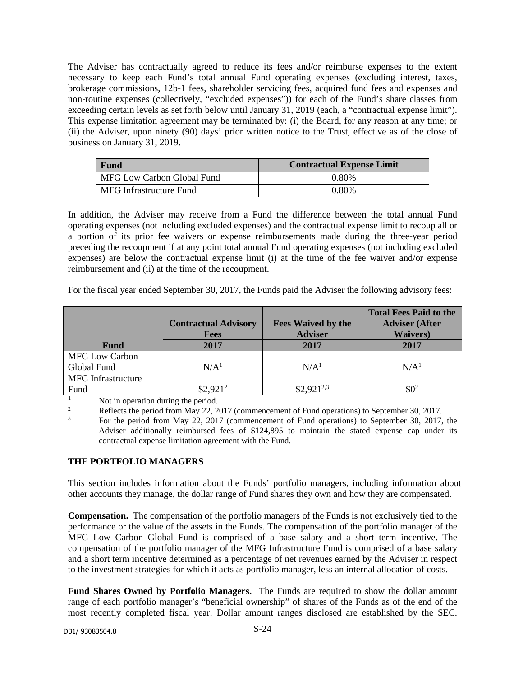The Adviser has contractually agreed to reduce its fees and/or reimburse expenses to the extent necessary to keep each Fund's total annual Fund operating expenses (excluding interest, taxes, brokerage commissions, 12b-1 fees, shareholder servicing fees, acquired fund fees and expenses and non-routine expenses (collectively, "excluded expenses")) for each of the Fund's share classes from exceeding certain levels as set forth below until January 31, 2019 (each, a "contractual expense limit"). This expense limitation agreement may be terminated by: (i) the Board, for any reason at any time; or (ii) the Adviser, upon ninety (90) days' prior written notice to the Trust, effective as of the close of business on January 31, 2019.

| <b>Fund</b>                | <b>Contractual Expense Limit</b> |
|----------------------------|----------------------------------|
| MFG Low Carbon Global Fund | 0.80%                            |
| MFG Infrastructure Fund    | 0.80%                            |

In addition, the Adviser may receive from a Fund the difference between the total annual Fund operating expenses (not including excluded expenses) and the contractual expense limit to recoup all or a portion of its prior fee waivers or expense reimbursements made during the three-year period preceding the recoupment if at any point total annual Fund operating expenses (not including excluded expenses) are below the contractual expense limit (i) at the time of the fee waiver and/or expense reimbursement and (ii) at the time of the recoupment.

For the fiscal year ended September 30, 2017, the Funds paid the Adviser the following advisory fees:

|                           |                             |                           | <b>Total Fees Paid to the</b> |
|---------------------------|-----------------------------|---------------------------|-------------------------------|
|                           | <b>Contractual Advisory</b> | <b>Fees Waived by the</b> | <b>Adviser (After</b>         |
|                           | <b>Fees</b>                 | <b>Adviser</b>            | <b>Waivers</b> )              |
| <b>Fund</b>               | 2017                        | 2017                      | 2017                          |
| <b>MFG Low Carbon</b>     |                             |                           |                               |
| Global Fund               | N/A <sup>1</sup>            | N/A <sup>1</sup>          | N/A <sup>1</sup>              |
| <b>MFG</b> Infrastructure |                             |                           |                               |
| Fund                      | $$2,921^2$                  | $$2,921^{2,3}$            | $$0^2$                        |
|                           | .                           |                           |                               |

 $\frac{1}{2}$  Not in operation during the period.

<sup>2</sup><br>Reflects the period from May 22, 2017 (commencement of Fund operations) to September 30, 2017.

<sup>3</sup> For the period from May 22, 2017 (commencement of Fund operations) to September 30, 2017, the Adviser additionally reimbursed fees of \$124,895 to maintain the stated expense cap under its contractual expense limitation agreement with the Fund.

### **THE PORTFOLIO MANAGERS**

This section includes information about the Funds' portfolio managers, including information about other accounts they manage, the dollar range of Fund shares they own and how they are compensated.

**Compensation.** The compensation of the portfolio managers of the Funds is not exclusively tied to the performance or the value of the assets in the Funds. The compensation of the portfolio manager of the MFG Low Carbon Global Fund is comprised of a base salary and a short term incentive. The compensation of the portfolio manager of the MFG Infrastructure Fund is comprised of a base salary and a short term incentive determined as a percentage of net revenues earned by the Adviser in respect to the investment strategies for which it acts as portfolio manager, less an internal allocation of costs.

**Fund Shares Owned by Portfolio Managers.** The Funds are required to show the dollar amount range of each portfolio manager's "beneficial ownership" of shares of the Funds as of the end of the most recently completed fiscal year. Dollar amount ranges disclosed are established by the SEC.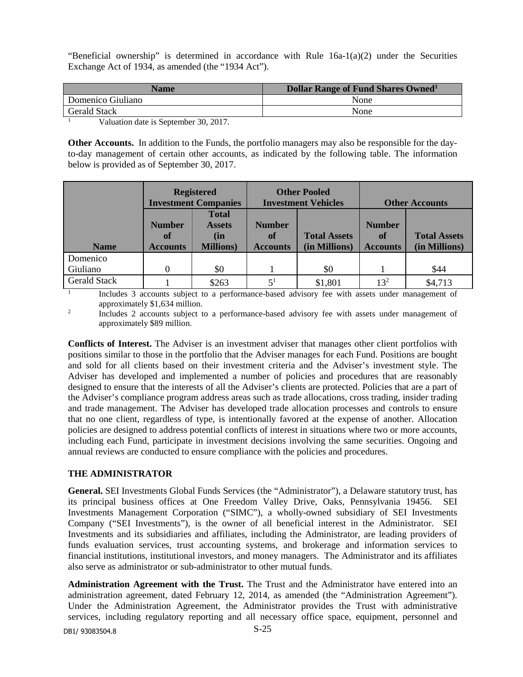"Beneficial ownership" is determined in accordance with Rule 16a-1(a)(2) under the Securities Exchange Act of 1934, as amended (the "1934 Act").

| Name                | Dollar Range of Fund Shares Owned <sup>1</sup> |
|---------------------|------------------------------------------------|
| Domenico Giuliano   | None                                           |
| <b>Gerald Stack</b> | None                                           |

Valuation date is September 30, 2017.

**Other Accounts.** In addition to the Funds, the portfolio managers may also be responsible for the dayto-day management of certain other accounts, as indicated by the following table. The information below is provided as of September 30, 2017.

|                      |                                        | <b>Registered</b><br><b>Investment Companies</b>          |                                               | <b>Other Pooled</b><br><b>Investment Vehicles</b> |                                        | <b>Other Accounts</b>                |
|----------------------|----------------------------------------|-----------------------------------------------------------|-----------------------------------------------|---------------------------------------------------|----------------------------------------|--------------------------------------|
| <b>Name</b>          | <b>Number</b><br>of<br><b>Accounts</b> | <b>Total</b><br><b>Assets</b><br>(in<br><b>Millions</b> ) | <b>Number</b><br><b>of</b><br><b>Accounts</b> | <b>Total Assets</b><br>(in Millions)              | <b>Number</b><br>of<br><b>Accounts</b> | <b>Total Assets</b><br>(in Millions) |
| Domenico<br>Giuliano | 0                                      | \$0                                                       |                                               | \$0                                               |                                        | \$44                                 |
| <b>Gerald Stack</b>  |                                        | \$263                                                     | $5^{1}$                                       | \$1,801                                           | $13^{2}$                               | \$4,713                              |

1 Includes 3 accounts subject to a performance-based advisory fee with assets under management of approximately \$1,634 million.

2 Includes 2 accounts subject to a performance-based advisory fee with assets under management of approximately \$89 million.

**Conflicts of Interest.** The Adviser is an investment adviser that manages other client portfolios with positions similar to those in the portfolio that the Adviser manages for each Fund. Positions are bought and sold for all clients based on their investment criteria and the Adviser's investment style. The Adviser has developed and implemented a number of policies and procedures that are reasonably designed to ensure that the interests of all the Adviser's clients are protected. Policies that are a part of the Adviser's compliance program address areas such as trade allocations, cross trading, insider trading and trade management. The Adviser has developed trade allocation processes and controls to ensure that no one client, regardless of type, is intentionally favored at the expense of another. Allocation policies are designed to address potential conflicts of interest in situations where two or more accounts, including each Fund, participate in investment decisions involving the same securities. Ongoing and annual reviews are conducted to ensure compliance with the policies and procedures.

#### **THE ADMINISTRATOR**

**General.** SEI Investments Global Funds Services (the "Administrator"), a Delaware statutory trust, has its principal business offices at One Freedom Valley Drive, Oaks, Pennsylvania 19456. SEI Investments Management Corporation ("SIMC"), a wholly-owned subsidiary of SEI Investments Company ("SEI Investments"), is the owner of all beneficial interest in the Administrator. SEI Investments and its subsidiaries and affiliates, including the Administrator, are leading providers of funds evaluation services, trust accounting systems, and brokerage and information services to financial institutions, institutional investors, and money managers. The Administrator and its affiliates also serve as administrator or sub-administrator to other mutual funds.

**Administration Agreement with the Trust.** The Trust and the Administrator have entered into an administration agreement, dated February 12, 2014, as amended (the "Administration Agreement"). Under the Administration Agreement, the Administrator provides the Trust with administrative services, including regulatory reporting and all necessary office space, equipment, personnel and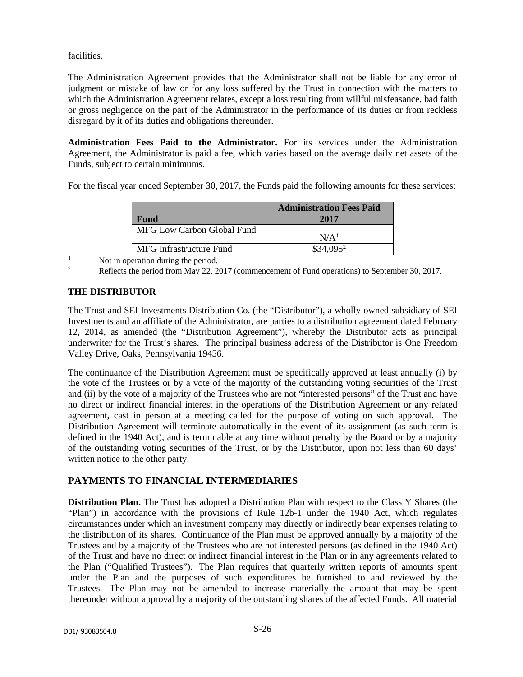facilities.

The Administration Agreement provides that the Administrator shall not be liable for any error of judgment or mistake of law or for any loss suffered by the Trust in connection with the matters to which the Administration Agreement relates, except a loss resulting from willful misfeasance, bad faith or gross negligence on the part of the Administrator in the performance of its duties or from reckless disregard by it of its duties and obligations thereunder.

**Administration Fees Paid to the Administrator.** For its services under the Administration Agreement, the Administrator is paid a fee, which varies based on the average daily net assets of the Funds, subject to certain minimums.

For the fiscal year ended September 30, 2017, the Funds paid the following amounts for these services:

|                            | <b>Administration Fees Paid</b> |
|----------------------------|---------------------------------|
| <b>Fund</b>                | 2017                            |
| MFG Low Carbon Global Fund | N/A <sup>1</sup>                |
| MFG Infrastructure Fund    | $$34.095^2$                     |

 $\frac{1}{2}$  Not in operation during the period.

<sup>2</sup> Reflects the period from May 22, 2017 (commencement of Fund operations) to September 30, 2017.

## **THE DISTRIBUTOR**

The Trust and SEI Investments Distribution Co. (the "Distributor"), a wholly-owned subsidiary of SEI Investments and an affiliate of the Administrator, are parties to a distribution agreement dated February 12, 2014, as amended (the "Distribution Agreement"), whereby the Distributor acts as principal underwriter for the Trust's shares. The principal business address of the Distributor is One Freedom Valley Drive, Oaks, Pennsylvania 19456.

The continuance of the Distribution Agreement must be specifically approved at least annually (i) by the vote of the Trustees or by a vote of the majority of the outstanding voting securities of the Trust and (ii) by the vote of a majority of the Trustees who are not "interested persons" of the Trust and have no direct or indirect financial interest in the operations of the Distribution Agreement or any related agreement, cast in person at a meeting called for the purpose of voting on such approval. The Distribution Agreement will terminate automatically in the event of its assignment (as such term is defined in the 1940 Act), and is terminable at any time without penalty by the Board or by a majority of the outstanding voting securities of the Trust, or by the Distributor, upon not less than 60 days' written notice to the other party.

## **PAYMENTS TO FINANCIAL INTERMEDIARIES**

**Distribution Plan.** The Trust has adopted a Distribution Plan with respect to the Class Y Shares (the "Plan") in accordance with the provisions of Rule 12b-1 under the 1940 Act, which regulates circumstances under which an investment company may directly or indirectly bear expenses relating to the distribution of its shares. Continuance of the Plan must be approved annually by a majority of the Trustees and by a majority of the Trustees who are not interested persons (as defined in the 1940 Act) of the Trust and have no direct or indirect financial interest in the Plan or in any agreements related to the Plan ("Qualified Trustees"). The Plan requires that quarterly written reports of amounts spent under the Plan and the purposes of such expenditures be furnished to and reviewed by the Trustees. The Plan may not be amended to increase materially the amount that may be spent thereunder without approval by a majority of the outstanding shares of the affected Funds. All material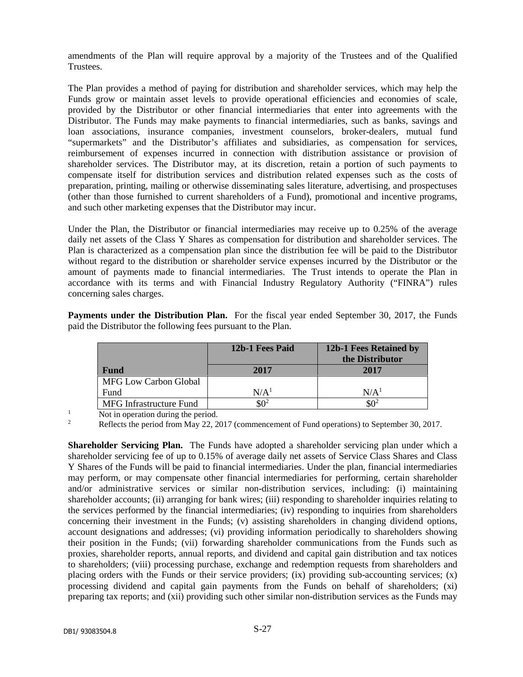amendments of the Plan will require approval by a majority of the Trustees and of the Qualified Trustees.

The Plan provides a method of paying for distribution and shareholder services, which may help the Funds grow or maintain asset levels to provide operational efficiencies and economies of scale, provided by the Distributor or other financial intermediaries that enter into agreements with the Distributor. The Funds may make payments to financial intermediaries, such as banks, savings and loan associations, insurance companies, investment counselors, broker-dealers, mutual fund "supermarkets" and the Distributor's affiliates and subsidiaries, as compensation for services, reimbursement of expenses incurred in connection with distribution assistance or provision of shareholder services. The Distributor may, at its discretion, retain a portion of such payments to compensate itself for distribution services and distribution related expenses such as the costs of preparation, printing, mailing or otherwise disseminating sales literature, advertising, and prospectuses (other than those furnished to current shareholders of a Fund), promotional and incentive programs, and such other marketing expenses that the Distributor may incur.

Under the Plan, the Distributor or financial intermediaries may receive up to 0.25% of the average daily net assets of the Class Y Shares as compensation for distribution and shareholder services. The Plan is characterized as a compensation plan since the distribution fee will be paid to the Distributor without regard to the distribution or shareholder service expenses incurred by the Distributor or the amount of payments made to financial intermediaries. The Trust intends to operate the Plan in accordance with its terms and with Financial Industry Regulatory Authority ("FINRA") rules concerning sales charges.

**Payments under the Distribution Plan.** For the fiscal year ended September 30, 2017, the Funds paid the Distributor the following fees pursuant to the Plan.

|                              | 12b-1 Fees Paid  | 12b-1 Fees Retained by<br>the Distributor |
|------------------------------|------------------|-------------------------------------------|
| <b>Fund</b>                  | 2017             | 2017                                      |
| <b>MFG Low Carbon Global</b> |                  |                                           |
| Fund                         | N/A <sup>1</sup> | N/A <sup>1</sup>                          |
| MFG Infrastructure Fund      | \$0 <sup>2</sup> | \$0 <sup>2</sup>                          |

 $\frac{1}{2}$  Not in operation during the period.

<sup>2</sup> Reflects the period from May 22, 2017 (commencement of Fund operations) to September 30, 2017.

**Shareholder Servicing Plan.** The Funds have adopted a shareholder servicing plan under which a shareholder servicing fee of up to 0.15% of average daily net assets of Service Class Shares and Class Y Shares of the Funds will be paid to financial intermediaries. Under the plan, financial intermediaries may perform, or may compensate other financial intermediaries for performing, certain shareholder and/or administrative services or similar non-distribution services, including: (i) maintaining shareholder accounts; (ii) arranging for bank wires; (iii) responding to shareholder inquiries relating to the services performed by the financial intermediaries; (iv) responding to inquiries from shareholders concerning their investment in the Funds; (v) assisting shareholders in changing dividend options, account designations and addresses; (vi) providing information periodically to shareholders showing their position in the Funds; (vii) forwarding shareholder communications from the Funds such as proxies, shareholder reports, annual reports, and dividend and capital gain distribution and tax notices to shareholders; (viii) processing purchase, exchange and redemption requests from shareholders and placing orders with the Funds or their service providers;  $(ix)$  providing sub-accounting services;  $(x)$ processing dividend and capital gain payments from the Funds on behalf of shareholders; (xi) preparing tax reports; and (xii) providing such other similar non-distribution services as the Funds may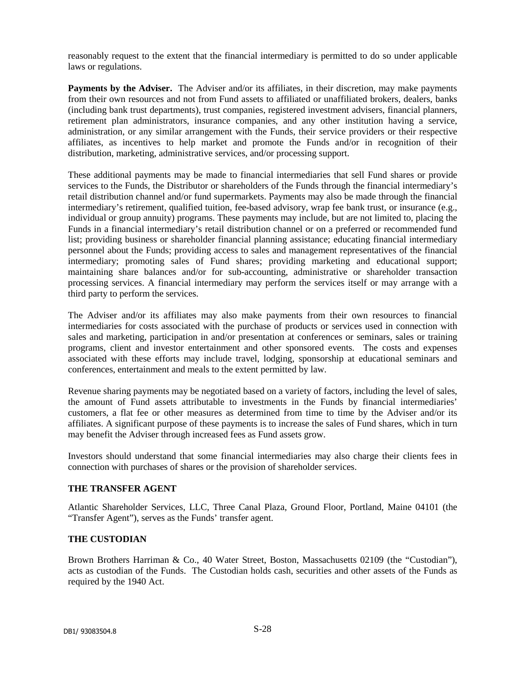reasonably request to the extent that the financial intermediary is permitted to do so under applicable laws or regulations.

**Payments by the Adviser.** The Adviser and/or its affiliates, in their discretion, may make payments from their own resources and not from Fund assets to affiliated or unaffiliated brokers, dealers, banks (including bank trust departments), trust companies, registered investment advisers, financial planners, retirement plan administrators, insurance companies, and any other institution having a service, administration, or any similar arrangement with the Funds, their service providers or their respective affiliates, as incentives to help market and promote the Funds and/or in recognition of their distribution, marketing, administrative services, and/or processing support.

These additional payments may be made to financial intermediaries that sell Fund shares or provide services to the Funds, the Distributor or shareholders of the Funds through the financial intermediary's retail distribution channel and/or fund supermarkets. Payments may also be made through the financial intermediary's retirement, qualified tuition, fee-based advisory, wrap fee bank trust, or insurance (e.g., individual or group annuity) programs. These payments may include, but are not limited to, placing the Funds in a financial intermediary's retail distribution channel or on a preferred or recommended fund list; providing business or shareholder financial planning assistance; educating financial intermediary personnel about the Funds; providing access to sales and management representatives of the financial intermediary; promoting sales of Fund shares; providing marketing and educational support; maintaining share balances and/or for sub-accounting, administrative or shareholder transaction processing services. A financial intermediary may perform the services itself or may arrange with a third party to perform the services.

The Adviser and/or its affiliates may also make payments from their own resources to financial intermediaries for costs associated with the purchase of products or services used in connection with sales and marketing, participation in and/or presentation at conferences or seminars, sales or training programs, client and investor entertainment and other sponsored events. The costs and expenses associated with these efforts may include travel, lodging, sponsorship at educational seminars and conferences, entertainment and meals to the extent permitted by law.

Revenue sharing payments may be negotiated based on a variety of factors, including the level of sales, the amount of Fund assets attributable to investments in the Funds by financial intermediaries' customers, a flat fee or other measures as determined from time to time by the Adviser and/or its affiliates. A significant purpose of these payments is to increase the sales of Fund shares, which in turn may benefit the Adviser through increased fees as Fund assets grow.

Investors should understand that some financial intermediaries may also charge their clients fees in connection with purchases of shares or the provision of shareholder services.

## **THE TRANSFER AGENT**

Atlantic Shareholder Services, LLC, Three Canal Plaza, Ground Floor, Portland, Maine 04101 (the "Transfer Agent"), serves as the Funds' transfer agent.

### **THE CUSTODIAN**

Brown Brothers Harriman & Co., 40 Water Street, Boston, Massachusetts 02109 (the "Custodian"), acts as custodian of the Funds. The Custodian holds cash, securities and other assets of the Funds as required by the 1940 Act.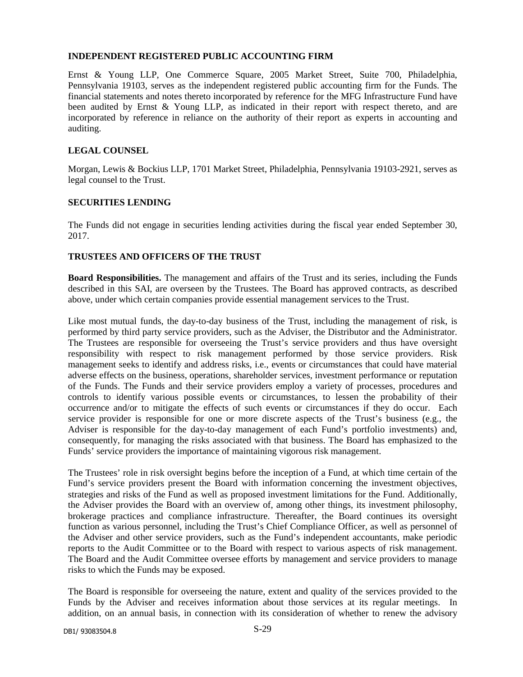### **INDEPENDENT REGISTERED PUBLIC ACCOUNTING FIRM**

Ernst & Young LLP, One Commerce Square, 2005 Market Street, Suite 700, Philadelphia, Pennsylvania 19103, serves as the independent registered public accounting firm for the Funds. The financial statements and notes thereto incorporated by reference for the MFG Infrastructure Fund have been audited by Ernst & Young LLP, as indicated in their report with respect thereto, and are incorporated by reference in reliance on the authority of their report as experts in accounting and auditing.

### **LEGAL COUNSEL**

Morgan, Lewis & Bockius LLP, 1701 Market Street, Philadelphia, Pennsylvania 19103-2921, serves as legal counsel to the Trust.

### **SECURITIES LENDING**

The Funds did not engage in securities lending activities during the fiscal year ended September 30, 2017.

### **TRUSTEES AND OFFICERS OF THE TRUST**

**Board Responsibilities.** The management and affairs of the Trust and its series, including the Funds described in this SAI, are overseen by the Trustees. The Board has approved contracts, as described above, under which certain companies provide essential management services to the Trust.

Like most mutual funds, the day-to-day business of the Trust, including the management of risk, is performed by third party service providers, such as the Adviser, the Distributor and the Administrator. The Trustees are responsible for overseeing the Trust's service providers and thus have oversight responsibility with respect to risk management performed by those service providers. Risk management seeks to identify and address risks, i.e., events or circumstances that could have material adverse effects on the business, operations, shareholder services, investment performance or reputation of the Funds. The Funds and their service providers employ a variety of processes, procedures and controls to identify various possible events or circumstances, to lessen the probability of their occurrence and/or to mitigate the effects of such events or circumstances if they do occur. Each service provider is responsible for one or more discrete aspects of the Trust's business (e.g., the Adviser is responsible for the day-to-day management of each Fund's portfolio investments) and, consequently, for managing the risks associated with that business. The Board has emphasized to the Funds' service providers the importance of maintaining vigorous risk management.

The Trustees' role in risk oversight begins before the inception of a Fund, at which time certain of the Fund's service providers present the Board with information concerning the investment objectives, strategies and risks of the Fund as well as proposed investment limitations for the Fund. Additionally, the Adviser provides the Board with an overview of, among other things, its investment philosophy, brokerage practices and compliance infrastructure. Thereafter, the Board continues its oversight function as various personnel, including the Trust's Chief Compliance Officer, as well as personnel of the Adviser and other service providers, such as the Fund's independent accountants, make periodic reports to the Audit Committee or to the Board with respect to various aspects of risk management. The Board and the Audit Committee oversee efforts by management and service providers to manage risks to which the Funds may be exposed.

The Board is responsible for overseeing the nature, extent and quality of the services provided to the Funds by the Adviser and receives information about those services at its regular meetings. In addition, on an annual basis, in connection with its consideration of whether to renew the advisory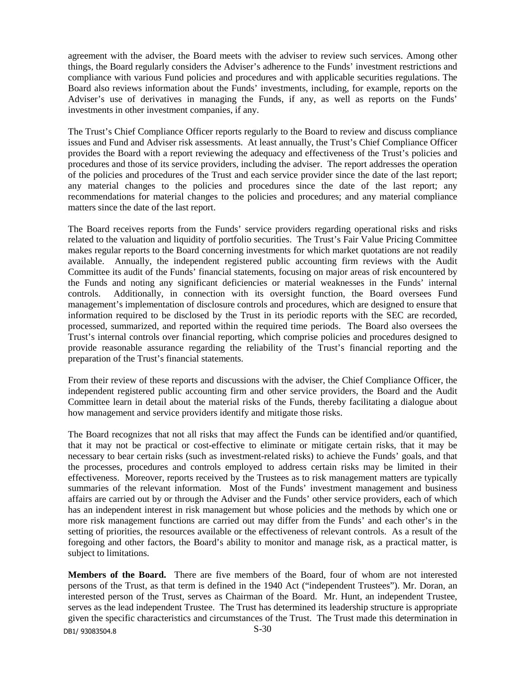agreement with the adviser, the Board meets with the adviser to review such services. Among other things, the Board regularly considers the Adviser's adherence to the Funds' investment restrictions and compliance with various Fund policies and procedures and with applicable securities regulations. The Board also reviews information about the Funds' investments, including, for example, reports on the Adviser's use of derivatives in managing the Funds, if any, as well as reports on the Funds' investments in other investment companies, if any.

The Trust's Chief Compliance Officer reports regularly to the Board to review and discuss compliance issues and Fund and Adviser risk assessments. At least annually, the Trust's Chief Compliance Officer provides the Board with a report reviewing the adequacy and effectiveness of the Trust's policies and procedures and those of its service providers, including the adviser. The report addresses the operation of the policies and procedures of the Trust and each service provider since the date of the last report; any material changes to the policies and procedures since the date of the last report; any recommendations for material changes to the policies and procedures; and any material compliance matters since the date of the last report.

The Board receives reports from the Funds' service providers regarding operational risks and risks related to the valuation and liquidity of portfolio securities. The Trust's Fair Value Pricing Committee makes regular reports to the Board concerning investments for which market quotations are not readily available. Annually, the independent registered public accounting firm reviews with the Audit Committee its audit of the Funds' financial statements, focusing on major areas of risk encountered by the Funds and noting any significant deficiencies or material weaknesses in the Funds' internal controls. Additionally, in connection with its oversight function, the Board oversees Fund management's implementation of disclosure controls and procedures, which are designed to ensure that information required to be disclosed by the Trust in its periodic reports with the SEC are recorded, processed, summarized, and reported within the required time periods. The Board also oversees the Trust's internal controls over financial reporting, which comprise policies and procedures designed to provide reasonable assurance regarding the reliability of the Trust's financial reporting and the preparation of the Trust's financial statements.

From their review of these reports and discussions with the adviser, the Chief Compliance Officer, the independent registered public accounting firm and other service providers, the Board and the Audit Committee learn in detail about the material risks of the Funds, thereby facilitating a dialogue about how management and service providers identify and mitigate those risks.

The Board recognizes that not all risks that may affect the Funds can be identified and/or quantified, that it may not be practical or cost-effective to eliminate or mitigate certain risks, that it may be necessary to bear certain risks (such as investment-related risks) to achieve the Funds' goals, and that the processes, procedures and controls employed to address certain risks may be limited in their effectiveness. Moreover, reports received by the Trustees as to risk management matters are typically summaries of the relevant information. Most of the Funds' investment management and business affairs are carried out by or through the Adviser and the Funds' other service providers, each of which has an independent interest in risk management but whose policies and the methods by which one or more risk management functions are carried out may differ from the Funds' and each other's in the setting of priorities, the resources available or the effectiveness of relevant controls. As a result of the foregoing and other factors, the Board's ability to monitor and manage risk, as a practical matter, is subject to limitations.

DB1/ 93083504.8 S-30 **Members of the Board.** There are five members of the Board, four of whom are not interested persons of the Trust, as that term is defined in the 1940 Act ("independent Trustees"). Mr. Doran, an interested person of the Trust, serves as Chairman of the Board. Mr. Hunt, an independent Trustee, serves as the lead independent Trustee. The Trust has determined its leadership structure is appropriate given the specific characteristics and circumstances of the Trust. The Trust made this determination in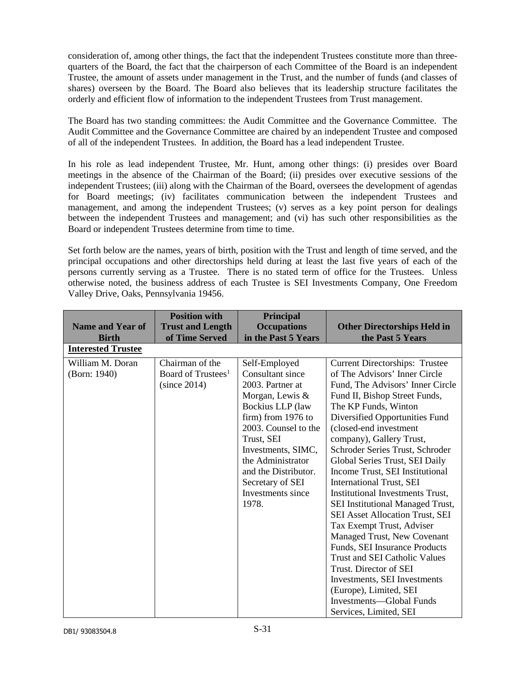consideration of, among other things, the fact that the independent Trustees constitute more than threequarters of the Board, the fact that the chairperson of each Committee of the Board is an independent Trustee, the amount of assets under management in the Trust, and the number of funds (and classes of shares) overseen by the Board. The Board also believes that its leadership structure facilitates the orderly and efficient flow of information to the independent Trustees from Trust management.

The Board has two standing committees: the Audit Committee and the Governance Committee. The Audit Committee and the Governance Committee are chaired by an independent Trustee and composed of all of the independent Trustees. In addition, the Board has a lead independent Trustee.

In his role as lead independent Trustee, Mr. Hunt, among other things: (i) presides over Board meetings in the absence of the Chairman of the Board; (ii) presides over executive sessions of the independent Trustees; (iii) along with the Chairman of the Board, oversees the development of agendas for Board meetings; (iv) facilitates communication between the independent Trustees and management, and among the independent Trustees; (v) serves as a key point person for dealings between the independent Trustees and management; and (vi) has such other responsibilities as the Board or independent Trustees determine from time to time.

Set forth below are the names, years of birth, position with the Trust and length of time served, and the principal occupations and other directorships held during at least the last five years of each of the persons currently serving as a Trustee. There is no stated term of office for the Trustees. Unless otherwise noted, the business address of each Trustee is SEI Investments Company, One Freedom Valley Drive, Oaks, Pennsylvania 19456.

|                                         | <b>Position with</b>                                              | <b>Principal</b>                                                                                                                                                                                                                                                              |                                                                                                                                                                                                                                                                                                                                                                                                                                                                                                                                                                                                                                                                                                                                                                                                  |
|-----------------------------------------|-------------------------------------------------------------------|-------------------------------------------------------------------------------------------------------------------------------------------------------------------------------------------------------------------------------------------------------------------------------|--------------------------------------------------------------------------------------------------------------------------------------------------------------------------------------------------------------------------------------------------------------------------------------------------------------------------------------------------------------------------------------------------------------------------------------------------------------------------------------------------------------------------------------------------------------------------------------------------------------------------------------------------------------------------------------------------------------------------------------------------------------------------------------------------|
| <b>Name and Year of</b><br><b>Birth</b> | <b>Trust and Length</b><br>of Time Served                         | <b>Occupations</b><br>in the Past 5 Years                                                                                                                                                                                                                                     | <b>Other Directorships Held in</b><br>the Past 5 Years                                                                                                                                                                                                                                                                                                                                                                                                                                                                                                                                                                                                                                                                                                                                           |
| <b>Interested Trustee</b>               |                                                                   |                                                                                                                                                                                                                                                                               |                                                                                                                                                                                                                                                                                                                                                                                                                                                                                                                                                                                                                                                                                                                                                                                                  |
| William M. Doran<br>(Born: 1940)        | Chairman of the<br>Board of Trustees <sup>1</sup><br>(since 2014) | Self-Employed<br>Consultant since<br>2003. Partner at<br>Morgan, Lewis &<br>Bockius LLP (law<br>firm) from 1976 to<br>2003. Counsel to the<br>Trust, SEI<br>Investments, SIMC,<br>the Administrator<br>and the Distributor.<br>Secretary of SEI<br>Investments since<br>1978. | <b>Current Directorships: Trustee</b><br>of The Advisors' Inner Circle<br>Fund, The Advisors' Inner Circle<br>Fund II, Bishop Street Funds,<br>The KP Funds, Winton<br>Diversified Opportunities Fund<br>(closed-end investment<br>company), Gallery Trust,<br>Schroder Series Trust, Schroder<br>Global Series Trust, SEI Daily<br>Income Trust, SEI Institutional<br><b>International Trust, SEI</b><br>Institutional Investments Trust,<br>SEI Institutional Managed Trust,<br>SEI Asset Allocation Trust, SEI<br>Tax Exempt Trust, Adviser<br>Managed Trust, New Covenant<br>Funds, SEI Insurance Products<br><b>Trust and SEI Catholic Values</b><br>Trust. Director of SEI<br>Investments, SEI Investments<br>(Europe), Limited, SEI<br>Investments—Global Funds<br>Services, Limited, SEI |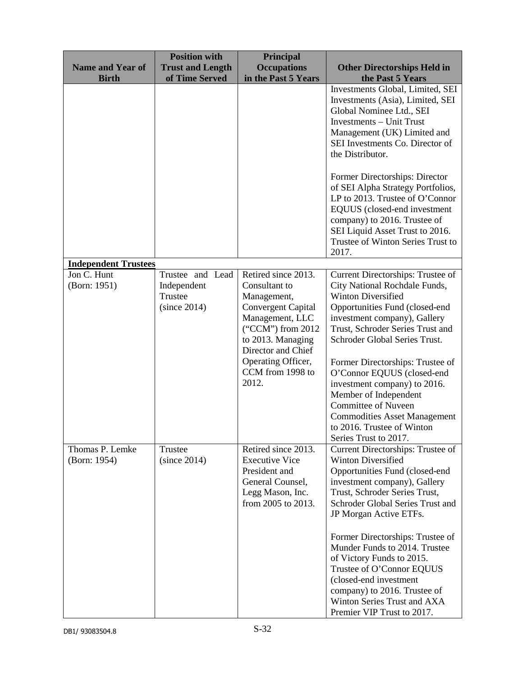| <b>Name and Year of</b>         | <b>Position with</b><br><b>Trust and Length</b>            | <b>Principal</b><br><b>Occupations</b>                                                                                                                                                                                 | <b>Other Directorships Held in</b>                                                                                                                                                                                                                                                                                                                                                                                                                                                                       |
|---------------------------------|------------------------------------------------------------|------------------------------------------------------------------------------------------------------------------------------------------------------------------------------------------------------------------------|----------------------------------------------------------------------------------------------------------------------------------------------------------------------------------------------------------------------------------------------------------------------------------------------------------------------------------------------------------------------------------------------------------------------------------------------------------------------------------------------------------|
| <b>Birth</b>                    | of Time Served                                             | in the Past 5 Years                                                                                                                                                                                                    | the Past 5 Years<br>Investments Global, Limited, SEI<br>Investments (Asia), Limited, SEI<br>Global Nominee Ltd., SEI<br><b>Investments</b> – Unit Trust<br>Management (UK) Limited and<br>SEI Investments Co. Director of<br>the Distributor.<br>Former Directorships: Director<br>of SEI Alpha Strategy Portfolios,<br>LP to 2013. Trustee of O'Connor<br>EQUUS (closed-end investment<br>company) to 2016. Trustee of<br>SEI Liquid Asset Trust to 2016.<br>Trustee of Winton Series Trust to<br>2017. |
| <b>Independent Trustees</b>     |                                                            |                                                                                                                                                                                                                        |                                                                                                                                                                                                                                                                                                                                                                                                                                                                                                          |
| Jon C. Hunt<br>(Born: 1951)     | Trustee and Lead<br>Independent<br>Trustee<br>(since 2014) | Retired since 2013.<br>Consultant to<br>Management,<br><b>Convergent Capital</b><br>Management, LLC<br>("CCM") from 2012<br>to 2013. Managing<br>Director and Chief<br>Operating Officer,<br>CCM from 1998 to<br>2012. | Current Directorships: Trustee of<br>City National Rochdale Funds,<br><b>Winton Diversified</b><br>Opportunities Fund (closed-end<br>investment company), Gallery<br>Trust, Schroder Series Trust and<br>Schroder Global Series Trust.<br>Former Directorships: Trustee of<br>O'Connor EQUUS (closed-end<br>investment company) to 2016.<br>Member of Independent<br><b>Committee of Nuveen</b><br><b>Commodities Asset Management</b><br>to 2016. Trustee of Winton<br>Series Trust to 2017.            |
| Thomas P. Lemke<br>(Born: 1954) | Trustee<br>(since 2014)                                    | Retired since 2013.<br><b>Executive Vice</b><br>President and<br>General Counsel,<br>Legg Mason, Inc.<br>from 2005 to 2013.                                                                                            | Current Directorships: Trustee of<br><b>Winton Diversified</b><br>Opportunities Fund (closed-end<br>investment company), Gallery<br>Trust, Schroder Series Trust,<br>Schroder Global Series Trust and<br>JP Morgan Active ETFs.<br>Former Directorships: Trustee of<br>Munder Funds to 2014. Trustee<br>of Victory Funds to 2015.<br>Trustee of O'Connor EQUUS<br>(closed-end investment<br>company) to 2016. Trustee of<br>Winton Series Trust and AXA<br>Premier VIP Trust to 2017.                    |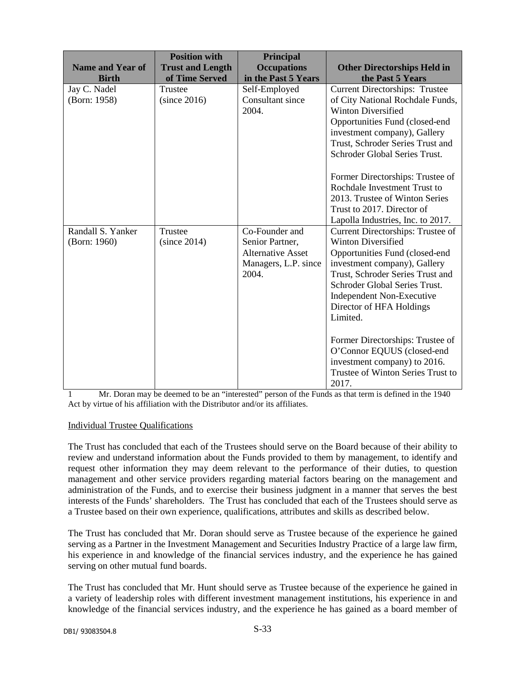| <b>Name and Year of</b>      | <b>Position with</b><br><b>Trust and Length</b> | <b>Principal</b><br><b>Occupations</b>                                       | <b>Other Directorships Held in</b>                                                                                                                                                                                                                                                                                                                                                |
|------------------------------|-------------------------------------------------|------------------------------------------------------------------------------|-----------------------------------------------------------------------------------------------------------------------------------------------------------------------------------------------------------------------------------------------------------------------------------------------------------------------------------------------------------------------------------|
| <b>Birth</b>                 | of Time Served                                  | in the Past 5 Years                                                          | the Past 5 Years                                                                                                                                                                                                                                                                                                                                                                  |
| Jay C. Nadel<br>(Born: 1958) | Trustee<br>(since 2016)                         | Self-Employed<br>Consultant since<br>2004.                                   | <b>Current Directorships: Trustee</b><br>of City National Rochdale Funds,<br><b>Winton Diversified</b><br>Opportunities Fund (closed-end<br>investment company), Gallery<br>Trust, Schroder Series Trust and<br>Schroder Global Series Trust.<br>Former Directorships: Trustee of<br>Rochdale Investment Trust to<br>2013. Trustee of Winton Series<br>Trust to 2017. Director of |
| Randall S. Yanker            | Trustee                                         | Co-Founder and                                                               | Lapolla Industries, Inc. to 2017.                                                                                                                                                                                                                                                                                                                                                 |
| (Born: 1960)                 | (since 2014)                                    | Senior Partner,<br><b>Alternative Asset</b><br>Managers, L.P. since<br>2004. | Current Directorships: Trustee of<br><b>Winton Diversified</b><br>Opportunities Fund (closed-end<br>investment company), Gallery<br>Trust, Schroder Series Trust and<br>Schroder Global Series Trust.<br>Independent Non-Executive<br>Director of HFA Holdings<br>Limited.<br>Former Directorships: Trustee of<br>O'Connor EQUUS (closed-end                                      |
|                              |                                                 |                                                                              | investment company) to 2016.<br>Trustee of Winton Series Trust to<br>2017.                                                                                                                                                                                                                                                                                                        |

1 Mr. Doran may be deemed to be an "interested" person of the Funds as that term is defined in the 1940 Act by virtue of his affiliation with the Distributor and/or its affiliates.

### Individual Trustee Qualifications

The Trust has concluded that each of the Trustees should serve on the Board because of their ability to review and understand information about the Funds provided to them by management, to identify and request other information they may deem relevant to the performance of their duties, to question management and other service providers regarding material factors bearing on the management and administration of the Funds, and to exercise their business judgment in a manner that serves the best interests of the Funds' shareholders. The Trust has concluded that each of the Trustees should serve as a Trustee based on their own experience, qualifications, attributes and skills as described below.

The Trust has concluded that Mr. Doran should serve as Trustee because of the experience he gained serving as a Partner in the Investment Management and Securities Industry Practice of a large law firm, his experience in and knowledge of the financial services industry, and the experience he has gained serving on other mutual fund boards.

The Trust has concluded that Mr. Hunt should serve as Trustee because of the experience he gained in a variety of leadership roles with different investment management institutions, his experience in and knowledge of the financial services industry, and the experience he has gained as a board member of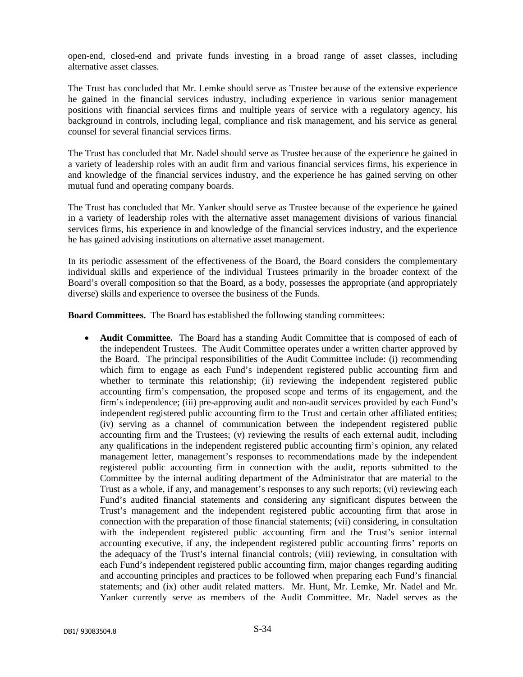open-end, closed-end and private funds investing in a broad range of asset classes, including alternative asset classes.

The Trust has concluded that Mr. Lemke should serve as Trustee because of the extensive experience he gained in the financial services industry, including experience in various senior management positions with financial services firms and multiple years of service with a regulatory agency, his background in controls, including legal, compliance and risk management, and his service as general counsel for several financial services firms.

The Trust has concluded that Mr. Nadel should serve as Trustee because of the experience he gained in a variety of leadership roles with an audit firm and various financial services firms, his experience in and knowledge of the financial services industry, and the experience he has gained serving on other mutual fund and operating company boards.

The Trust has concluded that Mr. Yanker should serve as Trustee because of the experience he gained in a variety of leadership roles with the alternative asset management divisions of various financial services firms, his experience in and knowledge of the financial services industry, and the experience he has gained advising institutions on alternative asset management.

In its periodic assessment of the effectiveness of the Board, the Board considers the complementary individual skills and experience of the individual Trustees primarily in the broader context of the Board's overall composition so that the Board, as a body, possesses the appropriate (and appropriately diverse) skills and experience to oversee the business of the Funds.

**Board Committees.** The Board has established the following standing committees:

• **Audit Committee.** The Board has a standing Audit Committee that is composed of each of the independent Trustees. The Audit Committee operates under a written charter approved by the Board. The principal responsibilities of the Audit Committee include: (i) recommending which firm to engage as each Fund's independent registered public accounting firm and whether to terminate this relationship; (ii) reviewing the independent registered public accounting firm's compensation, the proposed scope and terms of its engagement, and the firm's independence; (iii) pre-approving audit and non-audit services provided by each Fund's independent registered public accounting firm to the Trust and certain other affiliated entities; (iv) serving as a channel of communication between the independent registered public accounting firm and the Trustees;  $(v)$  reviewing the results of each external audit, including any qualifications in the independent registered public accounting firm's opinion, any related management letter, management's responses to recommendations made by the independent registered public accounting firm in connection with the audit, reports submitted to the Committee by the internal auditing department of the Administrator that are material to the Trust as a whole, if any, and management's responses to any such reports; (vi) reviewing each Fund's audited financial statements and considering any significant disputes between the Trust's management and the independent registered public accounting firm that arose in connection with the preparation of those financial statements; (vii) considering, in consultation with the independent registered public accounting firm and the Trust's senior internal accounting executive, if any, the independent registered public accounting firms' reports on the adequacy of the Trust's internal financial controls; (viii) reviewing, in consultation with each Fund's independent registered public accounting firm, major changes regarding auditing and accounting principles and practices to be followed when preparing each Fund's financial statements; and (ix) other audit related matters. Mr. Hunt, Mr. Lemke, Mr. Nadel and Mr. Yanker currently serve as members of the Audit Committee. Mr. Nadel serves as the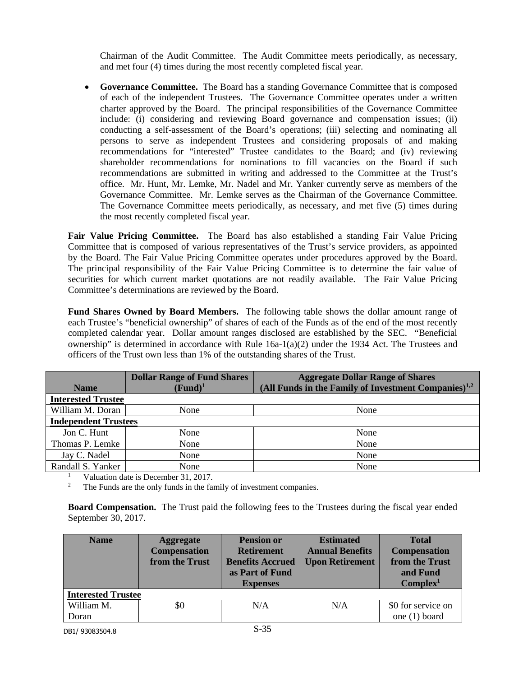Chairman of the Audit Committee. The Audit Committee meets periodically, as necessary, and met four (4) times during the most recently completed fiscal year.

• **Governance Committee.** The Board has a standing Governance Committee that is composed of each of the independent Trustees. The Governance Committee operates under a written charter approved by the Board. The principal responsibilities of the Governance Committee include: (i) considering and reviewing Board governance and compensation issues; (ii) conducting a self-assessment of the Board's operations; (iii) selecting and nominating all persons to serve as independent Trustees and considering proposals of and making recommendations for "interested" Trustee candidates to the Board; and (iv) reviewing shareholder recommendations for nominations to fill vacancies on the Board if such recommendations are submitted in writing and addressed to the Committee at the Trust's office. Mr. Hunt, Mr. Lemke, Mr. Nadel and Mr. Yanker currently serve as members of the Governance Committee. Mr. Lemke serves as the Chairman of the Governance Committee. The Governance Committee meets periodically, as necessary, and met five (5) times during the most recently completed fiscal year.

**Fair Value Pricing Committee.** The Board has also established a standing Fair Value Pricing Committee that is composed of various representatives of the Trust's service providers, as appointed by the Board. The Fair Value Pricing Committee operates under procedures approved by the Board. The principal responsibility of the Fair Value Pricing Committee is to determine the fair value of securities for which current market quotations are not readily available. The Fair Value Pricing Committee's determinations are reviewed by the Board.

**Fund Shares Owned by Board Members.** The following table shows the dollar amount range of each Trustee's "beneficial ownership" of shares of each of the Funds as of the end of the most recently completed calendar year. Dollar amount ranges disclosed are established by the SEC. "Beneficial ownership" is determined in accordance with Rule 16a-1(a)(2) under the 1934 Act. The Trustees and officers of the Trust own less than 1% of the outstanding shares of the Trust.

|                             | <b>Dollar Range of Fund Shares</b> | <b>Aggregate Dollar Range of Shares</b>                    |
|-----------------------------|------------------------------------|------------------------------------------------------------|
| <b>Name</b>                 | (Fund) <sup>1</sup>                | (All Funds in the Family of Investment Companies) $^{1,2}$ |
| <b>Interested Trustee</b>   |                                    |                                                            |
| William M. Doran            | None                               | None                                                       |
| <b>Independent Trustees</b> |                                    |                                                            |
| Jon C. Hunt                 | None                               | None                                                       |
| Thomas P. Lemke             | None                               | None                                                       |
| Jay C. Nadel                | None                               | None                                                       |
| Randall S. Yanker           | None                               | None                                                       |

1 <sup>1</sup> Valuation date is December 31, 2017.<br><sup>2</sup> The Funds are the only funds in the far

The Funds are the only funds in the family of investment companies.

**Board Compensation.** The Trust paid the following fees to the Trustees during the fiscal year ended September 30, 2017.

| <b>Name</b>               | <b>Aggregate</b><br><b>Compensation</b><br>from the Trust | <b>Pension or</b><br><b>Retirement</b><br><b>Benefits Accrued</b><br>as Part of Fund<br><b>Expenses</b> | <b>Estimated</b><br><b>Annual Benefits</b><br><b>Upon Retirement</b> | <b>Total</b><br><b>Compensation</b><br>from the Trust<br>and Fund<br>Complex <sup>1</sup> |
|---------------------------|-----------------------------------------------------------|---------------------------------------------------------------------------------------------------------|----------------------------------------------------------------------|-------------------------------------------------------------------------------------------|
| <b>Interested Trustee</b> |                                                           |                                                                                                         |                                                                      |                                                                                           |
| William M.                | \$0                                                       | N/A                                                                                                     | N/A                                                                  | \$0 for service on                                                                        |
| Doran                     |                                                           |                                                                                                         |                                                                      | one $(1)$ board                                                                           |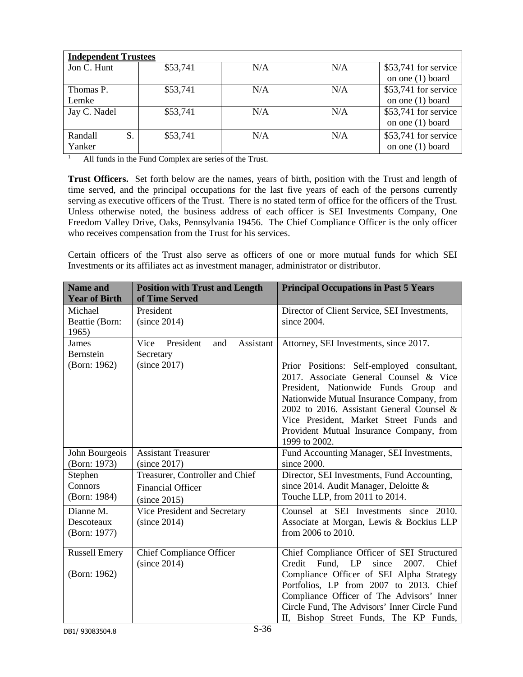| <b>Independent Trustees</b> |    |          |     |     |                      |
|-----------------------------|----|----------|-----|-----|----------------------|
| Jon C. Hunt                 |    | \$53,741 | N/A | N/A | \$53,741 for service |
|                             |    |          |     |     | on one $(1)$ board   |
| Thomas P.                   |    | \$53,741 | N/A | N/A | \$53,741 for service |
| Lemke                       |    |          |     |     | on one $(1)$ board   |
| Jay C. Nadel                |    | \$53,741 | N/A | N/A | \$53,741 for service |
|                             |    |          |     |     | on one $(1)$ board   |
| Randall                     | S. | \$53,741 | N/A | N/A | \$53,741 for service |
| Yanker                      |    |          |     |     | on one $(1)$ board   |

1 All funds in the Fund Complex are series of the Trust.

**Trust Officers.** Set forth below are the names, years of birth, position with the Trust and length of time served, and the principal occupations for the last five years of each of the persons currently serving as executive officers of the Trust. There is no stated term of office for the officers of the Trust. Unless otherwise noted, the business address of each officer is SEI Investments Company, One Freedom Valley Drive, Oaks, Pennsylvania 19456. The Chief Compliance Officer is the only officer who receives compensation from the Trust for his services.

Certain officers of the Trust also serve as officers of one or more mutual funds for which SEI Investments or its affiliates act as investment manager, administrator or distributor.

| <b>Name and</b><br><b>Year of Birth</b> | <b>Position with Trust and Length</b><br>of Time Served | <b>Principal Occupations in Past 5 Years</b>              |
|-----------------------------------------|---------------------------------------------------------|-----------------------------------------------------------|
| Michael                                 | President                                               | Director of Client Service, SEI Investments,              |
| Beattie (Born:                          | (since 2014)                                            | since 2004.                                               |
| 1965)<br>James                          | President<br>Vice<br>Assistant<br>and                   | Attorney, SEI Investments, since 2017.                    |
| Bernstein                               | Secretary                                               |                                                           |
| (Born: 1962)                            | (since 2017)                                            | Prior Positions: Self-employed consultant,                |
|                                         |                                                         | 2017. Associate General Counsel & Vice                    |
|                                         |                                                         | President, Nationwide Funds Group and                     |
|                                         |                                                         | Nationwide Mutual Insurance Company, from                 |
|                                         |                                                         | 2002 to 2016. Assistant General Counsel &                 |
|                                         |                                                         | Vice President, Market Street Funds and                   |
|                                         |                                                         | Provident Mutual Insurance Company, from<br>1999 to 2002. |
| John Bourgeois                          | <b>Assistant Treasurer</b>                              | Fund Accounting Manager, SEI Investments,                 |
| (Born: 1973)                            | (since 2017)                                            | since 2000.                                               |
| Stephen                                 | Treasurer, Controller and Chief                         | Director, SEI Investments, Fund Accounting,               |
| Connors                                 | <b>Financial Officer</b>                                | since 2014. Audit Manager, Deloitte &                     |
| (Born: 1984)                            | (since 2015)                                            | Touche LLP, from 2011 to 2014.                            |
| Dianne M.                               | Vice President and Secretary                            | Counsel at SEI Investments since 2010.                    |
| Descoteaux                              | (since 2014)                                            | Associate at Morgan, Lewis & Bockius LLP                  |
| (Born: 1977)                            |                                                         | from 2006 to 2010.                                        |
| <b>Russell Emery</b>                    | <b>Chief Compliance Officer</b>                         | Chief Compliance Officer of SEI Structured                |
|                                         | (since 2014)                                            | Credit<br>Fund, LP<br>since<br>2007.<br>Chief             |
| (Born: 1962)                            |                                                         | Compliance Officer of SEI Alpha Strategy                  |
|                                         |                                                         | Portfolios, LP from 2007 to 2013. Chief                   |
|                                         |                                                         | Compliance Officer of The Advisors' Inner                 |
|                                         |                                                         | Circle Fund, The Advisors' Inner Circle Fund              |
|                                         |                                                         | II, Bishop Street Funds, The KP Funds,                    |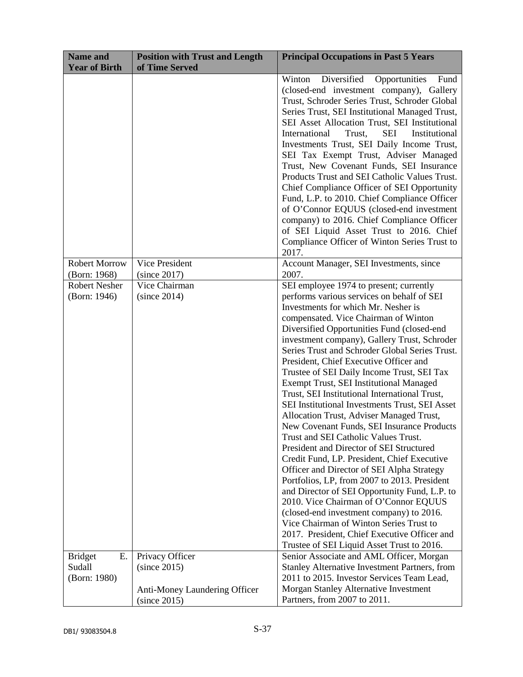| <b>Name and</b><br><b>Year of Birth</b>              | <b>Position with Trust and Length</b><br>of Time Served | <b>Principal Occupations in Past 5 Years</b>                                                                                                                                                                                                                                                                                                                                                                                                                                                                                                                                                                                                                                                                                                                                                                                                                                                                                                                                                                                                                                                                                                                                         |
|------------------------------------------------------|---------------------------------------------------------|--------------------------------------------------------------------------------------------------------------------------------------------------------------------------------------------------------------------------------------------------------------------------------------------------------------------------------------------------------------------------------------------------------------------------------------------------------------------------------------------------------------------------------------------------------------------------------------------------------------------------------------------------------------------------------------------------------------------------------------------------------------------------------------------------------------------------------------------------------------------------------------------------------------------------------------------------------------------------------------------------------------------------------------------------------------------------------------------------------------------------------------------------------------------------------------|
|                                                      |                                                         | Diversified<br>Winton<br>Opportunities<br>Fund<br>(closed-end investment company), Gallery<br>Trust, Schroder Series Trust, Schroder Global<br>Series Trust, SEI Institutional Managed Trust,<br>SEI Asset Allocation Trust, SEI Institutional<br>International<br><b>SEI</b><br>Institutional<br>Trust,<br>Investments Trust, SEI Daily Income Trust,<br>SEI Tax Exempt Trust, Adviser Managed<br>Trust, New Covenant Funds, SEI Insurance<br>Products Trust and SEI Catholic Values Trust.<br>Chief Compliance Officer of SEI Opportunity<br>Fund, L.P. to 2010. Chief Compliance Officer<br>of O'Connor EQUUS (closed-end investment<br>company) to 2016. Chief Compliance Officer<br>of SEI Liquid Asset Trust to 2016. Chief<br>Compliance Officer of Winton Series Trust to<br>2017.                                                                                                                                                                                                                                                                                                                                                                                           |
| <b>Robert Morrow</b>                                 | Vice President                                          | Account Manager, SEI Investments, since                                                                                                                                                                                                                                                                                                                                                                                                                                                                                                                                                                                                                                                                                                                                                                                                                                                                                                                                                                                                                                                                                                                                              |
| (Born: 1968)<br><b>Robert Nesher</b><br>(Born: 1946) | (since 2017)<br>Vice Chairman<br>(since 2014)           | 2007.<br>SEI employee 1974 to present; currently<br>performs various services on behalf of SEI<br>Investments for which Mr. Nesher is<br>compensated. Vice Chairman of Winton<br>Diversified Opportunities Fund (closed-end<br>investment company), Gallery Trust, Schroder<br>Series Trust and Schroder Global Series Trust.<br>President, Chief Executive Officer and<br>Trustee of SEI Daily Income Trust, SEI Tax<br><b>Exempt Trust, SEI Institutional Managed</b><br>Trust, SEI Institutional International Trust,<br>SEI Institutional Investments Trust, SEI Asset<br>Allocation Trust, Adviser Managed Trust,<br>New Covenant Funds, SEI Insurance Products<br>Trust and SEI Catholic Values Trust.<br>President and Director of SEI Structured<br>Credit Fund, LP. President, Chief Executive<br>Officer and Director of SEI Alpha Strategy<br>Portfolios, LP, from 2007 to 2013. President<br>and Director of SEI Opportunity Fund, L.P. to<br>2010. Vice Chairman of O'Connor EQUUS<br>(closed-end investment company) to 2016.<br>Vice Chairman of Winton Series Trust to<br>2017. President, Chief Executive Officer and<br>Trustee of SEI Liquid Asset Trust to 2016. |
| <b>Bridget</b><br>Е.<br>Sudall<br>(Born: 1980)       | Privacy Officer<br>(since 2015)                         | Senior Associate and AML Officer, Morgan<br>Stanley Alternative Investment Partners, from<br>2011 to 2015. Investor Services Team Lead,                                                                                                                                                                                                                                                                                                                                                                                                                                                                                                                                                                                                                                                                                                                                                                                                                                                                                                                                                                                                                                              |
|                                                      | Anti-Money Laundering Officer<br>(since 2015)           | Morgan Stanley Alternative Investment<br>Partners, from 2007 to 2011.                                                                                                                                                                                                                                                                                                                                                                                                                                                                                                                                                                                                                                                                                                                                                                                                                                                                                                                                                                                                                                                                                                                |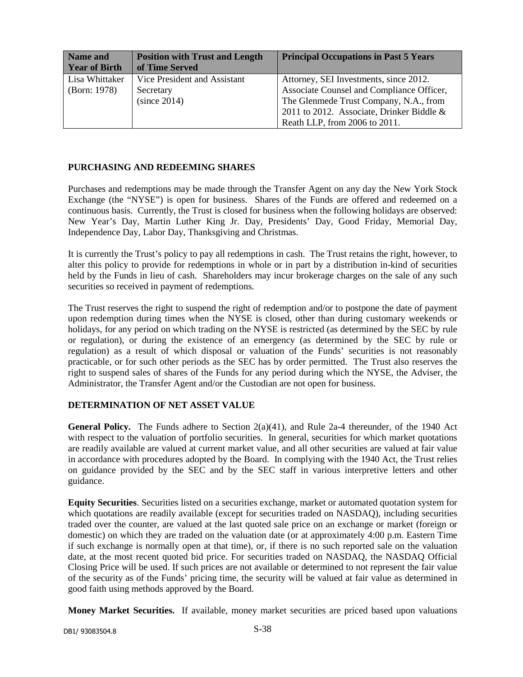| Name and<br><b>Year of Birth</b> | <b>Position with Trust and Length</b><br>of Time Served | <b>Principal Occupations in Past 5 Years</b> |
|----------------------------------|---------------------------------------------------------|----------------------------------------------|
| Lisa Whittaker                   | Vice President and Assistant                            | Attorney, SEI Investments, since 2012.       |
| (Born: 1978)                     | Secretary                                               | Associate Counsel and Compliance Officer,    |
|                                  | (since 2014)                                            | The Glenmede Trust Company, N.A., from       |
|                                  |                                                         | 2011 to 2012. Associate, Drinker Biddle &    |
|                                  |                                                         | Reath LLP, from 2006 to 2011.                |

## **PURCHASING AND REDEEMING SHARES**

Purchases and redemptions may be made through the Transfer Agent on any day the New York Stock Exchange (the "NYSE") is open for business. Shares of the Funds are offered and redeemed on a continuous basis. Currently, the Trust is closed for business when the following holidays are observed: New Year's Day, Martin Luther King Jr. Day, Presidents' Day, Good Friday, Memorial Day, Independence Day, Labor Day, Thanksgiving and Christmas.

It is currently the Trust's policy to pay all redemptions in cash. The Trust retains the right, however, to alter this policy to provide for redemptions in whole or in part by a distribution in-kind of securities held by the Funds in lieu of cash. Shareholders may incur brokerage charges on the sale of any such securities so received in payment of redemptions.

The Trust reserves the right to suspend the right of redemption and/or to postpone the date of payment upon redemption during times when the NYSE is closed, other than during customary weekends or holidays, for any period on which trading on the NYSE is restricted (as determined by the SEC by rule or regulation), or during the existence of an emergency (as determined by the SEC by rule or regulation) as a result of which disposal or valuation of the Funds' securities is not reasonably practicable, or for such other periods as the SEC has by order permitted. The Trust also reserves the right to suspend sales of shares of the Funds for any period during which the NYSE, the Adviser, the Administrator, the Transfer Agent and/or the Custodian are not open for business.

### **DETERMINATION OF NET ASSET VALUE**

**General Policy.** The Funds adhere to Section 2(a)(41), and Rule 2a-4 thereunder, of the 1940 Act with respect to the valuation of portfolio securities. In general, securities for which market quotations are readily available are valued at current market value, and all other securities are valued at fair value in accordance with procedures adopted by the Board. In complying with the 1940 Act, the Trust relies on guidance provided by the SEC and by the SEC staff in various interpretive letters and other guidance.

**Equity Securities**. Securities listed on a securities exchange, market or automated quotation system for which quotations are readily available (except for securities traded on NASDAQ), including securities traded over the counter, are valued at the last quoted sale price on an exchange or market (foreign or domestic) on which they are traded on the valuation date (or at approximately 4:00 p.m. Eastern Time if such exchange is normally open at that time), or, if there is no such reported sale on the valuation date, at the most recent quoted bid price. For securities traded on NASDAQ, the NASDAQ Official Closing Price will be used. If such prices are not available or determined to not represent the fair value of the security as of the Funds' pricing time, the security will be valued at fair value as determined in good faith using methods approved by the Board.

**Money Market Securities.** If available, money market securities are priced based upon valuations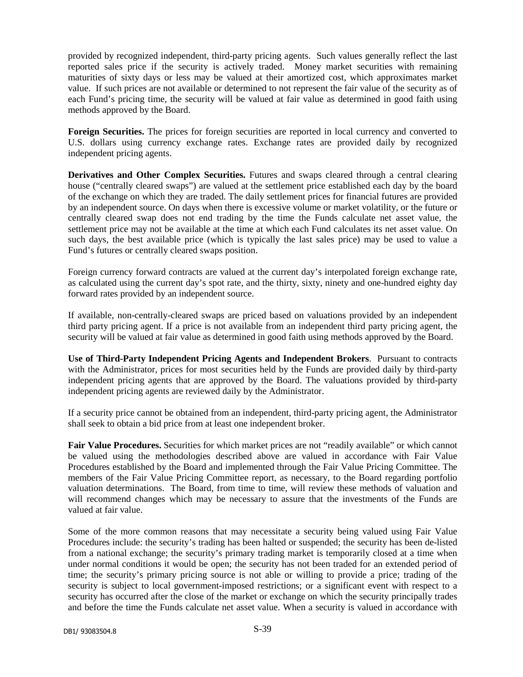provided by recognized independent, third-party pricing agents. Such values generally reflect the last reported sales price if the security is actively traded. Money market securities with remaining maturities of sixty days or less may be valued at their amortized cost, which approximates market value. If such prices are not available or determined to not represent the fair value of the security as of each Fund's pricing time, the security will be valued at fair value as determined in good faith using methods approved by the Board.

**Foreign Securities.** The prices for foreign securities are reported in local currency and converted to U.S. dollars using currency exchange rates. Exchange rates are provided daily by recognized independent pricing agents.

**Derivatives and Other Complex Securities.** Futures and swaps cleared through a central clearing house ("centrally cleared swaps") are valued at the settlement price established each day by the board of the exchange on which they are traded. The daily settlement prices for financial futures are provided by an independent source. On days when there is excessive volume or market volatility, or the future or centrally cleared swap does not end trading by the time the Funds calculate net asset value, the settlement price may not be available at the time at which each Fund calculates its net asset value. On such days, the best available price (which is typically the last sales price) may be used to value a Fund's futures or centrally cleared swaps position.

Foreign currency forward contracts are valued at the current day's interpolated foreign exchange rate, as calculated using the current day's spot rate, and the thirty, sixty, ninety and one-hundred eighty day forward rates provided by an independent source.

If available, non-centrally-cleared swaps are priced based on valuations provided by an independent third party pricing agent. If a price is not available from an independent third party pricing agent, the security will be valued at fair value as determined in good faith using methods approved by the Board.

**Use of Third-Party Independent Pricing Agents and Independent Brokers**. Pursuant to contracts with the Administrator, prices for most securities held by the Funds are provided daily by third-party independent pricing agents that are approved by the Board. The valuations provided by third-party independent pricing agents are reviewed daily by the Administrator.

If a security price cannot be obtained from an independent, third-party pricing agent, the Administrator shall seek to obtain a bid price from at least one independent broker.

**Fair Value Procedures.** Securities for which market prices are not "readily available" or which cannot be valued using the methodologies described above are valued in accordance with Fair Value Procedures established by the Board and implemented through the Fair Value Pricing Committee. The members of the Fair Value Pricing Committee report, as necessary, to the Board regarding portfolio valuation determinations. The Board, from time to time, will review these methods of valuation and will recommend changes which may be necessary to assure that the investments of the Funds are valued at fair value.

Some of the more common reasons that may necessitate a security being valued using Fair Value Procedures include: the security's trading has been halted or suspended; the security has been de-listed from a national exchange; the security's primary trading market is temporarily closed at a time when under normal conditions it would be open; the security has not been traded for an extended period of time; the security's primary pricing source is not able or willing to provide a price; trading of the security is subject to local government-imposed restrictions; or a significant event with respect to a security has occurred after the close of the market or exchange on which the security principally trades and before the time the Funds calculate net asset value. When a security is valued in accordance with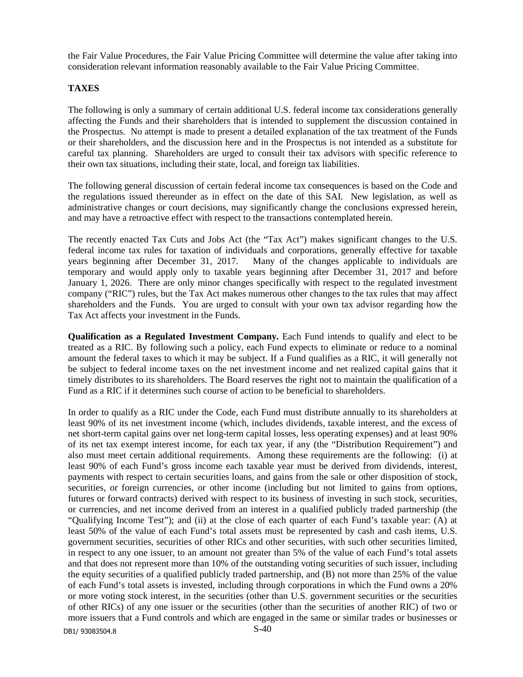the Fair Value Procedures, the Fair Value Pricing Committee will determine the value after taking into consideration relevant information reasonably available to the Fair Value Pricing Committee.

#### **TAXES**

The following is only a summary of certain additional U.S. federal income tax considerations generally affecting the Funds and their shareholders that is intended to supplement the discussion contained in the Prospectus. No attempt is made to present a detailed explanation of the tax treatment of the Funds or their shareholders, and the discussion here and in the Prospectus is not intended as a substitute for careful tax planning. Shareholders are urged to consult their tax advisors with specific reference to their own tax situations, including their state, local, and foreign tax liabilities.

The following general discussion of certain federal income tax consequences is based on the Code and the regulations issued thereunder as in effect on the date of this SAI. New legislation, as well as administrative changes or court decisions, may significantly change the conclusions expressed herein, and may have a retroactive effect with respect to the transactions contemplated herein.

The recently enacted Tax Cuts and Jobs Act (the "Tax Act") makes significant changes to the U.S. federal income tax rules for taxation of individuals and corporations, generally effective for taxable years beginning after December 31, 2017. Many of the changes applicable to individuals are temporary and would apply only to taxable years beginning after December 31, 2017 and before January 1, 2026. There are only minor changes specifically with respect to the regulated investment company ("RIC") rules, but the Tax Act makes numerous other changes to the tax rules that may affect shareholders and the Funds. You are urged to consult with your own tax advisor regarding how the Tax Act affects your investment in the Funds.

**Qualification as a Regulated Investment Company.** Each Fund intends to qualify and elect to be treated as a RIC. By following such a policy, each Fund expects to eliminate or reduce to a nominal amount the federal taxes to which it may be subject. If a Fund qualifies as a RIC, it will generally not be subject to federal income taxes on the net investment income and net realized capital gains that it timely distributes to its shareholders. The Board reserves the right not to maintain the qualification of a Fund as a RIC if it determines such course of action to be beneficial to shareholders.

DB1/ 93083504.8 S-40 In order to qualify as a RIC under the Code, each Fund must distribute annually to its shareholders at least 90% of its net investment income (which, includes dividends, taxable interest, and the excess of net short-term capital gains over net long-term capital losses, less operating expenses) and at least 90% of its net tax exempt interest income, for each tax year, if any (the "Distribution Requirement") and also must meet certain additional requirements. Among these requirements are the following: (i) at least 90% of each Fund's gross income each taxable year must be derived from dividends, interest, payments with respect to certain securities loans, and gains from the sale or other disposition of stock, securities, or foreign currencies, or other income (including but not limited to gains from options, futures or forward contracts) derived with respect to its business of investing in such stock, securities, or currencies, and net income derived from an interest in a qualified publicly traded partnership (the "Qualifying Income Test"); and (ii) at the close of each quarter of each Fund's taxable year: (A) at least 50% of the value of each Fund's total assets must be represented by cash and cash items, U.S. government securities, securities of other RICs and other securities, with such other securities limited, in respect to any one issuer, to an amount not greater than 5% of the value of each Fund's total assets and that does not represent more than 10% of the outstanding voting securities of such issuer, including the equity securities of a qualified publicly traded partnership, and (B) not more than 25% of the value of each Fund's total assets is invested, including through corporations in which the Fund owns a 20% or more voting stock interest, in the securities (other than U.S. government securities or the securities of other RICs) of any one issuer or the securities (other than the securities of another RIC) of two or more issuers that a Fund controls and which are engaged in the same or similar trades or businesses or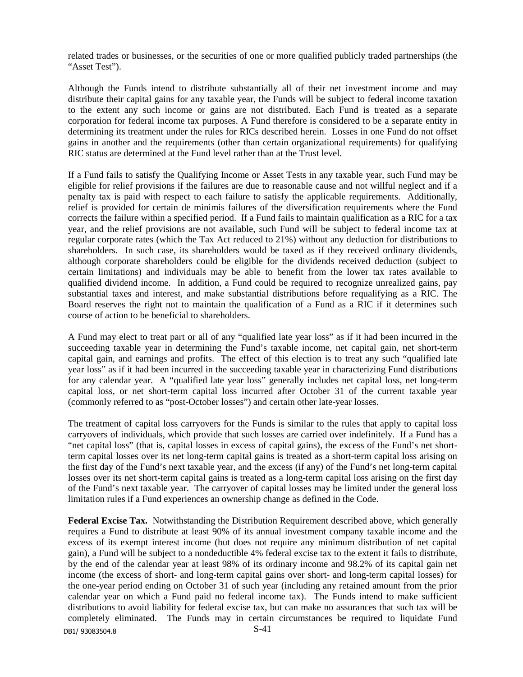related trades or businesses, or the securities of one or more qualified publicly traded partnerships (the "Asset Test").

Although the Funds intend to distribute substantially all of their net investment income and may distribute their capital gains for any taxable year, the Funds will be subject to federal income taxation to the extent any such income or gains are not distributed. Each Fund is treated as a separate corporation for federal income tax purposes. A Fund therefore is considered to be a separate entity in determining its treatment under the rules for RICs described herein. Losses in one Fund do not offset gains in another and the requirements (other than certain organizational requirements) for qualifying RIC status are determined at the Fund level rather than at the Trust level.

If a Fund fails to satisfy the Qualifying Income or Asset Tests in any taxable year, such Fund may be eligible for relief provisions if the failures are due to reasonable cause and not willful neglect and if a penalty tax is paid with respect to each failure to satisfy the applicable requirements. Additionally, relief is provided for certain de minimis failures of the diversification requirements where the Fund corrects the failure within a specified period. If a Fund fails to maintain qualification as a RIC for a tax year, and the relief provisions are not available, such Fund will be subject to federal income tax at regular corporate rates (which the Tax Act reduced to 21%) without any deduction for distributions to shareholders. In such case, its shareholders would be taxed as if they received ordinary dividends, although corporate shareholders could be eligible for the dividends received deduction (subject to certain limitations) and individuals may be able to benefit from the lower tax rates available to qualified dividend income. In addition, a Fund could be required to recognize unrealized gains, pay substantial taxes and interest, and make substantial distributions before requalifying as a RIC. The Board reserves the right not to maintain the qualification of a Fund as a RIC if it determines such course of action to be beneficial to shareholders.

A Fund may elect to treat part or all of any "qualified late year loss" as if it had been incurred in the succeeding taxable year in determining the Fund's taxable income, net capital gain, net short-term capital gain, and earnings and profits. The effect of this election is to treat any such "qualified late year loss" as if it had been incurred in the succeeding taxable year in characterizing Fund distributions for any calendar year. A "qualified late year loss" generally includes net capital loss, net long-term capital loss, or net short-term capital loss incurred after October 31 of the current taxable year (commonly referred to as "post-October losses") and certain other late-year losses.

The treatment of capital loss carryovers for the Funds is similar to the rules that apply to capital loss carryovers of individuals, which provide that such losses are carried over indefinitely. If a Fund has a "net capital loss" (that is, capital losses in excess of capital gains), the excess of the Fund's net shortterm capital losses over its net long-term capital gains is treated as a short-term capital loss arising on the first day of the Fund's next taxable year, and the excess (if any) of the Fund's net long-term capital losses over its net short-term capital gains is treated as a long-term capital loss arising on the first day of the Fund's next taxable year. The carryover of capital losses may be limited under the general loss limitation rules if a Fund experiences an ownership change as defined in the Code.

DB1/ 93083504.8 S-41 **Federal Excise Tax.** Notwithstanding the Distribution Requirement described above, which generally requires a Fund to distribute at least 90% of its annual investment company taxable income and the excess of its exempt interest income (but does not require any minimum distribution of net capital gain), a Fund will be subject to a nondeductible 4% federal excise tax to the extent it fails to distribute, by the end of the calendar year at least 98% of its ordinary income and 98.2% of its capital gain net income (the excess of short- and long-term capital gains over short- and long-term capital losses) for the one-year period ending on October 31 of such year (including any retained amount from the prior calendar year on which a Fund paid no federal income tax). The Funds intend to make sufficient distributions to avoid liability for federal excise tax, but can make no assurances that such tax will be completely eliminated. The Funds may in certain circumstances be required to liquidate Fund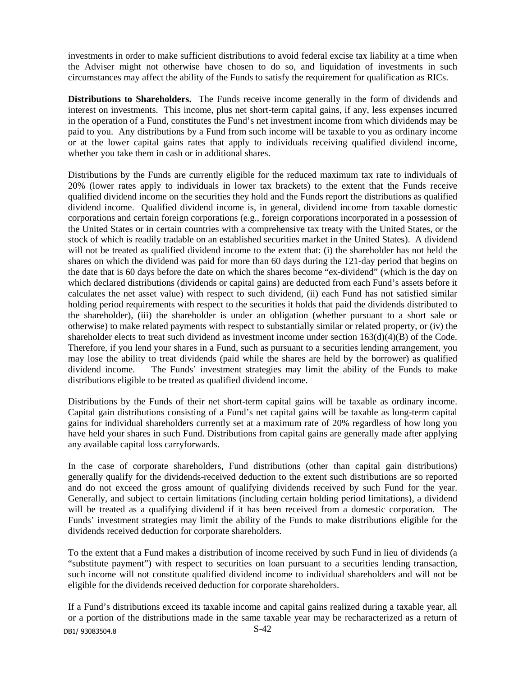investments in order to make sufficient distributions to avoid federal excise tax liability at a time when the Adviser might not otherwise have chosen to do so, and liquidation of investments in such circumstances may affect the ability of the Funds to satisfy the requirement for qualification as RICs.

**Distributions to Shareholders.** The Funds receive income generally in the form of dividends and interest on investments. This income, plus net short-term capital gains, if any, less expenses incurred in the operation of a Fund, constitutes the Fund's net investment income from which dividends may be paid to you. Any distributions by a Fund from such income will be taxable to you as ordinary income or at the lower capital gains rates that apply to individuals receiving qualified dividend income, whether you take them in cash or in additional shares.

Distributions by the Funds are currently eligible for the reduced maximum tax rate to individuals of 20% (lower rates apply to individuals in lower tax brackets) to the extent that the Funds receive qualified dividend income on the securities they hold and the Funds report the distributions as qualified dividend income. Qualified dividend income is, in general, dividend income from taxable domestic corporations and certain foreign corporations (e.g., foreign corporations incorporated in a possession of the United States or in certain countries with a comprehensive tax treaty with the United States, or the stock of which is readily tradable on an established securities market in the United States). A dividend will not be treated as qualified dividend income to the extent that: (i) the shareholder has not held the shares on which the dividend was paid for more than 60 days during the 121-day period that begins on the date that is 60 days before the date on which the shares become "ex-dividend" (which is the day on which declared distributions (dividends or capital gains) are deducted from each Fund's assets before it calculates the net asset value) with respect to such dividend, (ii) each Fund has not satisfied similar holding period requirements with respect to the securities it holds that paid the dividends distributed to the shareholder), (iii) the shareholder is under an obligation (whether pursuant to a short sale or otherwise) to make related payments with respect to substantially similar or related property, or (iv) the shareholder elects to treat such dividend as investment income under section  $163(d)(4)(B)$  of the Code. Therefore, if you lend your shares in a Fund, such as pursuant to a securities lending arrangement, you may lose the ability to treat dividends (paid while the shares are held by the borrower) as qualified dividend income. The Funds' investment strategies may limit the ability of the Funds to make distributions eligible to be treated as qualified dividend income.

Distributions by the Funds of their net short-term capital gains will be taxable as ordinary income. Capital gain distributions consisting of a Fund's net capital gains will be taxable as long-term capital gains for individual shareholders currently set at a maximum rate of 20% regardless of how long you have held your shares in such Fund. Distributions from capital gains are generally made after applying any available capital loss carryforwards.

In the case of corporate shareholders, Fund distributions (other than capital gain distributions) generally qualify for the dividends-received deduction to the extent such distributions are so reported and do not exceed the gross amount of qualifying dividends received by such Fund for the year. Generally, and subject to certain limitations (including certain holding period limitations), a dividend will be treated as a qualifying dividend if it has been received from a domestic corporation. The Funds' investment strategies may limit the ability of the Funds to make distributions eligible for the dividends received deduction for corporate shareholders.

To the extent that a Fund makes a distribution of income received by such Fund in lieu of dividends (a "substitute payment") with respect to securities on loan pursuant to a securities lending transaction, such income will not constitute qualified dividend income to individual shareholders and will not be eligible for the dividends received deduction for corporate shareholders.

DB1/ 93083504.8 S-42 If a Fund's distributions exceed its taxable income and capital gains realized during a taxable year, all or a portion of the distributions made in the same taxable year may be recharacterized as a return of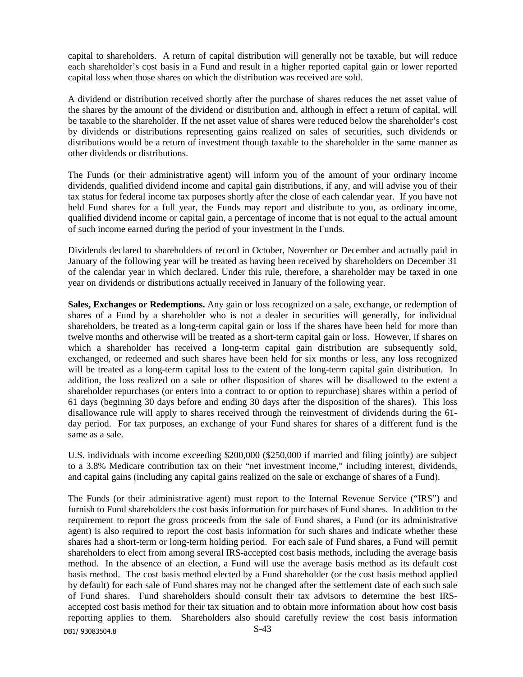capital to shareholders. A return of capital distribution will generally not be taxable, but will reduce each shareholder's cost basis in a Fund and result in a higher reported capital gain or lower reported capital loss when those shares on which the distribution was received are sold.

A dividend or distribution received shortly after the purchase of shares reduces the net asset value of the shares by the amount of the dividend or distribution and, although in effect a return of capital, will be taxable to the shareholder. If the net asset value of shares were reduced below the shareholder's cost by dividends or distributions representing gains realized on sales of securities, such dividends or distributions would be a return of investment though taxable to the shareholder in the same manner as other dividends or distributions.

The Funds (or their administrative agent) will inform you of the amount of your ordinary income dividends, qualified dividend income and capital gain distributions, if any, and will advise you of their tax status for federal income tax purposes shortly after the close of each calendar year. If you have not held Fund shares for a full year, the Funds may report and distribute to you, as ordinary income, qualified dividend income or capital gain, a percentage of income that is not equal to the actual amount of such income earned during the period of your investment in the Funds.

Dividends declared to shareholders of record in October, November or December and actually paid in January of the following year will be treated as having been received by shareholders on December 31 of the calendar year in which declared. Under this rule, therefore, a shareholder may be taxed in one year on dividends or distributions actually received in January of the following year.

**Sales, Exchanges or Redemptions.** Any gain or loss recognized on a sale, exchange, or redemption of shares of a Fund by a shareholder who is not a dealer in securities will generally, for individual shareholders, be treated as a long-term capital gain or loss if the shares have been held for more than twelve months and otherwise will be treated as a short-term capital gain or loss. However, if shares on which a shareholder has received a long-term capital gain distribution are subsequently sold, exchanged, or redeemed and such shares have been held for six months or less, any loss recognized will be treated as a long-term capital loss to the extent of the long-term capital gain distribution. In addition, the loss realized on a sale or other disposition of shares will be disallowed to the extent a shareholder repurchases (or enters into a contract to or option to repurchase) shares within a period of 61 days (beginning 30 days before and ending 30 days after the disposition of the shares). This loss disallowance rule will apply to shares received through the reinvestment of dividends during the 61 day period. For tax purposes, an exchange of your Fund shares for shares of a different fund is the same as a sale.

U.S. individuals with income exceeding \$200,000 (\$250,000 if married and filing jointly) are subject to a 3.8% Medicare contribution tax on their "net investment income," including interest, dividends, and capital gains (including any capital gains realized on the sale or exchange of shares of a Fund).

DB1/ 93083504.8 S-43 The Funds (or their administrative agent) must report to the Internal Revenue Service ("IRS") and furnish to Fund shareholders the cost basis information for purchases of Fund shares. In addition to the requirement to report the gross proceeds from the sale of Fund shares, a Fund (or its administrative agent) is also required to report the cost basis information for such shares and indicate whether these shares had a short-term or long-term holding period. For each sale of Fund shares, a Fund will permit shareholders to elect from among several IRS-accepted cost basis methods, including the average basis method. In the absence of an election, a Fund will use the average basis method as its default cost basis method. The cost basis method elected by a Fund shareholder (or the cost basis method applied by default) for each sale of Fund shares may not be changed after the settlement date of each such sale of Fund shares. Fund shareholders should consult their tax advisors to determine the best IRSaccepted cost basis method for their tax situation and to obtain more information about how cost basis reporting applies to them. Shareholders also should carefully review the cost basis information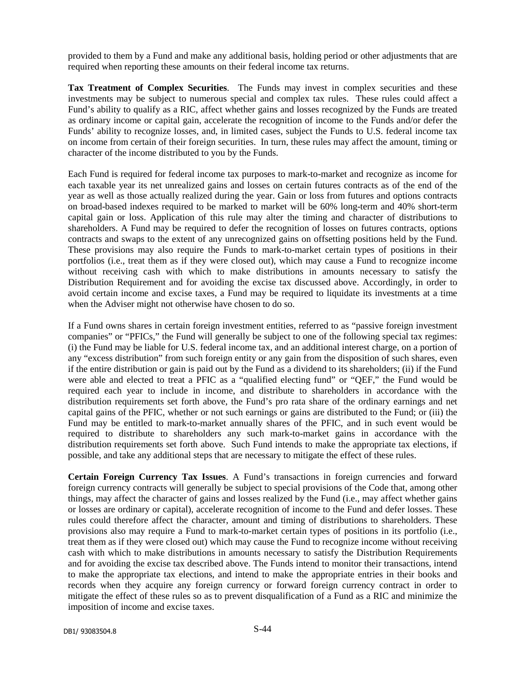provided to them by a Fund and make any additional basis, holding period or other adjustments that are required when reporting these amounts on their federal income tax returns.

**Tax Treatment of Complex Securities**. The Funds may invest in complex securities and these investments may be subject to numerous special and complex tax rules. These rules could affect a Fund's ability to qualify as a RIC, affect whether gains and losses recognized by the Funds are treated as ordinary income or capital gain, accelerate the recognition of income to the Funds and/or defer the Funds' ability to recognize losses, and, in limited cases, subject the Funds to U.S. federal income tax on income from certain of their foreign securities. In turn, these rules may affect the amount, timing or character of the income distributed to you by the Funds.

Each Fund is required for federal income tax purposes to mark-to-market and recognize as income for each taxable year its net unrealized gains and losses on certain futures contracts as of the end of the year as well as those actually realized during the year. Gain or loss from futures and options contracts on broad-based indexes required to be marked to market will be 60% long-term and 40% short-term capital gain or loss. Application of this rule may alter the timing and character of distributions to shareholders. A Fund may be required to defer the recognition of losses on futures contracts, options contracts and swaps to the extent of any unrecognized gains on offsetting positions held by the Fund. These provisions may also require the Funds to mark-to-market certain types of positions in their portfolios (i.e., treat them as if they were closed out), which may cause a Fund to recognize income without receiving cash with which to make distributions in amounts necessary to satisfy the Distribution Requirement and for avoiding the excise tax discussed above. Accordingly, in order to avoid certain income and excise taxes, a Fund may be required to liquidate its investments at a time when the Adviser might not otherwise have chosen to do so.

If a Fund owns shares in certain foreign investment entities, referred to as "passive foreign investment companies" or "PFICs," the Fund will generally be subject to one of the following special tax regimes: (i) the Fund may be liable for U.S. federal income tax, and an additional interest charge, on a portion of any "excess distribution" from such foreign entity or any gain from the disposition of such shares, even if the entire distribution or gain is paid out by the Fund as a dividend to its shareholders; (ii) if the Fund were able and elected to treat a PFIC as a "qualified electing fund" or "QEF," the Fund would be required each year to include in income, and distribute to shareholders in accordance with the distribution requirements set forth above, the Fund's pro rata share of the ordinary earnings and net capital gains of the PFIC, whether or not such earnings or gains are distributed to the Fund; or (iii) the Fund may be entitled to mark-to-market annually shares of the PFIC, and in such event would be required to distribute to shareholders any such mark-to-market gains in accordance with the distribution requirements set forth above. Such Fund intends to make the appropriate tax elections, if possible, and take any additional steps that are necessary to mitigate the effect of these rules.

**Certain Foreign Currency Tax Issues**. A Fund's transactions in foreign currencies and forward foreign currency contracts will generally be subject to special provisions of the Code that, among other things, may affect the character of gains and losses realized by the Fund (i.e., may affect whether gains or losses are ordinary or capital), accelerate recognition of income to the Fund and defer losses. These rules could therefore affect the character, amount and timing of distributions to shareholders. These provisions also may require a Fund to mark-to-market certain types of positions in its portfolio (i.e., treat them as if they were closed out) which may cause the Fund to recognize income without receiving cash with which to make distributions in amounts necessary to satisfy the Distribution Requirements and for avoiding the excise tax described above. The Funds intend to monitor their transactions, intend to make the appropriate tax elections, and intend to make the appropriate entries in their books and records when they acquire any foreign currency or forward foreign currency contract in order to mitigate the effect of these rules so as to prevent disqualification of a Fund as a RIC and minimize the imposition of income and excise taxes.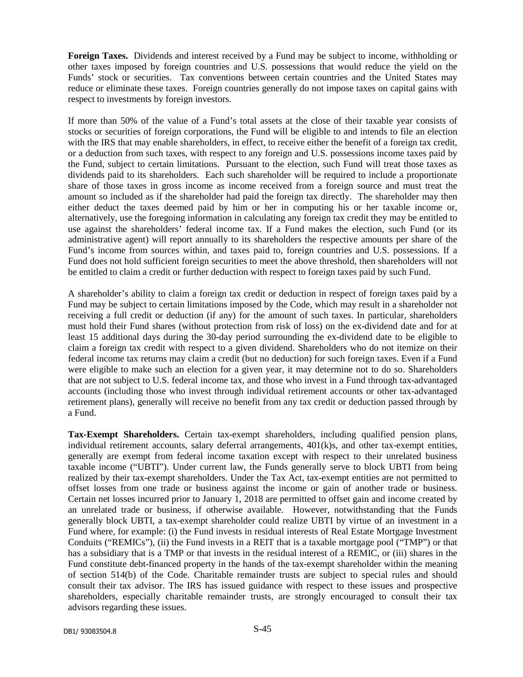**Foreign Taxes.** Dividends and interest received by a Fund may be subject to income, withholding or other taxes imposed by foreign countries and U.S. possessions that would reduce the yield on the Funds' stock or securities. Tax conventions between certain countries and the United States may reduce or eliminate these taxes. Foreign countries generally do not impose taxes on capital gains with respect to investments by foreign investors.

If more than 50% of the value of a Fund's total assets at the close of their taxable year consists of stocks or securities of foreign corporations, the Fund will be eligible to and intends to file an election with the IRS that may enable shareholders, in effect, to receive either the benefit of a foreign tax credit, or a deduction from such taxes, with respect to any foreign and U.S. possessions income taxes paid by the Fund, subject to certain limitations. Pursuant to the election, such Fund will treat those taxes as dividends paid to its shareholders. Each such shareholder will be required to include a proportionate share of those taxes in gross income as income received from a foreign source and must treat the amount so included as if the shareholder had paid the foreign tax directly. The shareholder may then either deduct the taxes deemed paid by him or her in computing his or her taxable income or, alternatively, use the foregoing information in calculating any foreign tax credit they may be entitled to use against the shareholders' federal income tax. If a Fund makes the election, such Fund (or its administrative agent) will report annually to its shareholders the respective amounts per share of the Fund's income from sources within, and taxes paid to, foreign countries and U.S. possessions. If a Fund does not hold sufficient foreign securities to meet the above threshold, then shareholders will not be entitled to claim a credit or further deduction with respect to foreign taxes paid by such Fund.

A shareholder's ability to claim a foreign tax credit or deduction in respect of foreign taxes paid by a Fund may be subject to certain limitations imposed by the Code, which may result in a shareholder not receiving a full credit or deduction (if any) for the amount of such taxes. In particular, shareholders must hold their Fund shares (without protection from risk of loss) on the ex-dividend date and for at least 15 additional days during the 30-day period surrounding the ex-dividend date to be eligible to claim a foreign tax credit with respect to a given dividend. Shareholders who do not itemize on their federal income tax returns may claim a credit (but no deduction) for such foreign taxes. Even if a Fund were eligible to make such an election for a given year, it may determine not to do so. Shareholders that are not subject to U.S. federal income tax, and those who invest in a Fund through tax-advantaged accounts (including those who invest through individual retirement accounts or other tax-advantaged retirement plans), generally will receive no benefit from any tax credit or deduction passed through by a Fund.

**Tax-Exempt Shareholders.** Certain tax-exempt shareholders, including qualified pension plans, individual retirement accounts, salary deferral arrangements, 401(k)s, and other tax-exempt entities, generally are exempt from federal income taxation except with respect to their unrelated business taxable income ("UBTI"). Under current law, the Funds generally serve to block UBTI from being realized by their tax-exempt shareholders. Under the Tax Act, tax-exempt entities are not permitted to offset losses from one trade or business against the income or gain of another trade or business. Certain net losses incurred prior to January 1, 2018 are permitted to offset gain and income created by an unrelated trade or business, if otherwise available. However, notwithstanding that the Funds generally block UBTI, a tax-exempt shareholder could realize UBTI by virtue of an investment in a Fund where, for example: (i) the Fund invests in residual interests of Real Estate Mortgage Investment Conduits ("REMICs"), (ii) the Fund invests in a REIT that is a taxable mortgage pool ("TMP") or that has a subsidiary that is a TMP or that invests in the residual interest of a REMIC, or (iii) shares in the Fund constitute debt-financed property in the hands of the tax-exempt shareholder within the meaning of section 514(b) of the Code. Charitable remainder trusts are subject to special rules and should consult their tax advisor. The IRS has issued guidance with respect to these issues and prospective shareholders, especially charitable remainder trusts, are strongly encouraged to consult their tax advisors regarding these issues.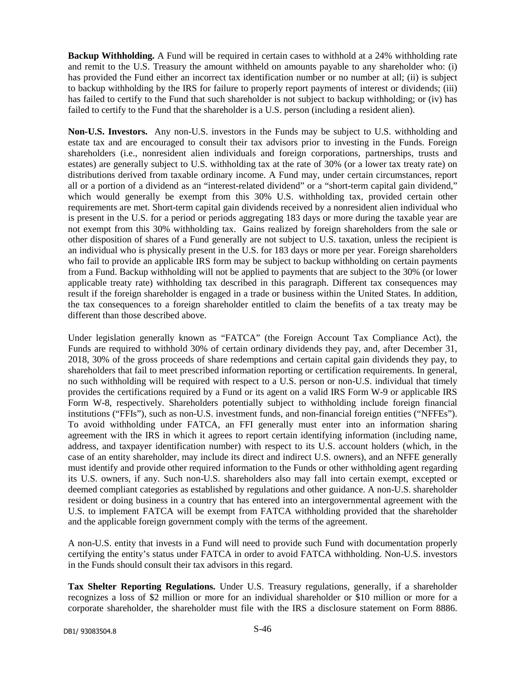**Backup Withholding.** A Fund will be required in certain cases to withhold at a 24% withholding rate and remit to the U.S. Treasury the amount withheld on amounts payable to any shareholder who: (i) has provided the Fund either an incorrect tax identification number or no number at all; (ii) is subject to backup withholding by the IRS for failure to properly report payments of interest or dividends; (iii) has failed to certify to the Fund that such shareholder is not subject to backup withholding; or (iv) has failed to certify to the Fund that the shareholder is a U.S. person (including a resident alien).

**Non-U.S. Investors.** Any non-U.S. investors in the Funds may be subject to U.S. withholding and estate tax and are encouraged to consult their tax advisors prior to investing in the Funds. Foreign shareholders (i.e., nonresident alien individuals and foreign corporations, partnerships, trusts and estates) are generally subject to U.S. withholding tax at the rate of 30% (or a lower tax treaty rate) on distributions derived from taxable ordinary income. A Fund may, under certain circumstances, report all or a portion of a dividend as an "interest-related dividend" or a "short-term capital gain dividend," which would generally be exempt from this 30% U.S. withholding tax, provided certain other requirements are met. Short-term capital gain dividends received by a nonresident alien individual who is present in the U.S. for a period or periods aggregating 183 days or more during the taxable year are not exempt from this 30% withholding tax. Gains realized by foreign shareholders from the sale or other disposition of shares of a Fund generally are not subject to U.S. taxation, unless the recipient is an individual who is physically present in the U.S. for 183 days or more per year. Foreign shareholders who fail to provide an applicable IRS form may be subject to backup withholding on certain payments from a Fund. Backup withholding will not be applied to payments that are subject to the 30% (or lower applicable treaty rate) withholding tax described in this paragraph. Different tax consequences may result if the foreign shareholder is engaged in a trade or business within the United States. In addition, the tax consequences to a foreign shareholder entitled to claim the benefits of a tax treaty may be different than those described above.

Under legislation generally known as "FATCA" (the Foreign Account Tax Compliance Act), the Funds are required to withhold 30% of certain ordinary dividends they pay, and, after December 31, 2018, 30% of the gross proceeds of share redemptions and certain capital gain dividends they pay, to shareholders that fail to meet prescribed information reporting or certification requirements. In general, no such withholding will be required with respect to a U.S. person or non-U.S. individual that timely provides the certifications required by a Fund or its agent on a valid IRS Form W-9 or applicable IRS Form W-8, respectively. Shareholders potentially subject to withholding include foreign financial institutions ("FFIs"), such as non-U.S. investment funds, and non-financial foreign entities ("NFFEs"). To avoid withholding under FATCA, an FFI generally must enter into an information sharing agreement with the IRS in which it agrees to report certain identifying information (including name, address, and taxpayer identification number) with respect to its U.S. account holders (which, in the case of an entity shareholder, may include its direct and indirect U.S. owners), and an NFFE generally must identify and provide other required information to the Funds or other withholding agent regarding its U.S. owners, if any. Such non-U.S. shareholders also may fall into certain exempt, excepted or deemed compliant categories as established by regulations and other guidance. A non-U.S. shareholder resident or doing business in a country that has entered into an intergovernmental agreement with the U.S. to implement FATCA will be exempt from FATCA withholding provided that the shareholder and the applicable foreign government comply with the terms of the agreement.

A non-U.S. entity that invests in a Fund will need to provide such Fund with documentation properly certifying the entity's status under FATCA in order to avoid FATCA withholding. Non-U.S. investors in the Funds should consult their tax advisors in this regard.

**Tax Shelter Reporting Regulations.** Under U.S. Treasury regulations, generally, if a shareholder recognizes a loss of \$2 million or more for an individual shareholder or \$10 million or more for a corporate shareholder, the shareholder must file with the IRS a disclosure statement on Form 8886.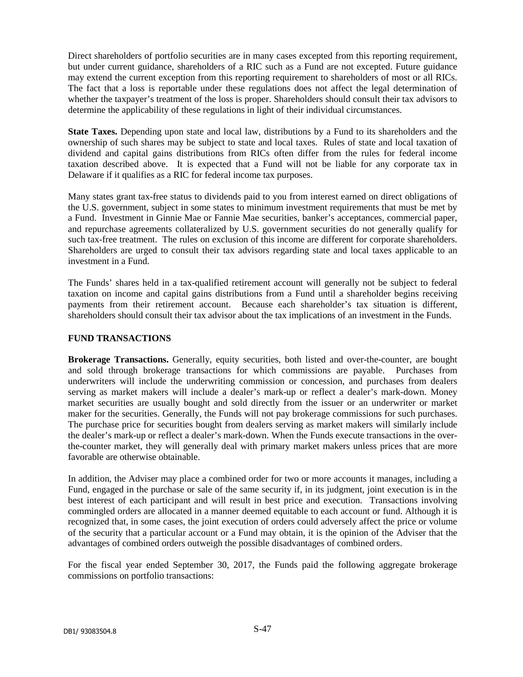Direct shareholders of portfolio securities are in many cases excepted from this reporting requirement, but under current guidance, shareholders of a RIC such as a Fund are not excepted. Future guidance may extend the current exception from this reporting requirement to shareholders of most or all RICs. The fact that a loss is reportable under these regulations does not affect the legal determination of whether the taxpayer's treatment of the loss is proper. Shareholders should consult their tax advisors to determine the applicability of these regulations in light of their individual circumstances.

**State Taxes.** Depending upon state and local law, distributions by a Fund to its shareholders and the ownership of such shares may be subject to state and local taxes. Rules of state and local taxation of dividend and capital gains distributions from RICs often differ from the rules for federal income taxation described above. It is expected that a Fund will not be liable for any corporate tax in Delaware if it qualifies as a RIC for federal income tax purposes.

Many states grant tax-free status to dividends paid to you from interest earned on direct obligations of the U.S. government, subject in some states to minimum investment requirements that must be met by a Fund. Investment in Ginnie Mae or Fannie Mae securities, banker's acceptances, commercial paper, and repurchase agreements collateralized by U.S. government securities do not generally qualify for such tax-free treatment. The rules on exclusion of this income are different for corporate shareholders. Shareholders are urged to consult their tax advisors regarding state and local taxes applicable to an investment in a Fund.

The Funds' shares held in a tax-qualified retirement account will generally not be subject to federal taxation on income and capital gains distributions from a Fund until a shareholder begins receiving payments from their retirement account. Because each shareholder's tax situation is different, shareholders should consult their tax advisor about the tax implications of an investment in the Funds.

### **FUND TRANSACTIONS**

**Brokerage Transactions.** Generally, equity securities, both listed and over-the-counter, are bought and sold through brokerage transactions for which commissions are payable. Purchases from underwriters will include the underwriting commission or concession, and purchases from dealers serving as market makers will include a dealer's mark-up or reflect a dealer's mark-down. Money market securities are usually bought and sold directly from the issuer or an underwriter or market maker for the securities. Generally, the Funds will not pay brokerage commissions for such purchases. The purchase price for securities bought from dealers serving as market makers will similarly include the dealer's mark-up or reflect a dealer's mark-down. When the Funds execute transactions in the overthe-counter market, they will generally deal with primary market makers unless prices that are more favorable are otherwise obtainable.

In addition, the Adviser may place a combined order for two or more accounts it manages, including a Fund, engaged in the purchase or sale of the same security if, in its judgment, joint execution is in the best interest of each participant and will result in best price and execution. Transactions involving commingled orders are allocated in a manner deemed equitable to each account or fund. Although it is recognized that, in some cases, the joint execution of orders could adversely affect the price or volume of the security that a particular account or a Fund may obtain, it is the opinion of the Adviser that the advantages of combined orders outweigh the possible disadvantages of combined orders.

For the fiscal year ended September 30, 2017, the Funds paid the following aggregate brokerage commissions on portfolio transactions: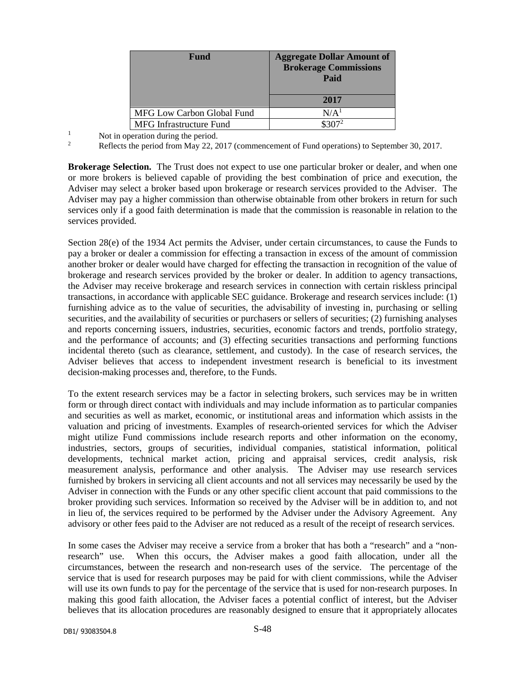| Fund                              | <b>Aggregate Dollar Amount of</b><br><b>Brokerage Commissions</b><br>Paid |  |
|-----------------------------------|---------------------------------------------------------------------------|--|
|                                   | 2017                                                                      |  |
| <b>MFG Low Carbon Global Fund</b> | N/A <sup>1</sup>                                                          |  |
| <b>MFG</b> Infrastructure Fund    |                                                                           |  |

<sup>1</sup> Not in operation during the period.<br> $P = \frac{P}{2}$ 

<sup>2</sup>Reflects the period from May 22, 2017 (commencement of Fund operations) to September 30, 2017.

**Brokerage Selection.** The Trust does not expect to use one particular broker or dealer, and when one or more brokers is believed capable of providing the best combination of price and execution, the Adviser may select a broker based upon brokerage or research services provided to the Adviser. The Adviser may pay a higher commission than otherwise obtainable from other brokers in return for such services only if a good faith determination is made that the commission is reasonable in relation to the services provided.

Section 28(e) of the 1934 Act permits the Adviser, under certain circumstances, to cause the Funds to pay a broker or dealer a commission for effecting a transaction in excess of the amount of commission another broker or dealer would have charged for effecting the transaction in recognition of the value of brokerage and research services provided by the broker or dealer. In addition to agency transactions, the Adviser may receive brokerage and research services in connection with certain riskless principal transactions, in accordance with applicable SEC guidance. Brokerage and research services include: (1) furnishing advice as to the value of securities, the advisability of investing in, purchasing or selling securities, and the availability of securities or purchasers or sellers of securities; (2) furnishing analyses and reports concerning issuers, industries, securities, economic factors and trends, portfolio strategy, and the performance of accounts; and (3) effecting securities transactions and performing functions incidental thereto (such as clearance, settlement, and custody). In the case of research services, the Adviser believes that access to independent investment research is beneficial to its investment decision-making processes and, therefore, to the Funds.

To the extent research services may be a factor in selecting brokers, such services may be in written form or through direct contact with individuals and may include information as to particular companies and securities as well as market, economic, or institutional areas and information which assists in the valuation and pricing of investments. Examples of research-oriented services for which the Adviser might utilize Fund commissions include research reports and other information on the economy, industries, sectors, groups of securities, individual companies, statistical information, political developments, technical market action, pricing and appraisal services, credit analysis, risk measurement analysis, performance and other analysis. The Adviser may use research services furnished by brokers in servicing all client accounts and not all services may necessarily be used by the Adviser in connection with the Funds or any other specific client account that paid commissions to the broker providing such services. Information so received by the Adviser will be in addition to, and not in lieu of, the services required to be performed by the Adviser under the Advisory Agreement. Any advisory or other fees paid to the Adviser are not reduced as a result of the receipt of research services.

In some cases the Adviser may receive a service from a broker that has both a "research" and a "nonresearch" use. When this occurs, the Adviser makes a good faith allocation, under all the circumstances, between the research and non-research uses of the service. The percentage of the service that is used for research purposes may be paid for with client commissions, while the Adviser will use its own funds to pay for the percentage of the service that is used for non-research purposes. In making this good faith allocation, the Adviser faces a potential conflict of interest, but the Adviser believes that its allocation procedures are reasonably designed to ensure that it appropriately allocates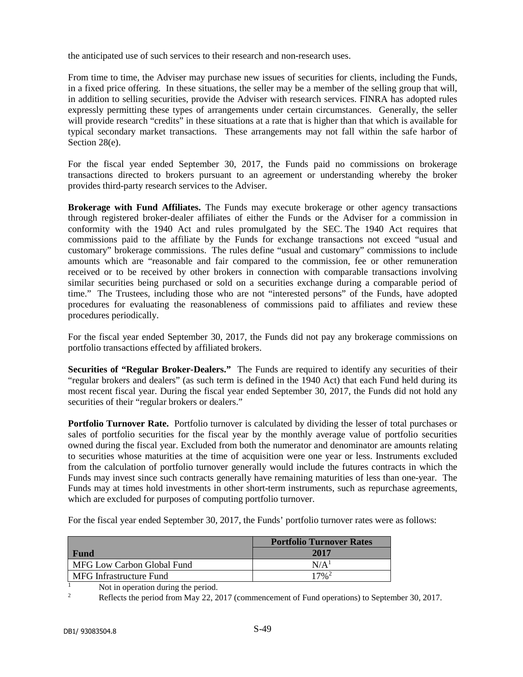the anticipated use of such services to their research and non-research uses.

From time to time, the Adviser may purchase new issues of securities for clients, including the Funds, in a fixed price offering. In these situations, the seller may be a member of the selling group that will, in addition to selling securities, provide the Adviser with research services. FINRA has adopted rules expressly permitting these types of arrangements under certain circumstances. Generally, the seller will provide research "credits" in these situations at a rate that is higher than that which is available for typical secondary market transactions. These arrangements may not fall within the safe harbor of Section 28(e).

For the fiscal year ended September 30, 2017, the Funds paid no commissions on brokerage transactions directed to brokers pursuant to an agreement or understanding whereby the broker provides third-party research services to the Adviser.

**Brokerage with Fund Affiliates.** The Funds may execute brokerage or other agency transactions through registered broker-dealer affiliates of either the Funds or the Adviser for a commission in conformity with the 1940 Act and rules promulgated by the SEC. The 1940 Act requires that commissions paid to the affiliate by the Funds for exchange transactions not exceed "usual and customary" brokerage commissions. The rules define "usual and customary" commissions to include amounts which are "reasonable and fair compared to the commission, fee or other remuneration received or to be received by other brokers in connection with comparable transactions involving similar securities being purchased or sold on a securities exchange during a comparable period of time." The Trustees, including those who are not "interested persons" of the Funds, have adopted procedures for evaluating the reasonableness of commissions paid to affiliates and review these procedures periodically.

For the fiscal year ended September 30, 2017, the Funds did not pay any brokerage commissions on portfolio transactions effected by affiliated brokers.

**Securities of "Regular Broker-Dealers."** The Funds are required to identify any securities of their "regular brokers and dealers" (as such term is defined in the 1940 Act) that each Fund held during its most recent fiscal year. During the fiscal year ended September 30, 2017, the Funds did not hold any securities of their "regular brokers or dealers."

**Portfolio Turnover Rate.** Portfolio turnover is calculated by dividing the lesser of total purchases or sales of portfolio securities for the fiscal year by the monthly average value of portfolio securities owned during the fiscal year. Excluded from both the numerator and denominator are amounts relating to securities whose maturities at the time of acquisition were one year or less. Instruments excluded from the calculation of portfolio turnover generally would include the futures contracts in which the Funds may invest since such contracts generally have remaining maturities of less than one-year. The Funds may at times hold investments in other short-term instruments, such as repurchase agreements, which are excluded for purposes of computing portfolio turnover.

For the fiscal year ended September 30, 2017, the Funds' portfolio turnover rates were as follows:

|                            | <b>Portfolio Turnover Rates</b> |  |
|----------------------------|---------------------------------|--|
| Fund                       | 2017                            |  |
| MFG Low Carbon Global Fund | N/A <sup>1</sup>                |  |
| MFG Infrastructure Fund    | $17\%^2$                        |  |

 $\frac{1}{1}$  Not in operation during the period.

2 Reflects the period from May 22, 2017 (commencement of Fund operations) to September 30, 2017.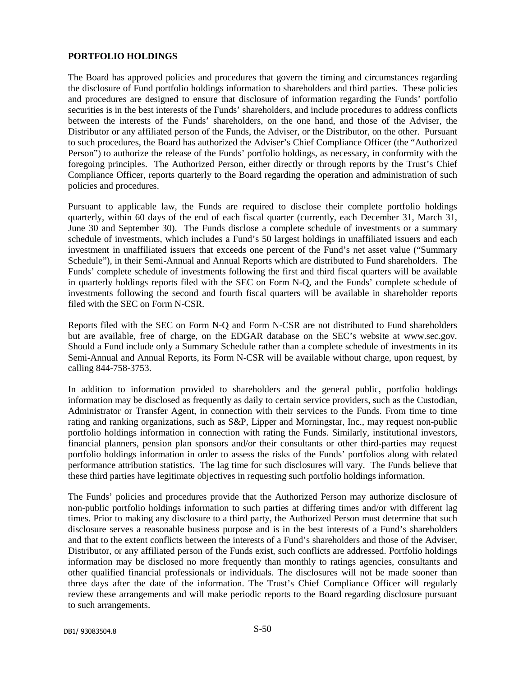### **PORTFOLIO HOLDINGS**

The Board has approved policies and procedures that govern the timing and circumstances regarding the disclosure of Fund portfolio holdings information to shareholders and third parties. These policies and procedures are designed to ensure that disclosure of information regarding the Funds' portfolio securities is in the best interests of the Funds' shareholders, and include procedures to address conflicts between the interests of the Funds' shareholders, on the one hand, and those of the Adviser, the Distributor or any affiliated person of the Funds, the Adviser, or the Distributor, on the other. Pursuant to such procedures, the Board has authorized the Adviser's Chief Compliance Officer (the "Authorized Person") to authorize the release of the Funds' portfolio holdings, as necessary, in conformity with the foregoing principles. The Authorized Person, either directly or through reports by the Trust's Chief Compliance Officer, reports quarterly to the Board regarding the operation and administration of such policies and procedures.

Pursuant to applicable law, the Funds are required to disclose their complete portfolio holdings quarterly, within 60 days of the end of each fiscal quarter (currently, each December 31, March 31, June 30 and September 30). The Funds disclose a complete schedule of investments or a summary schedule of investments, which includes a Fund's 50 largest holdings in unaffiliated issuers and each investment in unaffiliated issuers that exceeds one percent of the Fund's net asset value ("Summary Schedule"), in their Semi-Annual and Annual Reports which are distributed to Fund shareholders. The Funds' complete schedule of investments following the first and third fiscal quarters will be available in quarterly holdings reports filed with the SEC on Form N-Q, and the Funds' complete schedule of investments following the second and fourth fiscal quarters will be available in shareholder reports filed with the SEC on Form N-CSR.

Reports filed with the SEC on Form N-Q and Form N-CSR are not distributed to Fund shareholders but are available, free of charge, on the EDGAR database on the SEC's website at www.sec.gov. Should a Fund include only a Summary Schedule rather than a complete schedule of investments in its Semi-Annual and Annual Reports, its Form N-CSR will be available without charge, upon request, by calling 844-758-3753.

In addition to information provided to shareholders and the general public, portfolio holdings information may be disclosed as frequently as daily to certain service providers, such as the Custodian, Administrator or Transfer Agent, in connection with their services to the Funds. From time to time rating and ranking organizations, such as S&P, Lipper and Morningstar, Inc., may request non-public portfolio holdings information in connection with rating the Funds. Similarly, institutional investors, financial planners, pension plan sponsors and/or their consultants or other third-parties may request portfolio holdings information in order to assess the risks of the Funds' portfolios along with related performance attribution statistics. The lag time for such disclosures will vary. The Funds believe that these third parties have legitimate objectives in requesting such portfolio holdings information.

The Funds' policies and procedures provide that the Authorized Person may authorize disclosure of non-public portfolio holdings information to such parties at differing times and/or with different lag times. Prior to making any disclosure to a third party, the Authorized Person must determine that such disclosure serves a reasonable business purpose and is in the best interests of a Fund's shareholders and that to the extent conflicts between the interests of a Fund's shareholders and those of the Adviser, Distributor, or any affiliated person of the Funds exist, such conflicts are addressed. Portfolio holdings information may be disclosed no more frequently than monthly to ratings agencies, consultants and other qualified financial professionals or individuals. The disclosures will not be made sooner than three days after the date of the information. The Trust's Chief Compliance Officer will regularly review these arrangements and will make periodic reports to the Board regarding disclosure pursuant to such arrangements.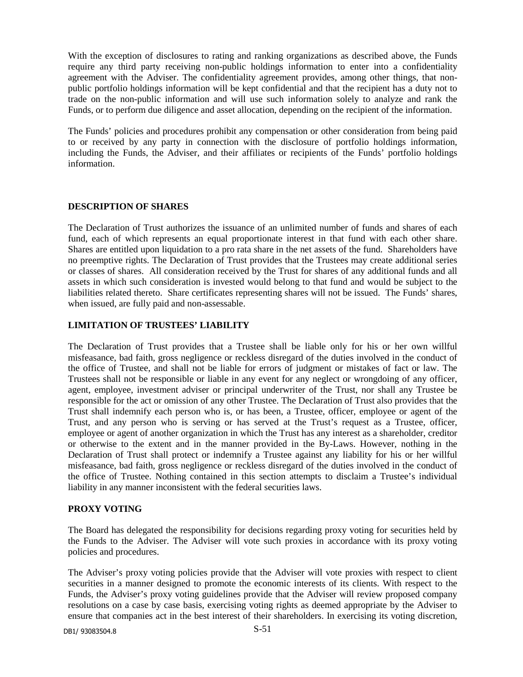With the exception of disclosures to rating and ranking organizations as described above, the Funds require any third party receiving non-public holdings information to enter into a confidentiality agreement with the Adviser. The confidentiality agreement provides, among other things, that nonpublic portfolio holdings information will be kept confidential and that the recipient has a duty not to trade on the non-public information and will use such information solely to analyze and rank the Funds, or to perform due diligence and asset allocation, depending on the recipient of the information.

The Funds' policies and procedures prohibit any compensation or other consideration from being paid to or received by any party in connection with the disclosure of portfolio holdings information, including the Funds, the Adviser, and their affiliates or recipients of the Funds' portfolio holdings information.

### **DESCRIPTION OF SHARES**

The Declaration of Trust authorizes the issuance of an unlimited number of funds and shares of each fund, each of which represents an equal proportionate interest in that fund with each other share. Shares are entitled upon liquidation to a pro rata share in the net assets of the fund. Shareholders have no preemptive rights. The Declaration of Trust provides that the Trustees may create additional series or classes of shares. All consideration received by the Trust for shares of any additional funds and all assets in which such consideration is invested would belong to that fund and would be subject to the liabilities related thereto. Share certificates representing shares will not be issued. The Funds' shares, when issued, are fully paid and non-assessable.

## **LIMITATION OF TRUSTEES' LIABILITY**

The Declaration of Trust provides that a Trustee shall be liable only for his or her own willful misfeasance, bad faith, gross negligence or reckless disregard of the duties involved in the conduct of the office of Trustee, and shall not be liable for errors of judgment or mistakes of fact or law. The Trustees shall not be responsible or liable in any event for any neglect or wrongdoing of any officer, agent, employee, investment adviser or principal underwriter of the Trust, nor shall any Trustee be responsible for the act or omission of any other Trustee. The Declaration of Trust also provides that the Trust shall indemnify each person who is, or has been, a Trustee, officer, employee or agent of the Trust, and any person who is serving or has served at the Trust's request as a Trustee, officer, employee or agent of another organization in which the Trust has any interest as a shareholder, creditor or otherwise to the extent and in the manner provided in the By-Laws. However, nothing in the Declaration of Trust shall protect or indemnify a Trustee against any liability for his or her willful misfeasance, bad faith, gross negligence or reckless disregard of the duties involved in the conduct of the office of Trustee. Nothing contained in this section attempts to disclaim a Trustee's individual liability in any manner inconsistent with the federal securities laws.

### **PROXY VOTING**

The Board has delegated the responsibility for decisions regarding proxy voting for securities held by the Funds to the Adviser. The Adviser will vote such proxies in accordance with its proxy voting policies and procedures.

The Adviser's proxy voting policies provide that the Adviser will vote proxies with respect to client securities in a manner designed to promote the economic interests of its clients. With respect to the Funds, the Adviser's proxy voting guidelines provide that the Adviser will review proposed company resolutions on a case by case basis, exercising voting rights as deemed appropriate by the Adviser to ensure that companies act in the best interest of their shareholders. In exercising its voting discretion,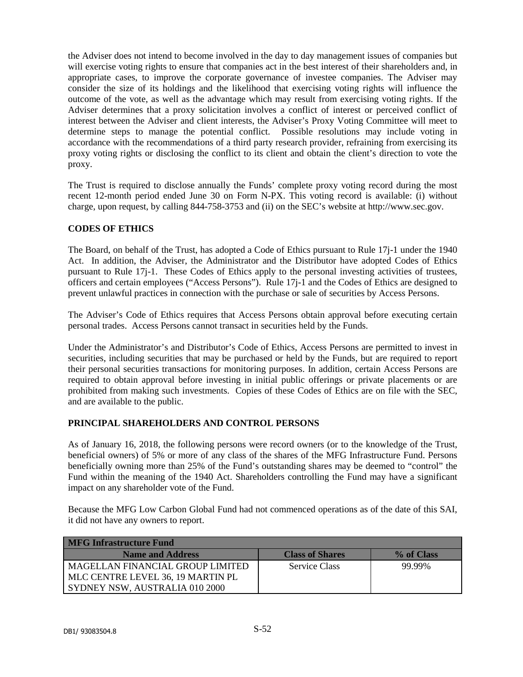the Adviser does not intend to become involved in the day to day management issues of companies but will exercise voting rights to ensure that companies act in the best interest of their shareholders and, in appropriate cases, to improve the corporate governance of investee companies. The Adviser may consider the size of its holdings and the likelihood that exercising voting rights will influence the outcome of the vote, as well as the advantage which may result from exercising voting rights. If the Adviser determines that a proxy solicitation involves a conflict of interest or perceived conflict of interest between the Adviser and client interests, the Adviser's Proxy Voting Committee will meet to determine steps to manage the potential conflict. Possible resolutions may include voting in accordance with the recommendations of a third party research provider, refraining from exercising its proxy voting rights or disclosing the conflict to its client and obtain the client's direction to vote the proxy.

The Trust is required to disclose annually the Funds' complete proxy voting record during the most recent 12-month period ended June 30 on Form N-PX. This voting record is available: (i) without charge, upon request, by calling 844-758-3753 and (ii) on the SEC's website at http://www.sec.gov.

## **CODES OF ETHICS**

The Board, on behalf of the Trust, has adopted a Code of Ethics pursuant to Rule 17j-1 under the 1940 Act. In addition, the Adviser, the Administrator and the Distributor have adopted Codes of Ethics pursuant to Rule 17j-1. These Codes of Ethics apply to the personal investing activities of trustees, officers and certain employees ("Access Persons"). Rule 17j-1 and the Codes of Ethics are designed to prevent unlawful practices in connection with the purchase or sale of securities by Access Persons.

The Adviser's Code of Ethics requires that Access Persons obtain approval before executing certain personal trades. Access Persons cannot transact in securities held by the Funds.

Under the Administrator's and Distributor's Code of Ethics, Access Persons are permitted to invest in securities, including securities that may be purchased or held by the Funds, but are required to report their personal securities transactions for monitoring purposes. In addition, certain Access Persons are required to obtain approval before investing in initial public offerings or private placements or are prohibited from making such investments. Copies of these Codes of Ethics are on file with the SEC, and are available to the public.

## **PRINCIPAL SHAREHOLDERS AND CONTROL PERSONS**

As of January 16, 2018, the following persons were record owners (or to the knowledge of the Trust, beneficial owners) of 5% or more of any class of the shares of the MFG Infrastructure Fund. Persons beneficially owning more than 25% of the Fund's outstanding shares may be deemed to "control" the Fund within the meaning of the 1940 Act. Shareholders controlling the Fund may have a significant impact on any shareholder vote of the Fund.

Because the MFG Low Carbon Global Fund had not commenced operations as of the date of this SAI, it did not have any owners to report.

| <b>MFG Infrastructure Fund</b>    |                        |            |  |
|-----------------------------------|------------------------|------------|--|
| <b>Name and Address</b>           | <b>Class of Shares</b> | % of Class |  |
| MAGELLAN FINANCIAL GROUP LIMITED  | <b>Service Class</b>   | 99.99%     |  |
| MLC CENTRE LEVEL 36, 19 MARTIN PL |                        |            |  |
| SYDNEY NSW, AUSTRALIA 010 2000    |                        |            |  |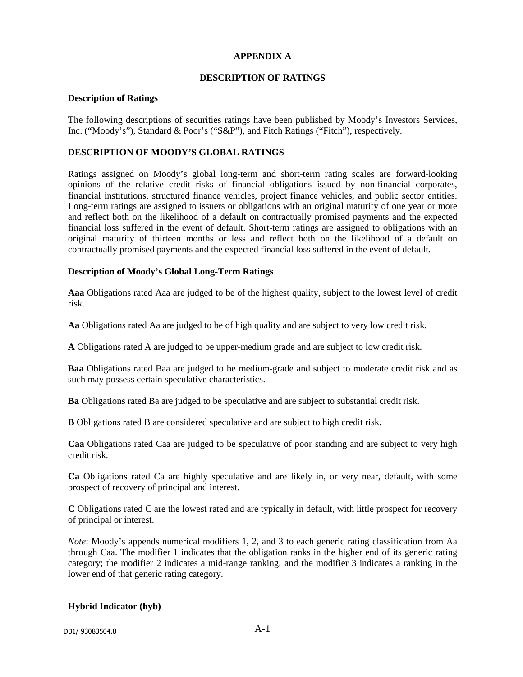### **APPENDIX A**

### **DESCRIPTION OF RATINGS**

### **Description of Ratings**

The following descriptions of securities ratings have been published by Moody's Investors Services, Inc. ("Moody's"), Standard & Poor's ("S&P"), and Fitch Ratings ("Fitch"), respectively.

## **DESCRIPTION OF MOODY'S GLOBAL RATINGS**

Ratings assigned on Moody's global long-term and short-term rating scales are forward-looking opinions of the relative credit risks of financial obligations issued by non-financial corporates, financial institutions, structured finance vehicles, project finance vehicles, and public sector entities. Long-term ratings are assigned to issuers or obligations with an original maturity of one year or more and reflect both on the likelihood of a default on contractually promised payments and the expected financial loss suffered in the event of default. Short-term ratings are assigned to obligations with an original maturity of thirteen months or less and reflect both on the likelihood of a default on contractually promised payments and the expected financial loss suffered in the event of default.

### **Description of Moody's Global Long-Term Ratings**

**Aaa** Obligations rated Aaa are judged to be of the highest quality, subject to the lowest level of credit risk.

**Aa** Obligations rated Aa are judged to be of high quality and are subject to very low credit risk.

**A** Obligations rated A are judged to be upper-medium grade and are subject to low credit risk.

**Baa** Obligations rated Baa are judged to be medium-grade and subject to moderate credit risk and as such may possess certain speculative characteristics.

**Ba** Obligations rated Ba are judged to be speculative and are subject to substantial credit risk.

**B** Obligations rated B are considered speculative and are subject to high credit risk.

**Caa** Obligations rated Caa are judged to be speculative of poor standing and are subject to very high credit risk.

**Ca** Obligations rated Ca are highly speculative and are likely in, or very near, default, with some prospect of recovery of principal and interest.

**C** Obligations rated C are the lowest rated and are typically in default, with little prospect for recovery of principal or interest.

*Note*: Moody's appends numerical modifiers 1, 2, and 3 to each generic rating classification from Aa through Caa. The modifier 1 indicates that the obligation ranks in the higher end of its generic rating category; the modifier 2 indicates a mid-range ranking; and the modifier 3 indicates a ranking in the lower end of that generic rating category.

### **Hybrid Indicator (hyb)**

DB1/93083504.8 A-1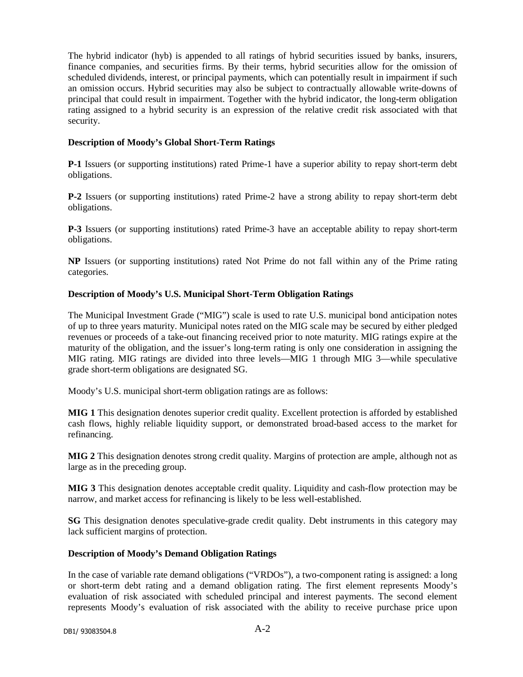The hybrid indicator (hyb) is appended to all ratings of hybrid securities issued by banks, insurers, finance companies, and securities firms. By their terms, hybrid securities allow for the omission of scheduled dividends, interest, or principal payments, which can potentially result in impairment if such an omission occurs. Hybrid securities may also be subject to contractually allowable write-downs of principal that could result in impairment. Together with the hybrid indicator, the long-term obligation rating assigned to a hybrid security is an expression of the relative credit risk associated with that security.

### **Description of Moody's Global Short-Term Ratings**

**P-1** Issuers (or supporting institutions) rated Prime-1 have a superior ability to repay short-term debt obligations.

**P-2** Issuers (or supporting institutions) rated Prime-2 have a strong ability to repay short-term debt obligations.

**P-3** Issuers (or supporting institutions) rated Prime-3 have an acceptable ability to repay short-term obligations.

**NP** Issuers (or supporting institutions) rated Not Prime do not fall within any of the Prime rating categories.

### **Description of Moody's U.S. Municipal Short-Term Obligation Ratings**

The Municipal Investment Grade ("MIG") scale is used to rate U.S. municipal bond anticipation notes of up to three years maturity. Municipal notes rated on the MIG scale may be secured by either pledged revenues or proceeds of a take-out financing received prior to note maturity. MIG ratings expire at the maturity of the obligation, and the issuer's long-term rating is only one consideration in assigning the MIG rating. MIG ratings are divided into three levels—MIG 1 through MIG 3—while speculative grade short-term obligations are designated SG.

Moody's U.S. municipal short-term obligation ratings are as follows:

**MIG 1** This designation denotes superior credit quality. Excellent protection is afforded by established cash flows, highly reliable liquidity support, or demonstrated broad-based access to the market for refinancing.

**MIG 2** This designation denotes strong credit quality. Margins of protection are ample, although not as large as in the preceding group.

**MIG 3** This designation denotes acceptable credit quality. Liquidity and cash-flow protection may be narrow, and market access for refinancing is likely to be less well-established.

**SG** This designation denotes speculative-grade credit quality. Debt instruments in this category may lack sufficient margins of protection.

### **Description of Moody's Demand Obligation Ratings**

In the case of variable rate demand obligations ("VRDOs"), a two-component rating is assigned: a long or short-term debt rating and a demand obligation rating. The first element represents Moody's evaluation of risk associated with scheduled principal and interest payments. The second element represents Moody's evaluation of risk associated with the ability to receive purchase price upon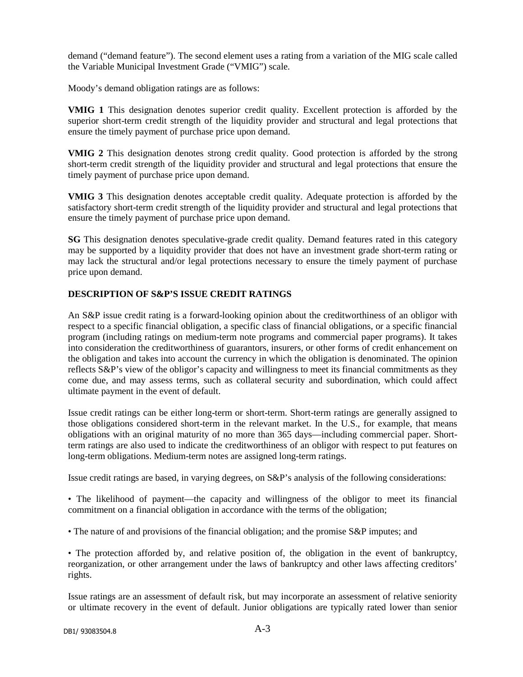demand ("demand feature"). The second element uses a rating from a variation of the MIG scale called the Variable Municipal Investment Grade ("VMIG") scale.

Moody's demand obligation ratings are as follows:

**VMIG 1** This designation denotes superior credit quality. Excellent protection is afforded by the superior short-term credit strength of the liquidity provider and structural and legal protections that ensure the timely payment of purchase price upon demand.

**VMIG 2** This designation denotes strong credit quality. Good protection is afforded by the strong short-term credit strength of the liquidity provider and structural and legal protections that ensure the timely payment of purchase price upon demand.

**VMIG 3** This designation denotes acceptable credit quality. Adequate protection is afforded by the satisfactory short-term credit strength of the liquidity provider and structural and legal protections that ensure the timely payment of purchase price upon demand.

**SG** This designation denotes speculative-grade credit quality. Demand features rated in this category may be supported by a liquidity provider that does not have an investment grade short-term rating or may lack the structural and/or legal protections necessary to ensure the timely payment of purchase price upon demand.

### **DESCRIPTION OF S&P'S ISSUE CREDIT RATINGS**

An S&P issue credit rating is a forward-looking opinion about the creditworthiness of an obligor with respect to a specific financial obligation, a specific class of financial obligations, or a specific financial program (including ratings on medium-term note programs and commercial paper programs). It takes into consideration the creditworthiness of guarantors, insurers, or other forms of credit enhancement on the obligation and takes into account the currency in which the obligation is denominated. The opinion reflects S&P's view of the obligor's capacity and willingness to meet its financial commitments as they come due, and may assess terms, such as collateral security and subordination, which could affect ultimate payment in the event of default.

Issue credit ratings can be either long-term or short-term. Short-term ratings are generally assigned to those obligations considered short-term in the relevant market. In the U.S., for example, that means obligations with an original maturity of no more than 365 days—including commercial paper. Shortterm ratings are also used to indicate the creditworthiness of an obligor with respect to put features on long-term obligations. Medium-term notes are assigned long-term ratings.

Issue credit ratings are based, in varying degrees, on S&P's analysis of the following considerations:

• The likelihood of payment—the capacity and willingness of the obligor to meet its financial commitment on a financial obligation in accordance with the terms of the obligation;

• The nature of and provisions of the financial obligation; and the promise S&P imputes; and

• The protection afforded by, and relative position of, the obligation in the event of bankruptcy, reorganization, or other arrangement under the laws of bankruptcy and other laws affecting creditors' rights.

Issue ratings are an assessment of default risk, but may incorporate an assessment of relative seniority or ultimate recovery in the event of default. Junior obligations are typically rated lower than senior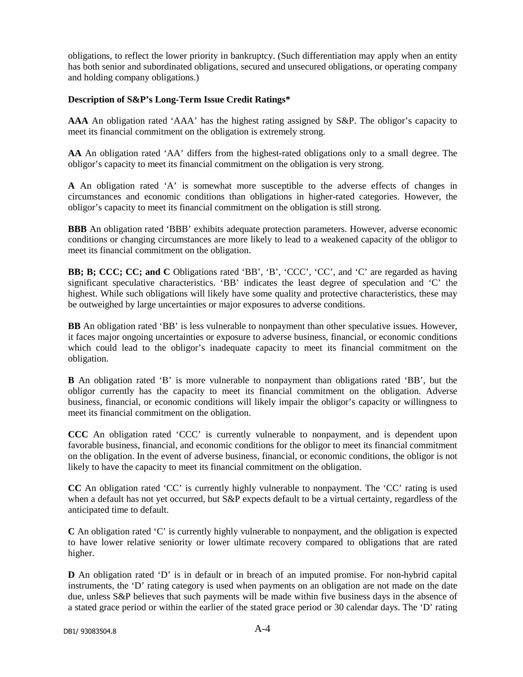obligations, to reflect the lower priority in bankruptcy. (Such differentiation may apply when an entity has both senior and subordinated obligations, secured and unsecured obligations, or operating company and holding company obligations.)

## **Description of S&P's Long-Term Issue Credit Ratings\***

**AAA** An obligation rated 'AAA' has the highest rating assigned by S&P. The obligor's capacity to meet its financial commitment on the obligation is extremely strong.

**AA** An obligation rated 'AA' differs from the highest-rated obligations only to a small degree. The obligor's capacity to meet its financial commitment on the obligation is very strong.

**A** An obligation rated 'A' is somewhat more susceptible to the adverse effects of changes in circumstances and economic conditions than obligations in higher-rated categories. However, the obligor's capacity to meet its financial commitment on the obligation is still strong.

**BBB** An obligation rated 'BBB' exhibits adequate protection parameters. However, adverse economic conditions or changing circumstances are more likely to lead to a weakened capacity of the obligor to meet its financial commitment on the obligation.

**BB; B; CCC; CC; and C** Obligations rated 'BB', 'B', 'CCC', 'CC', and 'C' are regarded as having significant speculative characteristics. 'BB' indicates the least degree of speculation and 'C' the highest. While such obligations will likely have some quality and protective characteristics, these may be outweighed by large uncertainties or major exposures to adverse conditions.

**BB** An obligation rated 'BB' is less vulnerable to nonpayment than other speculative issues. However, it faces major ongoing uncertainties or exposure to adverse business, financial, or economic conditions which could lead to the obligor's inadequate capacity to meet its financial commitment on the obligation.

**B** An obligation rated 'B' is more vulnerable to nonpayment than obligations rated 'BB', but the obligor currently has the capacity to meet its financial commitment on the obligation. Adverse business, financial, or economic conditions will likely impair the obligor's capacity or willingness to meet its financial commitment on the obligation.

**CCC** An obligation rated 'CCC' is currently vulnerable to nonpayment, and is dependent upon favorable business, financial, and economic conditions for the obligor to meet its financial commitment on the obligation. In the event of adverse business, financial, or economic conditions, the obligor is not likely to have the capacity to meet its financial commitment on the obligation.

**CC** An obligation rated 'CC' is currently highly vulnerable to nonpayment. The 'CC' rating is used when a default has not yet occurred, but S&P expects default to be a virtual certainty, regardless of the anticipated time to default.

**C** An obligation rated 'C' is currently highly vulnerable to nonpayment, and the obligation is expected to have lower relative seniority or lower ultimate recovery compared to obligations that are rated higher.

**D** An obligation rated 'D' is in default or in breach of an imputed promise. For non-hybrid capital instruments, the 'D' rating category is used when payments on an obligation are not made on the date due, unless S&P believes that such payments will be made within five business days in the absence of a stated grace period or within the earlier of the stated grace period or 30 calendar days. The 'D' rating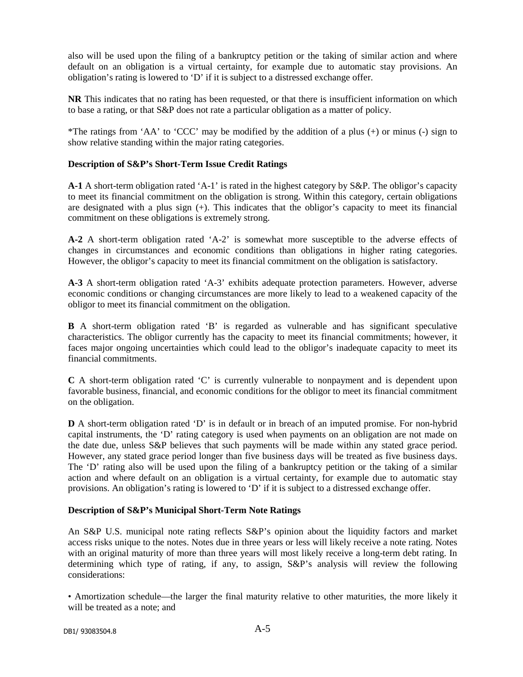also will be used upon the filing of a bankruptcy petition or the taking of similar action and where default on an obligation is a virtual certainty, for example due to automatic stay provisions. An obligation's rating is lowered to 'D' if it is subject to a distressed exchange offer.

**NR** This indicates that no rating has been requested, or that there is insufficient information on which to base a rating, or that S&P does not rate a particular obligation as a matter of policy.

\*The ratings from 'AA' to 'CCC' may be modified by the addition of a plus (+) or minus (-) sign to show relative standing within the major rating categories.

### **Description of S&P's Short-Term Issue Credit Ratings**

**A-1** A short-term obligation rated 'A-1' is rated in the highest category by S&P. The obligor's capacity to meet its financial commitment on the obligation is strong. Within this category, certain obligations are designated with a plus sign (+). This indicates that the obligor's capacity to meet its financial commitment on these obligations is extremely strong.

**A-2** A short-term obligation rated 'A-2' is somewhat more susceptible to the adverse effects of changes in circumstances and economic conditions than obligations in higher rating categories. However, the obligor's capacity to meet its financial commitment on the obligation is satisfactory.

**A-3** A short-term obligation rated 'A-3' exhibits adequate protection parameters. However, adverse economic conditions or changing circumstances are more likely to lead to a weakened capacity of the obligor to meet its financial commitment on the obligation.

**B** A short-term obligation rated 'B' is regarded as vulnerable and has significant speculative characteristics. The obligor currently has the capacity to meet its financial commitments; however, it faces major ongoing uncertainties which could lead to the obligor's inadequate capacity to meet its financial commitments.

**C** A short-term obligation rated 'C' is currently vulnerable to nonpayment and is dependent upon favorable business, financial, and economic conditions for the obligor to meet its financial commitment on the obligation.

**D** A short-term obligation rated 'D' is in default or in breach of an imputed promise. For non-hybrid capital instruments, the 'D' rating category is used when payments on an obligation are not made on the date due, unless S&P believes that such payments will be made within any stated grace period. However, any stated grace period longer than five business days will be treated as five business days. The 'D' rating also will be used upon the filing of a bankruptcy petition or the taking of a similar action and where default on an obligation is a virtual certainty, for example due to automatic stay provisions. An obligation's rating is lowered to 'D' if it is subject to a distressed exchange offer.

### **Description of S&P's Municipal Short-Term Note Ratings**

An S&P U.S. municipal note rating reflects S&P's opinion about the liquidity factors and market access risks unique to the notes. Notes due in three years or less will likely receive a note rating. Notes with an original maturity of more than three years will most likely receive a long-term debt rating. In determining which type of rating, if any, to assign, S&P's analysis will review the following considerations:

• Amortization schedule—the larger the final maturity relative to other maturities, the more likely it will be treated as a note; and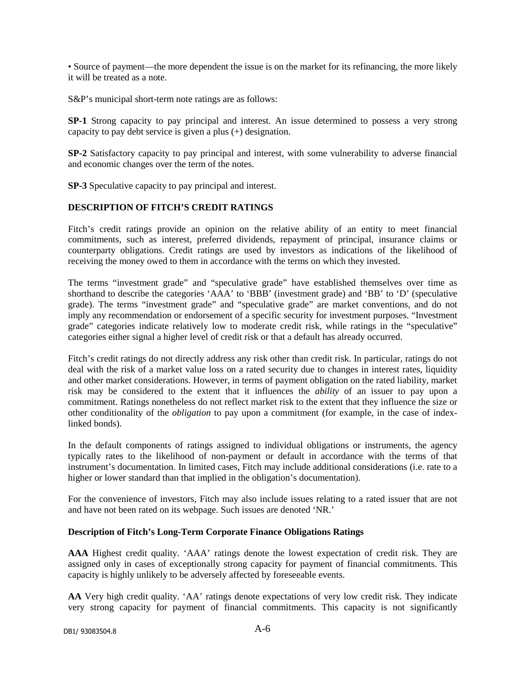• Source of payment—the more dependent the issue is on the market for its refinancing, the more likely it will be treated as a note.

S&P's municipal short-term note ratings are as follows:

**SP-1** Strong capacity to pay principal and interest. An issue determined to possess a very strong capacity to pay debt service is given a plus (+) designation.

**SP-2** Satisfactory capacity to pay principal and interest, with some vulnerability to adverse financial and economic changes over the term of the notes.

**SP-3** Speculative capacity to pay principal and interest.

## **DESCRIPTION OF FITCH'S CREDIT RATINGS**

Fitch's credit ratings provide an opinion on the relative ability of an entity to meet financial commitments, such as interest, preferred dividends, repayment of principal, insurance claims or counterparty obligations. Credit ratings are used by investors as indications of the likelihood of receiving the money owed to them in accordance with the terms on which they invested.

The terms "investment grade" and "speculative grade" have established themselves over time as shorthand to describe the categories 'AAA' to 'BBB' (investment grade) and 'BB' to 'D' (speculative grade). The terms "investment grade" and "speculative grade" are market conventions, and do not imply any recommendation or endorsement of a specific security for investment purposes. "Investment grade" categories indicate relatively low to moderate credit risk, while ratings in the "speculative" categories either signal a higher level of credit risk or that a default has already occurred.

Fitch's credit ratings do not directly address any risk other than credit risk. In particular, ratings do not deal with the risk of a market value loss on a rated security due to changes in interest rates, liquidity and other market considerations. However, in terms of payment obligation on the rated liability, market risk may be considered to the extent that it influences the *ability* of an issuer to pay upon a commitment. Ratings nonetheless do not reflect market risk to the extent that they influence the size or other conditionality of the *obligation* to pay upon a commitment (for example, in the case of indexlinked bonds).

In the default components of ratings assigned to individual obligations or instruments, the agency typically rates to the likelihood of non-payment or default in accordance with the terms of that instrument's documentation. In limited cases, Fitch may include additional considerations (i.e. rate to a higher or lower standard than that implied in the obligation's documentation).

For the convenience of investors, Fitch may also include issues relating to a rated issuer that are not and have not been rated on its webpage. Such issues are denoted 'NR.'

### **Description of Fitch's Long-Term Corporate Finance Obligations Ratings**

**AAA** Highest credit quality. 'AAA' ratings denote the lowest expectation of credit risk. They are assigned only in cases of exceptionally strong capacity for payment of financial commitments. This capacity is highly unlikely to be adversely affected by foreseeable events.

**AA** Very high credit quality. 'AA' ratings denote expectations of very low credit risk. They indicate very strong capacity for payment of financial commitments. This capacity is not significantly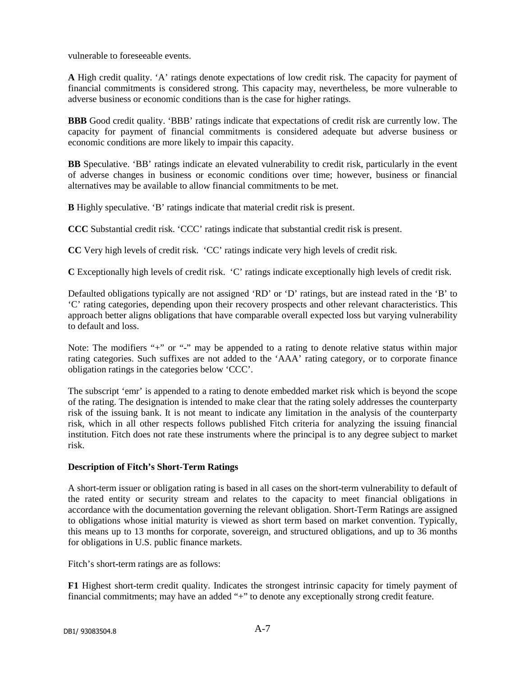vulnerable to foreseeable events.

**A** High credit quality. 'A' ratings denote expectations of low credit risk. The capacity for payment of financial commitments is considered strong. This capacity may, nevertheless, be more vulnerable to adverse business or economic conditions than is the case for higher ratings.

**BBB** Good credit quality. 'BBB' ratings indicate that expectations of credit risk are currently low. The capacity for payment of financial commitments is considered adequate but adverse business or economic conditions are more likely to impair this capacity.

**BB** Speculative. 'BB' ratings indicate an elevated vulnerability to credit risk, particularly in the event of adverse changes in business or economic conditions over time; however, business or financial alternatives may be available to allow financial commitments to be met.

**B** Highly speculative. 'B' ratings indicate that material credit risk is present.

**CCC** Substantial credit risk. 'CCC' ratings indicate that substantial credit risk is present.

**CC** Very high levels of credit risk. 'CC' ratings indicate very high levels of credit risk.

**C** Exceptionally high levels of credit risk. 'C' ratings indicate exceptionally high levels of credit risk.

Defaulted obligations typically are not assigned 'RD' or 'D' ratings, but are instead rated in the 'B' to 'C' rating categories, depending upon their recovery prospects and other relevant characteristics. This approach better aligns obligations that have comparable overall expected loss but varying vulnerability to default and loss.

Note: The modifiers "+" or "-" may be appended to a rating to denote relative status within major rating categories. Such suffixes are not added to the 'AAA' rating category, or to corporate finance obligation ratings in the categories below 'CCC'.

The subscript 'emr' is appended to a rating to denote embedded market risk which is beyond the scope of the rating. The designation is intended to make clear that the rating solely addresses the counterparty risk of the issuing bank. It is not meant to indicate any limitation in the analysis of the counterparty risk, which in all other respects follows published Fitch criteria for analyzing the issuing financial institution. Fitch does not rate these instruments where the principal is to any degree subject to market risk.

#### **Description of Fitch's Short-Term Ratings**

A short-term issuer or obligation rating is based in all cases on the short-term vulnerability to default of the rated entity or security stream and relates to the capacity to meet financial obligations in accordance with the documentation governing the relevant obligation. Short-Term Ratings are assigned to obligations whose initial maturity is viewed as short term based on market convention. Typically, this means up to 13 months for corporate, sovereign, and structured obligations, and up to 36 months for obligations in U.S. public finance markets.

Fitch's short-term ratings are as follows:

**F1** Highest short-term credit quality. Indicates the strongest intrinsic capacity for timely payment of financial commitments; may have an added "+" to denote any exceptionally strong credit feature.